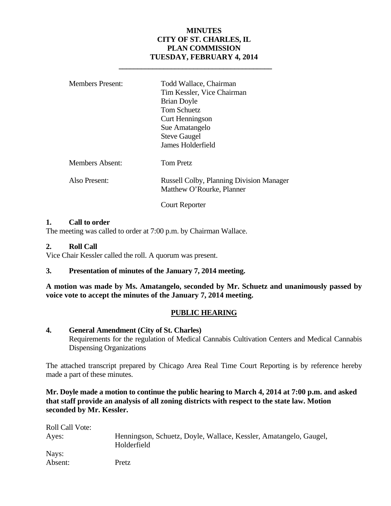#### **MINUTES CITY OF ST. CHARLES, IL PLAN COMMISSION TUESDAY, FEBRUARY 4, 2014**

| <b>Members Present:</b> | Todd Wallace, Chairman<br>Tim Kessler, Vice Chairman<br><b>Brian Doyle</b><br>Tom Schuetz<br>Curt Henningson<br>Sue Amatangelo<br><b>Steve Gaugel</b><br>James Holderfield |
|-------------------------|----------------------------------------------------------------------------------------------------------------------------------------------------------------------------|
| Members Absent:         | Tom Pretz                                                                                                                                                                  |
| Also Present:           | <b>Russell Colby, Planning Division Manager</b><br>Matthew O'Rourke, Planner                                                                                               |
|                         | Court Reporter                                                                                                                                                             |

 **\_\_\_\_\_\_\_\_\_\_\_\_\_\_\_\_\_\_\_\_\_\_\_\_\_\_\_\_\_\_\_\_\_\_\_\_\_\_\_\_\_** 

#### **1. Call to order**

The meeting was called to order at 7:00 p.m. by Chairman Wallace.

#### **2. Roll Call**

Vice Chair Kessler called the roll. A quorum was present.

#### **3. Presentation of minutes of the January 7, 2014 meeting.**

**A motion was made by Ms. Amatangelo, seconded by Mr. Schuetz and unanimously passed by voice vote to accept the minutes of the January 7, 2014 meeting.** 

#### **PUBLIC HEARING**

#### **4. General Amendment (City of St. Charles)**

Requirements for the regulation of Medical Cannabis Cultivation Centers and Medical Cannabis Dispensing Organizations

The attached transcript prepared by Chicago Area Real Time Court Reporting is by reference hereby made a part of these minutes.

**Mr. Doyle made a motion to continue the public hearing to March 4, 2014 at 7:00 p.m. and asked that staff provide an analysis of all zoning districts with respect to the state law. Motion seconded by Mr. Kessler.** 

| <b>Roll Call Vote:</b> |                                                                                  |
|------------------------|----------------------------------------------------------------------------------|
| Ayes:                  | Henningson, Schuetz, Doyle, Wallace, Kessler, Amatangelo, Gaugel,<br>Holderfield |
| Nays:                  |                                                                                  |
| Absent:                | Pretz                                                                            |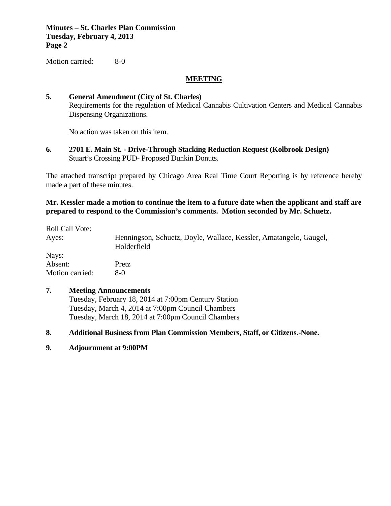**Minutes – St. Charles Plan Commission Tuesday, February 4, 2013 Page 2**

Motion carried: 8-0

#### **MEETING**

#### **5. General Amendment (City of St. Charles)**

Requirements for the regulation of Medical Cannabis Cultivation Centers and Medical Cannabis Dispensing Organizations.

No action was taken on this item.

**6. 2701 E. Main St. - Drive-Through Stacking Reduction Request (Kolbrook Design)**  Stuart's Crossing PUD- Proposed Dunkin Donuts.

The attached transcript prepared by Chicago Area Real Time Court Reporting is by reference hereby made a part of these minutes.

**Mr. Kessler made a motion to continue the item to a future date when the applicant and staff are prepared to respond to the Commission's comments. Motion seconded by Mr. Schuetz.** 

Roll Call Vote: Ayes: Henningson, Schuetz, Doyle, Wallace, Kessler, Amatangelo, Gaugel, Holderfield Nays: Absent: Pretz Motion carried: 8-0

#### **7. Meeting Announcements**

 Tuesday, February 18, 2014 at 7:00pm Century Station Tuesday, March 4, 2014 at 7:00pm Council Chambers Tuesday, March 18, 2014 at 7:00pm Council Chambers

#### **8. Additional Business from Plan Commission Members, Staff, or Citizens.-None.**

**9. Adjournment at 9:00PM**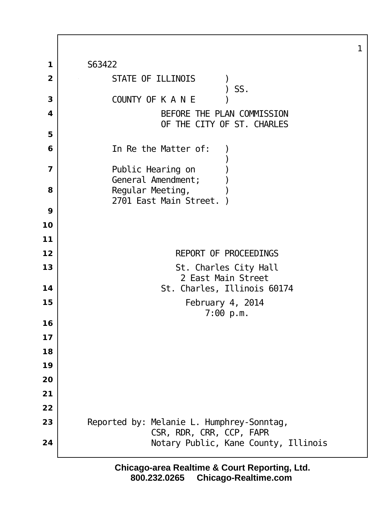S63422 STATE OF ILLINOIS )  $\sum$  SS. COUNTY OF K A N E ) BEFORE THE PLAN COMMISSION OF THE CITY OF ST. CHARLES In Re the Matter of: ) ) and the state of  $\overline{\phantom{a}}$  Public Hearing on General Amendment; Regular Meeting, 2701 East Main Street. REPORT OF PROCEEDINGS St. Charles City Hall 2 East Main Street St. Charles, Illinois 60174 February 4, 2014 7:00 p.m. 23 Reported by: Melanie L. Humphrey-Sonntag, CSR, RDR, CRR, CCP, FAPR Notary Public, Kane County, Illinois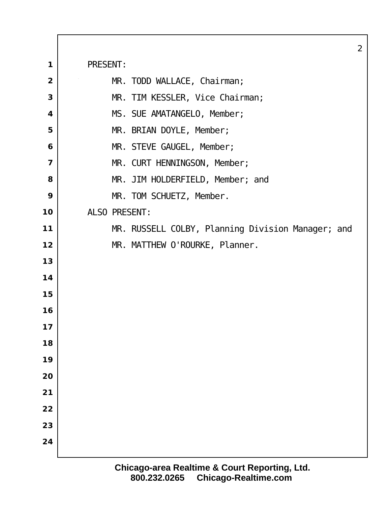|                         |                                                    | 2 |
|-------------------------|----------------------------------------------------|---|
| 1                       | PRESENT:                                           |   |
| $\overline{\mathbf{2}}$ | MR. TODD WALLACE, Chairman;                        |   |
| 3                       | MR. TIM KESSLER, Vice Chairman;                    |   |
| 4                       | MS. SUE AMATANGELO, Member;                        |   |
| 5                       | MR. BRIAN DOYLE, Member;                           |   |
| 6                       | MR. STEVE GAUGEL, Member;                          |   |
| $\overline{7}$          | MR. CURT HENNINGSON, Member;                       |   |
| 8                       | MR. JIM HOLDERFIELD, Member; and                   |   |
| 9                       | MR. TOM SCHUETZ, Member.                           |   |
| 10                      | ALSO PRESENT:                                      |   |
| 11                      | MR. RUSSELL COLBY, PI anning Division Manager; and |   |
| 12                      | MR. MATTHEW O'ROURKE, Planner.                     |   |
| 13                      |                                                    |   |
| 14                      |                                                    |   |
| 15                      |                                                    |   |
| 16                      |                                                    |   |
| 17                      |                                                    |   |
| 18                      |                                                    |   |
| 19                      |                                                    |   |
| 20                      |                                                    |   |
| 21                      |                                                    |   |
| 22                      |                                                    |   |
| 23                      |                                                    |   |
| 24                      |                                                    |   |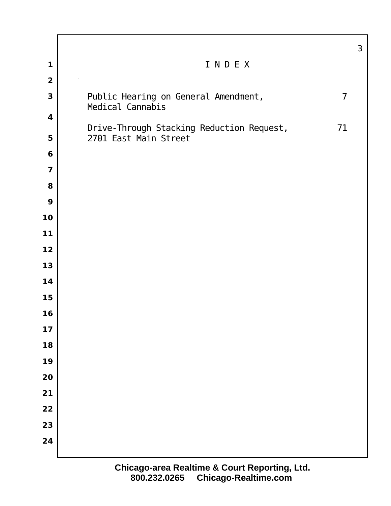|                         |                                                          | $\mathfrak{S}$ |
|-------------------------|----------------------------------------------------------|----------------|
| 1                       | INDEX                                                    |                |
| $\overline{\mathbf{2}}$ |                                                          |                |
| $\mathbf{3}$            | Public Hearing on General Amendment,<br>Medical Cannabis | $\overline{7}$ |
| $\boldsymbol{4}$        | Drive-Through Stacking Reduction Request,                | 71             |
| 5                       | 2701 East Main Street                                    |                |
| 6                       |                                                          |                |
| $\overline{\mathbf{z}}$ |                                                          |                |
| 8                       |                                                          |                |
| 9                       |                                                          |                |
| 10                      |                                                          |                |
| $11$                    |                                                          |                |
| 12                      |                                                          |                |
| 13                      |                                                          |                |
| 14                      |                                                          |                |
| 15                      |                                                          |                |
| 16                      |                                                          |                |
| 17                      |                                                          |                |
| 18                      |                                                          |                |
| 19                      |                                                          |                |
| 20                      |                                                          |                |
| 21                      |                                                          |                |
| 22                      |                                                          |                |
| 23                      |                                                          |                |
| 24                      |                                                          |                |
|                         |                                                          |                |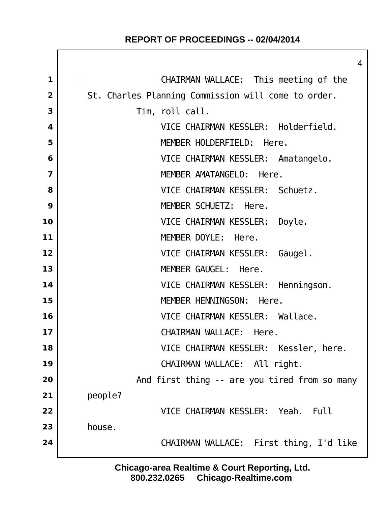# **REPORT OF PROCEEDINGS -- 02/04/2014**

|                | $\overline{4}$                                      |
|----------------|-----------------------------------------------------|
| 1              | CHAIRMAN WALLACE: This meeting of the               |
| $\overline{2}$ | St. Charles Planning Commission will come to order. |
| 3              | Tim, roll call.                                     |
| 4              | VICE CHAIRMAN KESSLER: Holderfield.                 |
| 5              | MEMBER HOLDERFIELD: Here.                           |
| 6              | VICE CHAIRMAN KESSLER: Amatangelo.                  |
| $\overline{7}$ | MEMBER AMATANGELO: Here.                            |
| 8              | VICE CHAIRMAN KESSLER: Schuetz.                     |
| 9              | MEMBER SCHUETZ: Here.                               |
| 10             | VICE CHAIRMAN KESSLER:<br>Doyle.                    |
| 11             | MEMBER DOYLE: Here.                                 |
| 12             | VICE CHAIRMAN KESSLER: Gaugel.                      |
| 13             | MEMBER GAUGEL: Here.                                |
| 14             | VICE CHAIRMAN KESSLER: Henningson.                  |
| 15             | MEMBER HENNINGSON: Here.                            |
| 16             | VICE CHAIRMAN KESSLER: Wallace.                     |
| 17             | CHAIRMAN WALLACE: Here.                             |
| 18             | VICE CHAIRMAN KESSLER: Kessler, here.               |
| 19             | CHAIRMAN WALLACE: All right.                        |
| 20             | And first thing -- are you tired from so many       |
| 21             | people?                                             |
| 22             | VICE CHAIRMAN KESSLER: Yeah.<br>Ful I               |
| 23             | house.                                              |
| 24             | CHAIRMAN WALLACE: First thing, I'd like             |
|                |                                                     |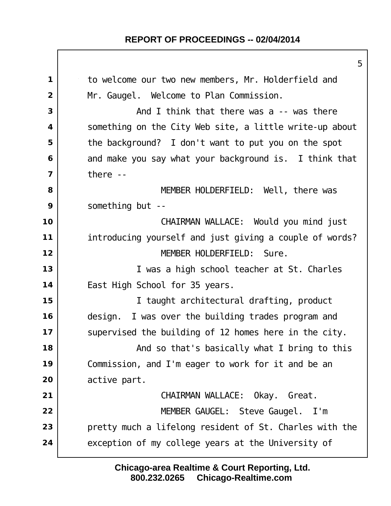## **REPORT OF PROCEEDINGS -- 02/04/2014**

1 to welcome our two new members, Mr. Holderfield and Mr. Gaugel. Welcome to Plan Commission. and I think that there was a -- was there something on the City Web site, a little write-up about the background? I don't want to put you on the spot and make you say what your background is. I think that there -- MEMBER HOLDERFIELD: Well, there was something but -- CHAIRMAN WALLACE: Would you mind just introducing yourself and just giving a couple of words? MEMBER HOLDERFIELD: Sure. I was a high school teacher at St. Charles East High School for 35 years. I taught architectural drafting, product design. I was over the building trades program and supervised the building of 12 homes here in the city.  $\vert$  **And so that's basically what I bring to this**  Commission, and I'm eager to work for it and be an active part. CHAIRMAN WALLACE: Okay. Great. MEMBER GAUGEL: Steve Gaugel. I'm **pretty much a lifelong resident of St. Charles with the** exception of my college years at the University of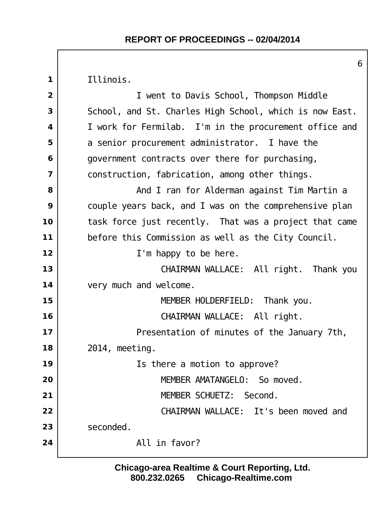Illinois.

 I went to Davis School, Thompson Middle School, and St. Charles High School, which is now East. I work for Fermilab. I'm in the procurement office and a senior procurement administrator. I have the government contracts over there for purchasing, construction, fabrication, among other things. and I ran for Alderman against Tim Martin a couple years back, and I was on the comprehensive plan task force just recently. That was a project that came before this Commission as well as the City Council. I'm happy to be here. CHAIRMAN WALLACE: All right. Thank you very much and welcome. | MEMBER HOLDERFIELD: Thank you. CHAIRMAN WALLACE: All right. Presentation of minutes of the January 7th, 2014, meeting. Is there a motion to approve? MEMBER AMATANGELO: So moved. MEMBER SCHUETZ: Second. CHAIRMAN WALLACE: It's been moved and seconded. All in favor?

> **800.232.0265 Chicago-Realtime.com Chicago-area Realtime & Court Reporting, Ltd.**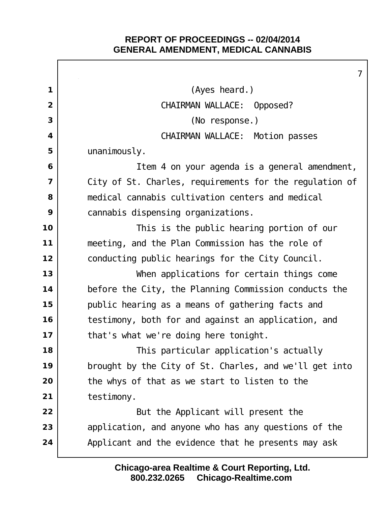Г

|                | $\overline{7}$                                          |
|----------------|---------------------------------------------------------|
| 1              | (Ayes heard.)                                           |
| $\overline{2}$ | CHAIRMAN WALLACE: Opposed?                              |
| 3              | (No response.)                                          |
| 4              | CHAIRMAN WALLACE: Motion passes                         |
| 5              | unani mously.                                           |
| 6              | I tem 4 on your agenda is a general amendment,          |
| 7              | City of St. Charles, requirements for the regulation of |
| 8              | medical cannabis cultivation centers and medical        |
| 9              | cannabis dispensing organizations.                      |
| 10             | This is the public hearing portion of our               |
| $11$           | meeting, and the Plan Commission has the role of        |
| 12             | conducting public hearings for the City Council.        |
| 13             | When applications for certain things come               |
| 14             | before the City, the Planning Commission conducts the   |
| 15             | public hearing as a means of gathering facts and        |
| 16             | testimony, both for and against an application, and     |
| 17             | that's what we're doing here tonight.                   |
| 18             | This particular application's actually                  |
| 19             | brought by the City of St. Charles, and we'll get into  |
| 20             | the whys of that as we start to listen to the           |
| 21             | testimony.                                              |
| 22             | But the Applicant will present the                      |
| 23             | application, and anyone who has any questions of the    |
| 24             | Applicant and the evidence that he presents may ask     |
|                |                                                         |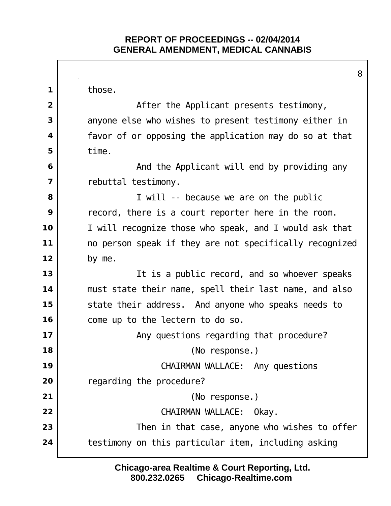Г

|                | 8                                                       |
|----------------|---------------------------------------------------------|
| $\mathbf 1$    | those.                                                  |
| $\overline{2}$ | After the Applicant presents testimony,                 |
| 3              | anyone else who wishes to present testimony either in   |
| 4              | favor of or opposing the application may do so at that  |
| 5              | time.                                                   |
| 6              | And the Applicant will end by providing any             |
| 7              | rebuttal testimony.                                     |
| 8              | I will -- because we are on the public                  |
| 9              | record, there is a court reporter here in the room.     |
| 10             | I will recognize those who speak, and I would ask that  |
| 11             | no person speak if they are not specifically recognized |
| 12             | by me.                                                  |
| 13             | It is a public record, and so whoever speaks            |
| 14             | must state their name, spell their last name, and also  |
| 15             | state their address. And anyone who speaks needs to     |
| 16             | come up to the lectern to do so.                        |
| 17             | Any questions regarding that procedure?                 |
| 18             | (No response.)                                          |
| 19             | CHAIRMAN WALLACE: Any questions                         |
| 20             | regarding the procedure?                                |
| 21             | (No response.)                                          |
| 22             | CHAIRMAN WALLACE: Okay.                                 |
| 23             | Then in that case, anyone who wishes to offer           |
| 24             | testimony on this particular item, including asking     |
|                |                                                         |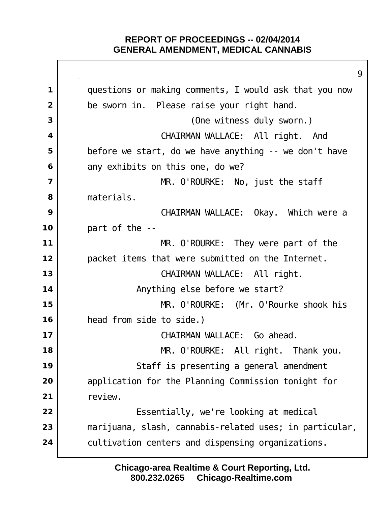|                         | 9                                                       |
|-------------------------|---------------------------------------------------------|
| 1                       | questions or making comments, I would ask that you now  |
| $\overline{2}$          | be sworn in. Please raise your right hand.              |
| 3                       | (One witness duly sworn.)                               |
| $\overline{\mathbf{4}}$ | CHAIRMAN WALLACE: All right. And                        |
| 5                       | before we start, do we have anything -- we don't have   |
| 6                       | any exhibits on this one, do we?                        |
| $\overline{7}$          | MR. O'ROURKE: No, just the staff                        |
| 8                       | materials.                                              |
| 9                       | CHAIRMAN WALLACE: Okay. Which were a                    |
| 10                      | part of the --                                          |
| 11                      | MR. O'ROURKE: They were part of the                     |
| 12                      | packet items that were submitted on the Internet.       |
| 13                      | CHAIRMAN WALLACE: All right.                            |
| 14                      | Anything else before we start?                          |
| 15                      | MR. O'ROURKE: (Mr. O'Rourke shook his                   |
| 16                      | head from side to side.)                                |
| 17                      | CHAIRMAN WALLACE: Go ahead.                             |
| 18                      | MR. O'ROURKE: All right. Thank you.                     |
| 19                      | Staff is presenting a general amendment                 |
| 20                      | application for the Planning Commission tonight for     |
| 21                      | review.                                                 |
| 22                      | Essentially, we're looking at medical                   |
| 23                      | marijuana, slash, cannabis-related uses; in particular, |
| 24                      | cul tivation centers and dispensing organizations.      |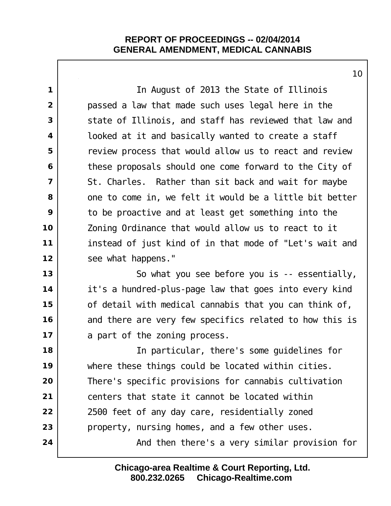In August of 2013 the State of Illinois passed a law that made such uses legal here in the state of Illinois, and staff has reviewed that law and looked at it and basically wanted to create a staff **c** review process that would allow us to react and review these proposals should one come forward to the City of St. Charles. Rather than sit back and wait for maybe one to come in, we felt it would be a little bit better to be proactive and at least get something into the Zoning Ordinance that would allow us to react to it instead of just kind of in that mode of "Let's wait and see what happens." So what you see before you is -- essentially, it's a hundred-plus-page law that goes into every kind of detail with medical cannabis that you can think of, and there are very few specifics related to how this is a part of the zoning process. In particular, there's some guidelines for 19 | where these things could be located within cities. There's specific provisions for cannabis cultivation centers that state it cannot be located within 2500 feet of any day care, residentially zoned property, nursing homes, and a few other uses.  $\vert$  **And then there's a very similar provision for** 

> **800.232.0265 Chicago-Realtime.com Chicago-area Realtime & Court Reporting, Ltd.**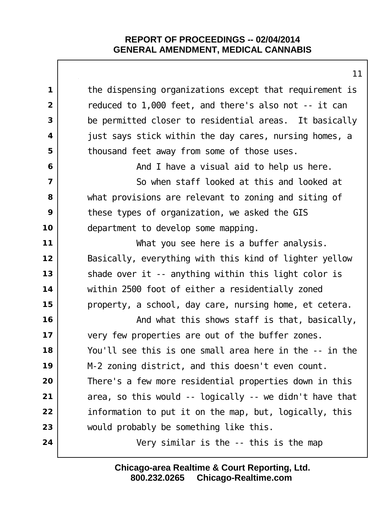| $\mathbf 1$             | the dispensing organizations except that requirement is |
|-------------------------|---------------------------------------------------------|
| $\overline{2}$          | reduced to 1,000 feet, and there's also not -- it can   |
| 3                       | be permitted closer to residential areas. It basically  |
| $\overline{\mathbf{4}}$ | just says stick within the day cares, nursing homes, a  |
| 5                       | thousand feet away from some of those uses.             |
| 6                       | And I have a visual aid to help us here.                |
| $\overline{\mathbf{z}}$ | So when staff looked at this and looked at              |
| 8                       | what provisions are relevant to zoning and siting of    |
| 9                       | these types of organization, we asked the GIS           |
| 10                      | department to devel op some mapping.                    |
| 11                      | What you see here is a buffer analysis.                 |
| 12                      | Basically, everything with this kind of lighter yellow  |
| 13                      | shade over it -- anything within this light color is    |
| 14                      | within 2500 foot of either a residentially zoned        |
| 15                      | property, a school, day care, nursing home, et cetera.  |
| 16                      | And what this shows staff is that, basically,           |
| 17                      | very few properties are out of the buffer zones.        |
| 18                      | You'll see this is one small area here in the -- in the |
| 19                      | M-2 zoning district, and this doesn't even count.       |
| 20                      | There's a few more residential properties down in this  |
| 21                      | area, so this would -- logically -- we didn't have that |
| 22                      | information to put it on the map, but, logically, this  |
| 23                      | would probably be something like this.                  |
| 24                      | Very similar is the -- this is the map                  |
|                         |                                                         |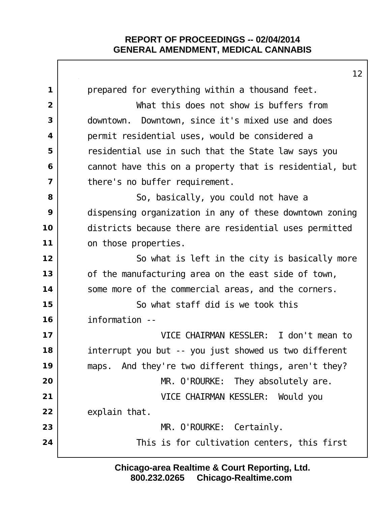|                | 12                                                      |
|----------------|---------------------------------------------------------|
| 1              | prepared for everything within a thousand feet.         |
| $\overline{2}$ | What this does not show is buffers from                 |
| 3              | downtown. Downtown, since it's mixed use and does       |
| 4              | permit residential uses, would be considered a          |
| 5              | residential use in such that the State law says you     |
| 6              | cannot have this on a property that is residential, but |
| $\overline{7}$ | there's no buffer requirement.                          |
| 8              | So, basically, you could not have a                     |
| 9              | dispensing organization in any of these downtown zoning |
| 10             | districts because there are residential uses permitted  |
| 11             | on those properties.                                    |
| 12             | So what is left in the city is basically more           |
| 13             | of the manufacturing area on the east side of town,     |
| 14             | some more of the commercial areas, and the corners.     |
| 15             | So what staff did is we took this                       |
| 16             | information --                                          |
| 17             | VICE CHAIRMAN KESSLER: I don't mean to                  |
| 18             | interrupt you but -- you just showed us two different   |
| 19             | maps. And they're two different things, aren't they?    |
| 20             | MR. O'ROURKE: They absolutely are.                      |
| 21             | VICE CHAIRMAN KESSLER: Would you                        |
| 22             | explain that.                                           |
| 23             | MR. O'ROURKE: Certainly.                                |
| 24             | This is for cultivation centers, this first             |
|                |                                                         |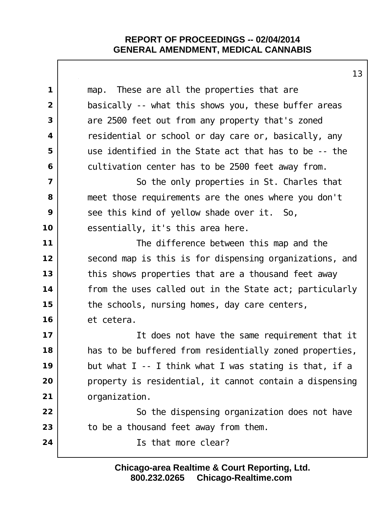|                         | 13                                                      |
|-------------------------|---------------------------------------------------------|
| 1                       | map. These are all the properties that are              |
| $\overline{2}$          | basically -- what this shows you, these buffer areas    |
| 3                       | are 2500 feet out from any property that's zoned        |
| 4                       | residential or school or day care or, basically, any    |
| 5                       | use identified in the State act that has to be -- the   |
| 6                       | cultivation center has to be 2500 feet away from.       |
| $\overline{\mathbf{z}}$ | So the only properties in St. Charles that              |
| 8                       | meet those requirements are the ones where you don't    |
| 9                       | see this kind of yellow shade over it. So,              |
| 10                      | essentially, it's this area here.                       |
| 11                      | The difference between this map and the                 |
| 12                      | second map is this is for dispensing organizations, and |
| 13                      | this shows properties that are a thousand feet away     |
| 14                      | from the uses called out in the State act; particularly |
| 15                      | the schools, nursing homes, day care centers,           |
| 16                      | et cetera.                                              |
| 17                      | It does not have the same requirement that it           |
| 18                      | has to be buffered from residentially zoned properties, |
| 19                      | but what I -- I think what I was stating is that, if a  |
| 20                      | property is residential, it cannot contain a dispensing |
| 21                      | organi zati on.                                         |
| 22                      | So the dispensing organization does not have            |
| 23                      | to be a thousand feet away from them.                   |
| 24                      | Is that more clear?                                     |
|                         |                                                         |

 $\overline{1}$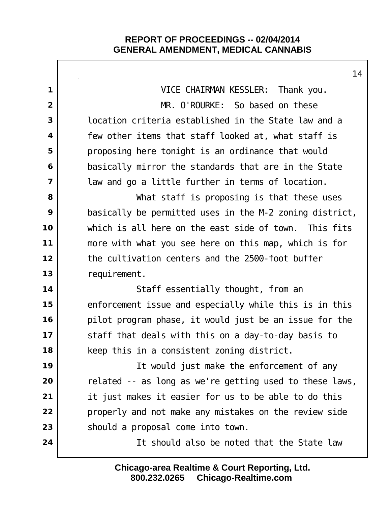|                         | 14                                                      |
|-------------------------|---------------------------------------------------------|
| $\mathbf 1$             | VICE CHAIRMAN KESSLER: Thank you.                       |
| $\overline{2}$          | MR. O'ROURKE: So based on these                         |
| 3                       | I ocation criteria established in the State law and a   |
| $\overline{\mathbf{4}}$ | few other items that staff looked at, what staff is     |
| 5                       | proposing here tonight is an ordinance that would       |
| 6                       | basically mirror the standards that are in the State    |
| $\overline{7}$          | law and go a little further in terms of location.       |
| 8                       | What staff is proposing is that these uses              |
| 9                       | basically be permitted uses in the M-2 zoning district, |
| 10                      | which is all here on the east side of town. This fits   |
| 11                      | more with what you see here on this map, which is for   |
| 12                      | the cultivation centers and the 2500-foot buffer        |
| 13                      | requirement.                                            |
| 14                      | Staff essentially thought, from an                      |
| 15                      | enforcement issue and especially while this is in this  |
| 16                      | pilot program phase, it would just be an issue for the  |
| 17                      | staff that deals with this on a day-to-day basis to     |
| 18                      | keep this in a consistent zoning district.              |
| 19                      | It would just make the enforcement of any               |
| 20                      | related -- as long as we're getting used to these laws, |
| 21                      | it just makes it easier for us to be able to do this    |
| 22                      | properly and not make any mistakes on the review side   |
| 23                      | should a proposal come into town.                       |
| 24                      | It should also be noted that the State law              |
|                         |                                                         |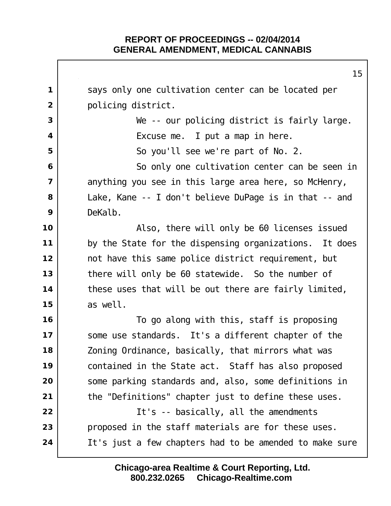says only one cultivation center can be located per policing district. We -- our policing district is fairly large. | Excuse me. I put a map in here. So you'll see we're part of No. 2. So only one cultivation center can be seen in anything you see in this large area here, so McHenry, Lake, Kane -- I don't believe DuPage is in that -- and DeKalb. Also, there will only be 60 licenses issued by the State for the dispensing organizations. It does not have this same police district requirement, but there will only be 60 statewide. So the number of these uses that will be out there are fairly limited, as well. To go along with this, staff is proposing Some use standards. It's a different chapter of the Zoning Ordinance, basically, that mirrors what was contained in the State act. Staff has also proposed Some parking standards and, also, some definitions in the "Definitions" chapter just to define these uses. It's -- basically, all the amendments proposed in the staff materials are for these uses. It's just a few chapters had to be amended to make sure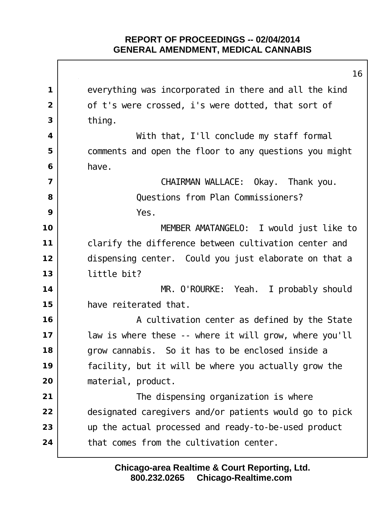$\mathbf{I}$ 

|                         | 16                                                     |
|-------------------------|--------------------------------------------------------|
| $\mathbf 1$             | everything was incorporated in there and all the kind  |
| $\overline{2}$          | of t's were crossed, i's were dotted, that sort of     |
| 3                       | thi ng.                                                |
| $\overline{\mathbf{4}}$ | With that, I'll conclude my staff formal               |
| 5                       | comments and open the floor to any questions you might |
| 6                       | have.                                                  |
| $\overline{\mathbf{z}}$ | CHAIRMAN WALLACE: Okay. Thank you.                     |
| 8                       | Questions from Plan Commissioners?                     |
| 9                       | Yes.                                                   |
| 10                      | MEMBER AMATANGELO: I would just like to                |
| 11                      | clarify the difference between cultivation center and  |
| 12                      | dispensing center. Could you just elaborate on that a  |
| 13                      | little bit?                                            |
| 14                      | MR. O'ROURKE: Yeah. I probably should                  |
| 15                      | have reiterated that.                                  |
| 16                      | A cultivation center as defined by the State           |
| 17                      | law is where these -- where it will grow, where you'll |
| 18                      | grow cannabis. So it has to be enclosed inside a       |
| 19                      | facility, but it will be where you actually grow the   |
| 20                      | material, product.                                     |
| 21                      | The dispensing organization is where                   |
| 22                      | designated caregivers and/or patients would go to pick |
| 23                      | up the actual processed and ready-to-be-used product   |
| 24                      | that comes from the cultivation center.                |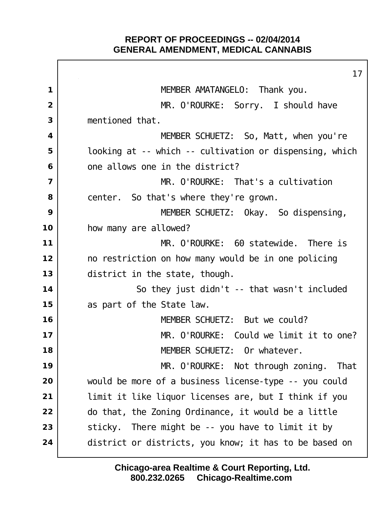|                         | 17                                                      |
|-------------------------|---------------------------------------------------------|
| 1                       | MEMBER AMATANGELO: Thank you.                           |
| $\overline{2}$          | MR. O'ROURKE: Sorry. I should have                      |
| 3                       | mentioned that.                                         |
| $\overline{\mathbf{4}}$ | MEMBER SCHUETZ: So, Matt, when you're                   |
| 5                       | looking at -- which -- cultivation or dispensing, which |
| 6                       | one allows one in the district?                         |
| $\overline{\mathbf{z}}$ | MR. O'ROURKE: That's a cultivation                      |
| 8                       | center. So that's where they're grown.                  |
| 9                       | MEMBER SCHUETZ: Okay. So dispensing,                    |
| 10                      | how many are allowed?                                   |
| 11                      | MR. O'ROURKE: 60 statewide. There is                    |
| 12                      | no restriction on how many would be in one policing     |
| 13                      | district in the state, though.                          |
| 14                      | So they just didn't -- that wasn't included             |
| 15                      | as part of the State law.                               |
| 16                      | MEMBER SCHUETZ: But we could?                           |
| 17                      | MR. O'ROURKE: Could we limit it to one?                 |
| 18                      | MEMBER SCHUETZ: Or whatever.                            |
| 19                      | MR. O'ROURKE: Not through zoning. That                  |
| 20                      | would be more of a business license-type -- you could   |
| 21                      | limit it like liquor licenses are, but I think if you   |
| 22                      | do that, the Zoning Ordinance, it would be a little     |
| 23                      | There might be -- you have to limit it by<br>sticky.    |
| 24                      | district or districts, you know; it has to be based on  |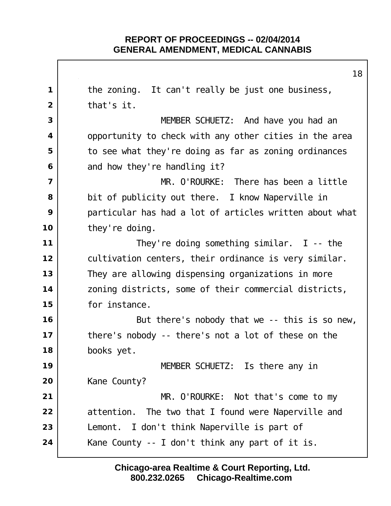the zoning. It can't really be just one business, that's it. MEMBER SCHUETZ: And have you had an opportunity to check with any other cities in the area to see what they're doing as far as zoning ordinances and how they're handling it? MR. O'ROURKE: There has been a little bit of publicity out there. I know Naperville in particular has had a lot of articles written about what they're doing. They're doing something similar. I -- the cultivation centers, their ordinance is very similar. They are allowing dispensing organizations in more zoning districts, some of their commercial districts, for instance.  $\vert$  **But there's nobody that we** -- this is so new, there's nobody -- there's not a lot of these on the books yet. MEMBER SCHUETZ: Is there any in Kane County? MR. O'ROURKE: Not that's come to my attention. The two that I found were Naperville and Lemont. I don't think Naperville is part of Kane County -- I don't think any part of it is.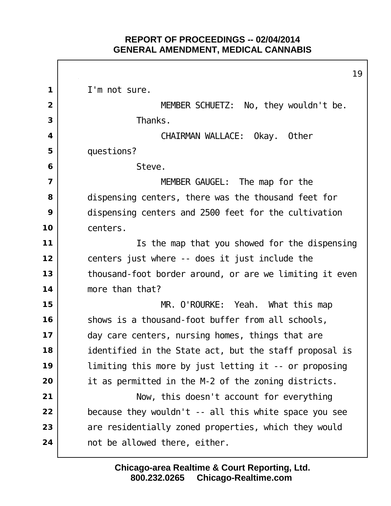I'm not sure. MEMBER SCHUETZ: No, they wouldn't be. Thanks. CHAIRMAN WALLACE: Okay. Other questions? Steve. MEMBER GAUGEL: The map for the dispensing centers, there was the thousand feet for dispensing centers and 2500 feet for the cultivation centers. Is the map that you showed for the dispensing centers just where -- does it just include the thousand-foot border around, or are we limiting it even more than that? MR. O'ROURKE: Yeah. What this map shows is a thousand-foot buffer from all schools, day care centers, nursing homes, things that are identified in the State act, but the staff proposal is limiting this more by just letting it -- or proposing it as permitted in the M-2 of the zoning districts. Now, this doesn't account for everything because they wouldn't -- all this white space you see are residentially zoned properties, which they would not be allowed there, either.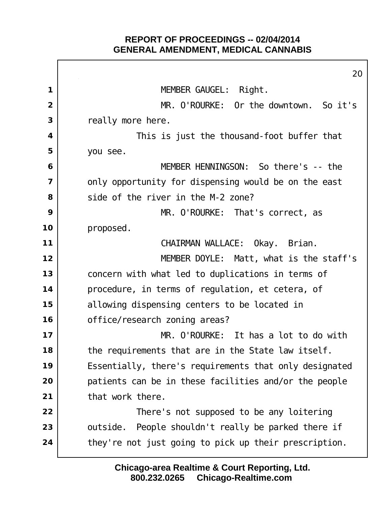$\Gamma$ 

|    | 20                                                     |
|----|--------------------------------------------------------|
| 1  | MEMBER GAUGEL: Right.                                  |
| 2  | MR. O'ROURKE: Or the downtown. So it's                 |
| 3  | really more here.                                      |
| 4  | This is just the thousand-foot buffer that             |
| 5  | you see.                                               |
| 6  | MEMBER HENNINGSON: So there's -- the                   |
| 7  | only opportunity for dispensing would be on the east   |
| 8  | side of the river in the M-2 zone?                     |
| 9  | MR. O'ROURKE: That's correct, as                       |
| 10 | proposed.                                              |
| 11 | CHAIRMAN WALLACE: Okay. Brian.                         |
| 12 | MEMBER DOYLE: Matt, what is the staff's                |
| 13 | concern with what led to duplications in terms of      |
| 14 | procedure, in terms of regulation, et cetera, of       |
| 15 | allowing dispensing centers to be located in           |
| 16 | office/research zoning areas?                          |
| 17 | MR. O'ROURKE: It has a lot to do with                  |
| 18 | the requirements that are in the State law itself.     |
| 19 | Essentially, there's requirements that only designated |
| 20 | patients can be in these facilities and/or the people  |
| 21 | that work there.                                       |
| 22 | There's not supposed to be any loitering               |
| 23 | outside. People shouldn't really be parked there if    |
| 24 | they're not just going to pick up their prescription.  |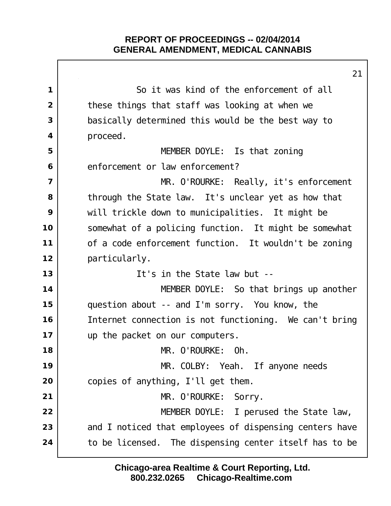|                | ∠ ।                                                       |
|----------------|-----------------------------------------------------------|
| 1              | So it was kind of the enforcement of all                  |
| $\overline{2}$ | these things that staff was looking at when we            |
| 3              | basically determined this would be the best way to        |
| 4              | proceed.                                                  |
| 5              | MEMBER DOYLE: Is that zoning                              |
| 6              | enforcement or law enforcement?                           |
| $\overline{7}$ | MR. O'ROURKE: Really, it's enforcement                    |
| 8              | through the State law. It's unclear yet as how that       |
| 9              | will trickle down to municipalities. It might be          |
| 10             | somewhat of a policing function. It might be somewhat     |
| 11             | of a code enforcement function. It wouldn't be zoning     |
| 12             | particularly.                                             |
| 13             | It's in the State law but --                              |
| 14             | MEMBER DOYLE: So that brings up another                   |
| 15             | question about -- and I'm sorry. You know, the            |
| 16             | Internet connection is not functioning. We can't bring    |
| 17             | up the packet on our computers.                           |
| 18             | MR. O'ROURKE: Oh.                                         |
| 19             | MR. COLBY: Yeah. If anyone needs                          |
| 20             | copies of anything, I'll get them.                        |
| 21             | MR. O'ROURKE: Sorry.                                      |
| 22             | MEMBER DOYLE: I perused the State law,                    |
| 23             | and I noticed that employees of dispensing centers have   |
| 24             | to be licensed.<br>The dispensing center itself has to be |
|                |                                                           |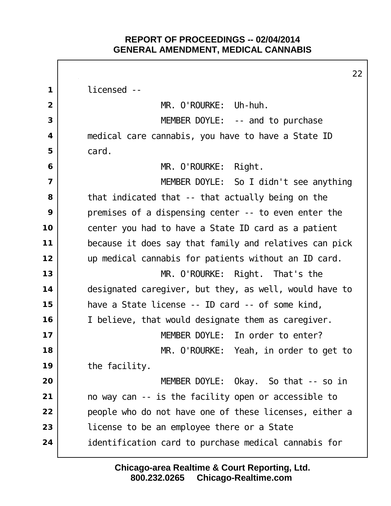licensed -- I MR. O'ROURKE: Uh-huh. MEMBER DOYLE: -- and to purchase medical care cannabis, you have to have a State ID card. MR. O'ROURKE: Right. MEMBER DOYLE: So I didn't see anything that indicated that -- that actually being on the premises of a dispensing center -- to even enter the center you had to have a State ID card as a patient because it does say that family and relatives can pick up medical cannabis for patients without an ID card. MR. O'ROURKE: Right. That's the designated caregiver, but they, as well, would have to have a State license -- ID card -- of some kind, I believe, that would designate them as caregiver. I MEMBER DOYLE: In order to enter? MR. O'ROURKE: Yeah, in order to get to the facility. MEMBER DOYLE: Okay. So that -- so in no way can -- is the facility open or accessible to people who do not have one of these licenses, either a license to be an employee there or a State identification card to purchase medical cannabis for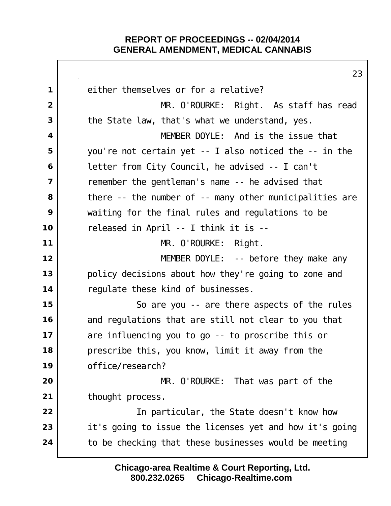either themselves or for a relative? MR. O'ROURKE: Right. As staff has read the State law, that's what we understand, yes. MEMBER DOYLE: And is the issue that you're not certain yet -- I also noticed the -- in the letter from City Council, he advised -- I can't Temember the gentleman's name -- he advised that | there -- the number of -- many other municipalities are waiting for the final rules and regulations to be released in April -- I think it is -- MR. O'ROURKE: Right. | **MEMBER DOYLE:** -- before they make any policy decisions about how they're going to zone and regulate these kind of businesses. So are you -- are there aspects of the rules and regulations that are still not clear to you that are influencing you to go -- to proscribe this or prescribe this, you know, limit it away from the office/research? MR. O'ROURKE: That was part of the thought process. In particular, the State doesn't know how it's going to issue the licenses yet and how it's going to be checking that these businesses would be meeting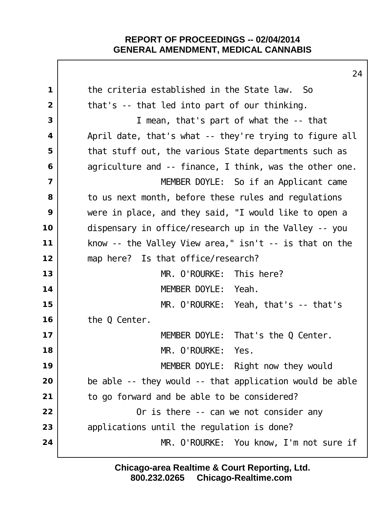|                         | 24                                                        |
|-------------------------|-----------------------------------------------------------|
| $\mathbf 1$             | the criteria established in the State law. So             |
| $\overline{2}$          | that's -- that led into part of our thinking.             |
| 3                       | I mean, that's part of what the -- that                   |
| $\overline{\mathbf{4}}$ | April date, that's what -- they're trying to figure all   |
| 5                       | that stuff out, the various State departments such as     |
| 6                       | agriculture and -- finance, I think, was the other one.   |
| $\overline{\mathbf{z}}$ | MEMBER DOYLE: So if an Applicant came                     |
| 8                       | to us next month, before these rules and regulations      |
| 9                       | were in place, and they said, "I would like to open a     |
| 10                      | dispensary in office/research up in the Valley -- you     |
| 11                      | know -- the Valley View area," $\sin t$ -- is that on the |
| 12                      | map here? Is that office/research?                        |
| 13                      | MR. O'ROURKE: This here?                                  |
| 14                      | MEMBER DOYLE: Yeah.                                       |
| 15                      | MR. $0'$ ROURKE: Yeah, that's $-$ that's                  |
| 16                      | the Q Center.                                             |
| 17                      | MEMBER DOYLE: That's the Q Center.                        |
| 18                      | MR. O'ROURKE:<br>Yes.                                     |
| 19                      | MEMBER DOYLE: Right now they would                        |
| 20                      | be able -- they would -- that application would be able   |
| 21                      | to go forward and be able to be considered?               |
| 22                      | Or is there -- can we not consider any                    |
| 23                      | applications until the regulation is done?                |
| 24                      | MR. O'ROURKE: You know, I'm not sure if                   |
|                         |                                                           |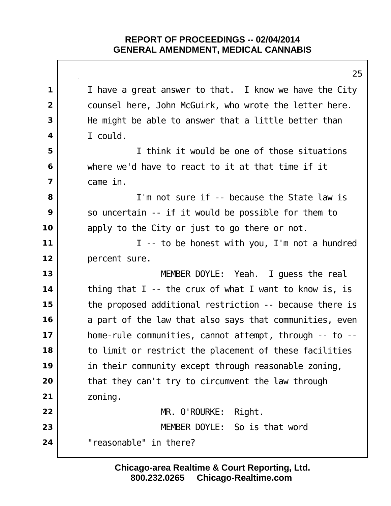I have a great answer to that. I know we have the City counsel here, John McGuirk, who wrote the letter here. He might be able to answer that a little better than I could. I think it would be one of those situations where we'd have to react to it at that time if it came in. I'm not sure if -- because the State law is So uncertain -- if it would be possible for them to apply to the City or just to go there or not. I -- to be honest with you, I'm not a hundred percent sure. MEMBER DOYLE: Yeah. I guess the real thing that I -- the crux of what I want to know is, is the proposed additional restriction -- because there is a part of the law that also says that communities, even home-rule communities, cannot attempt, through -- to -- to limit or restrict the placement of these facilities in their community except through reasonable zoning, that they can't try to circumvent the law through zoning. MR. O'ROURKE: Right. MEMBER DOYLE: So is that word "reasonable" in there?

> **800.232.0265 Chicago-Realtime.com Chicago-area Realtime & Court Reporting, Ltd.**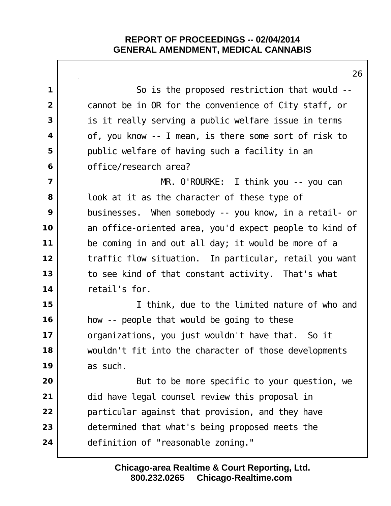|                         | ∠c                                                      |
|-------------------------|---------------------------------------------------------|
| $\mathbf 1$             | So is the proposed restriction that would --            |
| $\overline{2}$          | cannot be in OR for the convenience of City staff, or   |
| 3                       | is it really serving a public welfare issue in terms    |
| $\overline{\mathbf{4}}$ | of, you know -- I mean, is there some sort of risk to   |
| 5                       | public welfare of having such a facility in an          |
| 6                       | office/research area?                                   |
| $\overline{7}$          | MR. O'ROURKE: I think you -- you can                    |
| 8                       | look at it as the character of these type of            |
| 9                       | businesses. When somebody -- you know, in a retail- or  |
| 10                      | an office-oriented area, you'd expect people to kind of |
| 11                      | be coming in and out all day; it would be more of a     |
| 12                      | traffic flow situation. In particular, retail you want  |
| 13                      | to see kind of that constant activity. That's what      |
| 14                      | retail's for.                                           |
| 15                      | I think, due to the limited nature of who and           |
| 16                      | how -- people that would be going to these              |
| 17                      | organizations, you just wouldn't have that. So it       |
| 18                      | wouldn't fit into the character of those developments   |
| 19                      | as such.                                                |
| 20                      | But to be more specific to your question, we            |
| 21                      | did have legal counsel review this proposal in          |
| 22                      | particular against that provision, and they have        |
| 23                      | determined that what's being proposed meets the         |
| 24                      | definition of "reasonable zoning."                      |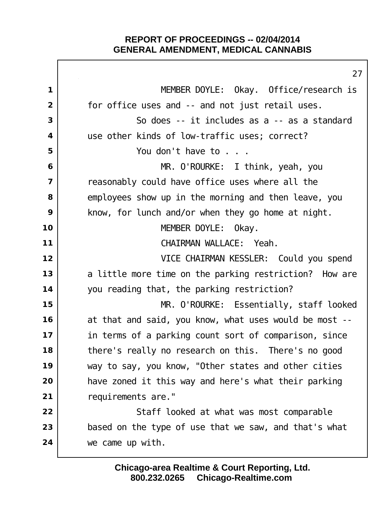MEMBER DOYLE: Okay. Office/research is for office uses and -- and not just retail uses. So does -- it includes as a -- as a standard use other kinds of low-traffic uses; correct? You don't have to . . . MR. O'ROURKE: I think, yeah, you reasonably could have office uses where all the employees show up in the morning and then leave, you | know, for lunch and/or when they go home at night. MEMBER DOYLE: Okay. CHAIRMAN WALLACE: Yeah. VICE CHAIRMAN KESSLER: Could you spend a little more time on the parking restriction? How are you reading that, the parking restriction? MR. O'ROURKE: Essentially, staff looked at that and said, you know, what uses would be most -- in terms of a parking count sort of comparison, since there's really no research on this. There's no good way to say, you know, "Other states and other cities have zoned it this way and here's what their parking 21 | requirements are." Staff looked at what was most comparable based on the type of use that we saw, and that's what we came up with.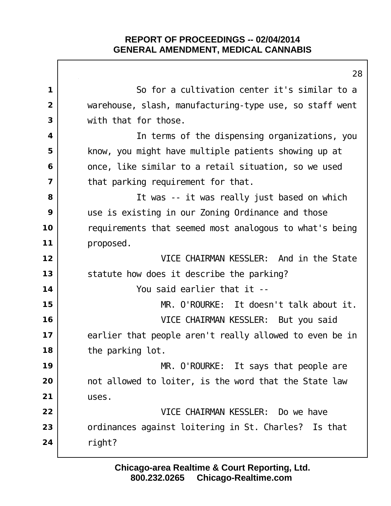|                | 28                                                      |
|----------------|---------------------------------------------------------|
| $\mathbf 1$    | So for a cultivation center it's similar to a           |
| $\overline{2}$ | warehouse, slash, manufacturing-type use, so staff went |
| 3              | with that for those.                                    |
| 4              | In terms of the dispensing organizations, you           |
| 5              | know, you might have multiple patients showing up at    |
| 6              | once, like similar to a retail situation, so we used    |
| $\overline{7}$ | that parking requirement for that.                      |
| 8              | It was -- it was really just based on which             |
| 9              | use is existing in our Zoning Ordinance and those       |
| 10             | requirements that seemed most analogous to what's being |
| 11             | proposed.                                               |
| 12             | VICE CHAIRMAN KESSLER: And in the State                 |
| 13             | statute how does it describe the parking?               |
| 14             | You said earlier that it --                             |
| 15             | MR. O'ROURKE: It doesn't talk about it.                 |
| 16             | VICE CHAIRMAN KESSLER: But you said                     |
| 17             | earlier that people aren't really allowed to even be in |
| 18             | the parking lot.                                        |
| 19             | MR. O'ROURKE: It says that people are                   |
| 20             | not allowed to loiter, is the word that the State law   |
| 21             | uses.                                                   |
| 22             | VICE CHAIRMAN KESSLER: Do we have                       |
| 23             | ordinances against loitering in St. Charles? Is that    |
| 24             | right?                                                  |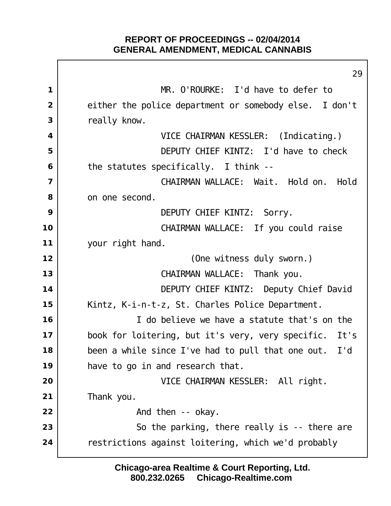MR. O'ROURKE: I'd have to defer to either the police department or somebody else. I don't really know. VICE CHAIRMAN KESSLER: (Indicating.) DEPUTY CHIEF KINTZ: I'd have to check the statutes specifically. I think -- CHAIRMAN WALLACE: Wait. Hold on. Hold on one second. DEPUTY CHIEF KINTZ: Sorry. CHAIRMAN WALLACE: If you could raise your right hand. (One witness duly sworn.) CHAIRMAN WALLACE: Thank you. DEPUTY CHIEF KINTZ: Deputy Chief David Kintz, K-i-n-t-z, St. Charles Police Department. I do believe we have a statute that's on the book for loitering, but it's very, very specific. It's been a while since I've had to pull that one out. I'd have to go in and research that. VICE CHAIRMAN KESSLER: All right. Thank you. **And then** -- okay. So the parking, there really is -- there are restrictions against loitering, which we'd probably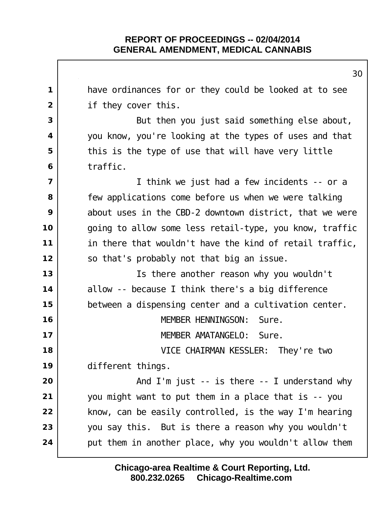have ordinances for or they could be looked at to see if they cover this. But then you just said something else about, you know, you're looking at the types of uses and that this is the type of use that will have very little traffic. I think we just had a few incidents -- or a Few applications come before us when we were talking about uses in the CBD-2 downtown district, that we were going to allow some less retail-type, you know, traffic in there that wouldn't have the kind of retail traffic, so that's probably not that big an issue. Is there another reason why you wouldn't allow -- because I think there's a big difference 15 | between a dispensing center and a cultivation center. MEMBER HENNINGSON: Sure. MEMBER AMATANGELO: Sure. VICE CHAIRMAN KESSLER: They're two different things.  $\vert$  **And I'm just -- is there -- I understand why**  you might want to put them in a place that is -- you | know, can be easily controlled, is the way I'm hearing you say this. But is there a reason why you wouldn't put them in another place, why you wouldn't allow them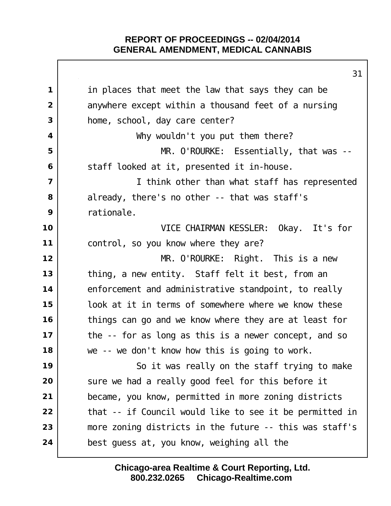|                | ا ت                                                     |
|----------------|---------------------------------------------------------|
| 1              | in places that meet the law that says they can be       |
| $\overline{2}$ | anywhere except within a thousand feet of a nursing     |
| 3              | home, school, day care center?                          |
| 4              | Why wouldn't you put them there?                        |
| 5              | $MR.$ O'ROURKE: Essentially, that was --                |
| 6              | staff looked at it, presented it in-house.              |
| 7              | I think other than what staff has represented           |
| 8              | al ready, there's no other -- that was staff's          |
| 9              | rationale.                                              |
| 10             | VICE CHAIRMAN KESSLER: Okay. It's for                   |
| 11             | control, so you know where they are?                    |
| 12             | MR. O'ROURKE: Right. This is a new                      |
| 13             | thing, a new entity. Staff felt it best, from an        |
| 14             | enforcement and administrative standpoint, to really    |
| 15             | look at it in terms of somewhere where we know these    |
| 16             | things can go and we know where they are at least for   |
| 17             | the -- for as long as this is a newer concept, and so   |
| 18             | we -- we don't know how this is going to work.          |
| 19             | So it was really on the staff trying to make            |
| 20             | sure we had a really good feel for this before it       |
| 21             | became, you know, permitted in more zoning districts    |
| 22             | that -- if Council would like to see it be permitted in |
| 23             | more zoning districts in the future -- this was staff's |
| 24             | best guess at, you know, weighing all the               |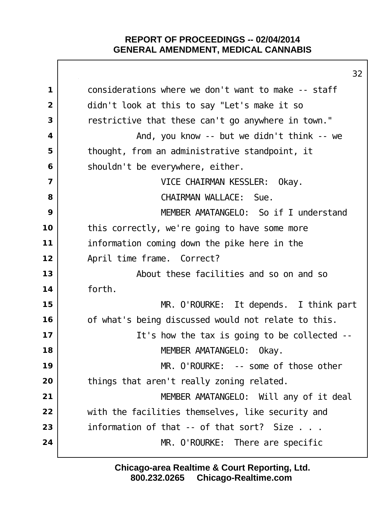|                | 32                                                  |
|----------------|-----------------------------------------------------|
| $\mathbf 1$    | considerations where we don't want to make -- staff |
| $\overline{2}$ | didn't look at this to say "Let's make it so        |
| 3              | restrictive that these can't go anywhere in town."  |
| 4              | And, you know -- but we didn't think -- we          |
| 5              | thought, from an administrative standpoint, it      |
| 6              | shouldn't be everywhere, either.                    |
| $\overline{7}$ | VICE CHAIRMAN KESSLER: Okay.                        |
| 8              | CHAIRMAN WALLACE: Sue.                              |
| 9              | MEMBER AMATANGELO: So if I understand               |
| 10             | this correctly, we're going to have some more       |
| 11             | information coming down the pike here in the        |
| 12             | April time frame. Correct?                          |
| 13             | About these facilities and so on and so             |
| 14             | forth.                                              |
| 15             | MR. O'ROURKE: It depends. I think part              |
| 16             | of what's being discussed would not relate to this. |
| 17             | It's how the tax is going to be collected --        |
| 18             | MEMBER AMATANGELO:<br>0kay.                         |
| 19             | MR. O'ROURKE: -- some of those other                |
| 20             | things that aren't really zoning related.           |
| 21             | MEMBER AMATANGELO: Will any of it deal              |
| 22             | with the facilities themselves, like security and   |
| 23             | information of that -- of that sort? Size           |
| 24             | MR. O'ROURKE: There are specific                    |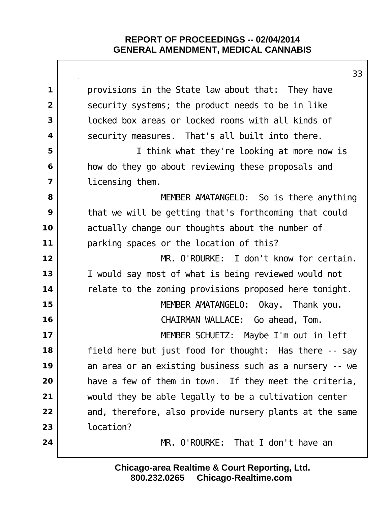|                | 33                                                      |
|----------------|---------------------------------------------------------|
| $\mathbf 1$    | provisions in the State law about that: They have       |
| $\overline{2}$ | security systems; the product needs to be in like       |
| 3              | locked box areas or locked rooms with all kinds of      |
| 4              | security measures. That's all built into there.         |
| 5              | I think what they're looking at more now is             |
| 6              | how do they go about reviewing these proposals and      |
| $\overline{7}$ | licensing them.                                         |
| 8              | MEMBER AMATANGELO: So is there anything                 |
| 9              | that we will be getting that's forthcoming that could   |
| 10             | actually change our thoughts about the number of        |
| 11             | parking spaces or the location of this?                 |
| 12             | MR. O'ROURKE: I don't know for certain.                 |
| 13             | I would say most of what is being reviewed would not    |
| 14             | relate to the zoning provisions proposed here tonight.  |
| 15             | MEMBER AMATANGELO: Okay. Thank you.                     |
| 16             | CHAIRMAN WALLACE: Go ahead, Tom.                        |
| 17             | MEMBER SCHUETZ: Maybe I'm out in left                   |
| 18             | field here but just food for thought: Has there -- say  |
| 19             | an area or an existing business such as a nursery -- we |
| 20             | have a few of them in town. If they meet the criteria,  |
| 21             | would they be able legally to be a cultivation center   |
| 22             | and, therefore, also provide nursery plants at the same |
| 23             | location?                                               |
| 24             | MR. O'ROURKE: That I don't have an                      |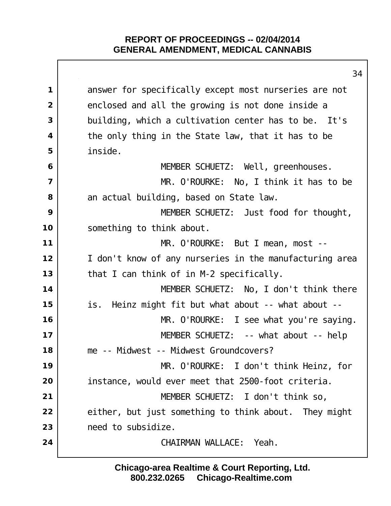| ٥4                                                      |
|---------------------------------------------------------|
| answer for specifically except most nurseries are not   |
| enclosed and all the growing is not done inside a       |
| building, which a cultivation center has to be. It's    |
| the only thing in the State law, that it has to be      |
| inside.                                                 |
| MEMBER SCHUETZ: Well, greenhouses.                      |
| MR. O'ROURKE: No, I think it has to be                  |
| an actual building, based on State law.                 |
| MEMBER SCHUETZ: Just food for thought,                  |
| something to think about.                               |
| MR. O'ROURKE: But I mean, most --                       |
| I don't know of any nurseries in the manufacturing area |
| that I can think of in M-2 specifically.                |
| MEMBER SCHUETZ: No, I don't think there                 |
| is. Heinz might fit but what about -- what about --     |
| MR. O'ROURKE: I see what you're saying.                 |
| MEMBER SCHUETZ: -- what about -- help                   |
| me -- Midwest -- Midwest Groundcovers?                  |
| MR. O'ROURKE: I don't think Heinz, for                  |
| instance, would ever meet that 2500-foot criteria.      |
| MEMBER SCHUETZ: I don't think so,                       |
| either, but just something to think about. They might   |
| need to subsidize.                                      |
|                                                         |
|                                                         |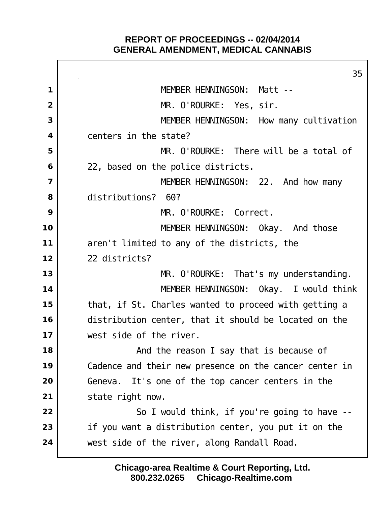Г

|                         | 35                                                     |
|-------------------------|--------------------------------------------------------|
| 1                       | MEMBER HENNINGSON: Matt --                             |
| $\overline{2}$          | MR. O'ROURKE: Yes, sir.                                |
| 3                       | MEMBER HENNINGSON: How many cultivation                |
| $\overline{\mathbf{4}}$ | centers in the state?                                  |
| 5                       | MR. O'ROURKE: There will be a total of                 |
| 6                       | 22, based on the police districts.                     |
| $\overline{\mathbf{z}}$ | MEMBER HENNINGSON: 22. And how many                    |
| 8                       | distributions? 60?                                     |
| 9                       | MR. O'ROURKE: Correct.                                 |
| 10                      | MEMBER HENNINGSON: Okay. And those                     |
| 11                      | aren't limited to any of the districts, the            |
| 12                      | 22 districts?                                          |
| 13                      | MR. O'ROURKE: That's my understanding.                 |
| 14                      | MEMBER HENNINGSON: Okay. I would think                 |
| 15                      | that, if St. Charles wanted to proceed with getting a  |
| 16                      | distribution center, that it should be located on the  |
| 17                      | west side of the river.                                |
| 18                      | And the reason I say that is because of                |
| 19                      | Cadence and their new presence on the cancer center in |
| 20                      | Geneva. It's one of the top cancer centers in the      |
| 21                      | state right now.                                       |
| 22                      | So I would think, if you're going to have --           |
| 23                      | if you want a distribution center, you put it on the   |
| 24                      | west side of the river, along Randall Road.            |
|                         |                                                        |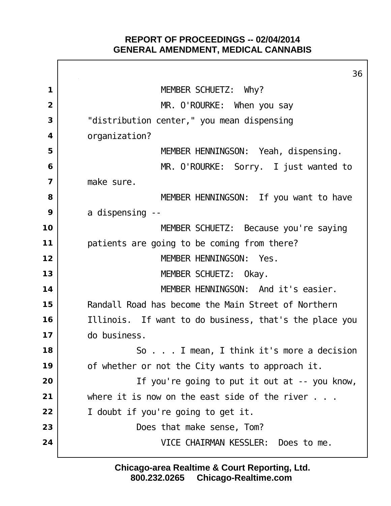Г

|                         | 36                                                     |
|-------------------------|--------------------------------------------------------|
| 1                       | MEMBER SCHUETZ: Why?                                   |
| $\overline{2}$          | MR. O'ROURKE: When you say                             |
| 3                       | "distribution center," you mean dispensing             |
| $\overline{\mathbf{4}}$ | organi zati on?                                        |
| 5                       | MEMBER HENNINGSON: Yeah, dispensing.                   |
| 6                       | MR. O'ROURKE: Sorry. I just wanted to                  |
| $\overline{\mathbf{z}}$ | make sure.                                             |
| 8                       | MEMBER HENNINGSON: If you want to have                 |
| 9                       | a di spensing --                                       |
| 10                      | MEMBER SCHUETZ: Because you're saying                  |
| 11                      | patients are going to be coming from there?            |
| 12                      | MEMBER HENNINGSON: Yes.                                |
| 13                      | MEMBER SCHUETZ: Okay.                                  |
| 14                      | MEMBER HENNINGSON: And it's easier.                    |
| 15                      | Randall Road has become the Main Street of Northern    |
| 16                      | Illinois. If want to do business, that's the place you |
| 17                      | do business.                                           |
| 18                      | . I mean, I think it's more a decision<br>So           |
| 19                      | of whether or not the City wants to approach it.       |
| 20                      | If you're going to put it out at -- you know,          |
| 21                      | where it is now on the east side of the river $\dots$  |
| 22                      | I doubt if you're going to get it.                     |
| 23                      | Does that make sense, Tom?                             |
| 24                      | VICE CHAIRMAN KESSLER: Does to me.                     |
|                         |                                                        |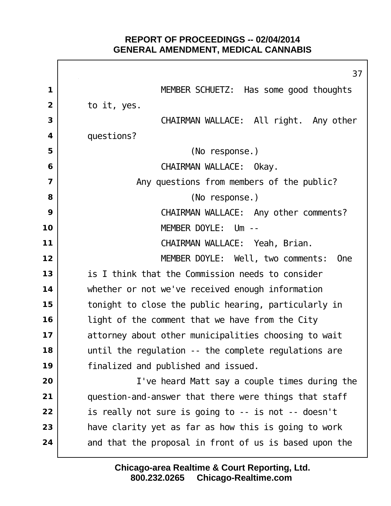Г

|                | 37                                                     |
|----------------|--------------------------------------------------------|
| 1              | MEMBER SCHUETZ: Has some good thoughts                 |
| $\overline{2}$ | to it, yes.                                            |
| 3              | CHAIRMAN WALLACE: All right. Any other                 |
| 4              | questions?                                             |
| 5              | (No response.)                                         |
| 6              | CHAIRMAN WALLACE: Okay.                                |
| $\overline{7}$ | Any questions from members of the public?              |
| 8              | (No response.)                                         |
| 9              | CHAIRMAN WALLACE: Any other comments?                  |
| 10             | MEMBER DOYLE: Um --                                    |
| 11             | CHAIRMAN WALLACE: Yeah, Brian.                         |
| 12             | MEMBER DOYLE: Well, two comments:<br><b>One</b>        |
| 13             | is I think that the Commission needs to consider       |
| 14             | whether or not we've received enough information       |
| 15             | tonight to close the public hearing, particularly in   |
| 16             | light of the comment that we have from the City        |
| 17             | attorney about other municipalities choosing to wait   |
| 18             | until the regulation -- the complete regulations are   |
| 19             | finalized and published and issued.                    |
| 20             | I've heard Matt say a couple times during the          |
| 21             | question-and-answer that there were things that staff  |
| 22             | is really not sure is going to -- is not -- doesn't    |
| 23             | have clarity yet as far as how this is going to work   |
| 24             | and that the proposal in front of us is based upon the |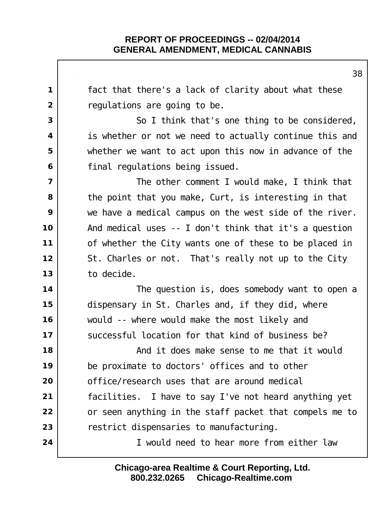fact that there's a lack of clarity about what these regulations are going to be. So I think that's one thing to be considered, is whether or not we need to actually continue this and whether we want to act upon this now in advance of the final regulations being issued.  $\vert$  The other comment I would make, I think that the point that you make, Curt, is interesting in that we have a medical campus on the west side of the river. And medical uses -- I don't think that it's a question of whether the City wants one of these to be placed in St. Charles or not. That's really not up to the City to decide. The question is, does somebody want to open a dispensary in St. Charles and, if they did, where would -- where would make the most likely and Successful Location for that kind of business be?  $\vert$  **And it does make sense to me that it would**  be proximate to doctors' offices and to other office/research uses that are around medical facilities. I have to say I've not heard anything yet or seen anything in the staff packet that compels me to restrict dispensaries to manufacturing. I would need to hear more from either law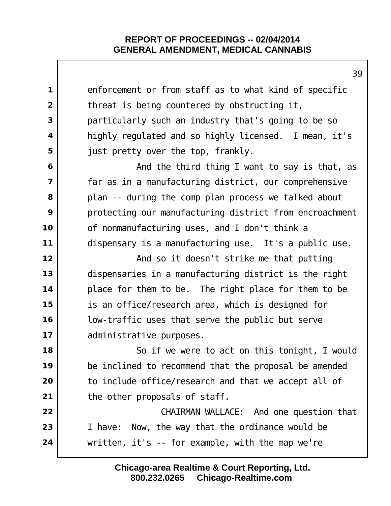|                | 35                                                      |
|----------------|---------------------------------------------------------|
| 1              | enforcement or from staff as to what kind of specific   |
| $\overline{2}$ | threat is being countered by obstructing it,            |
| 3              | particularly such an industry that's going to be so     |
| 4              | highly regulated and so highly licensed. I mean, it's   |
| 5              | just pretty over the top, frankly.                      |
| 6              | And the third thing I want to say is that, as           |
| $\overline{7}$ | far as in a manufacturing district, our comprehensive   |
| 8              | plan -- during the comp plan process we talked about    |
| 9              | protecting our manufacturing district from encroachment |
| 10             | of nonmanufacturing uses, and I don't think a           |
| 11             | dispensary is a manufacturing use. It's a public use.   |
| 12             | And so it doesn't strike me that putting                |
| 13             | dispensaries in a manufacturing district is the right   |
| 14             | place for them to be. The right place for them to be    |
| 15             | is an office/research area, which is designed for       |
| 16             | low-traffic uses that serve the public but serve        |
| 17             | administrative purposes.                                |
| 18             | So if we were to act on this tonight, I would           |
| 19             | be inclined to recommend that the proposal be amended   |
| 20             | to include office/research and that we accept all of    |
| 21             | the other proposals of staff.                           |
| 22             | CHAIRMAN WALLACE: And one question that                 |
| 23             | I have: Now, the way that the ordinance would be        |
| 24             | written, $it's - for example$ , with the map we're      |
|                |                                                         |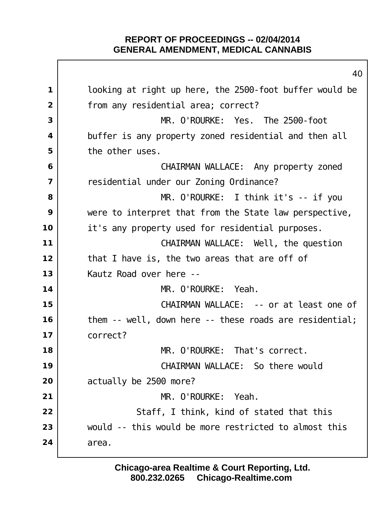|                | 40                                                      |
|----------------|---------------------------------------------------------|
| $\mathbf{1}$   | looking at right up here, the 2500-foot buffer would be |
| $\overline{2}$ | from any residential area; correct?                     |
| 3              | MR. O'ROURKE: Yes. The 2500-foot                        |
| 4              | buffer is any property zoned residential and then all   |
| 5              | the other uses.                                         |
| 6              | CHAIRMAN WALLACE: Any property zoned                    |
| 7              | residential under our Zoning Ordinance?                 |
| 8              | $MR.$ O'ROURKE: I think it's -- if you                  |
| 9              | were to interpret that from the State law perspective,  |
| 10             | it's any property used for residential purposes.        |
| 11             | CHAIRMAN WALLACE: Well, the question                    |
| 12             | that I have is, the two areas that are off of           |
| 13             | Kautz Road over here --                                 |
| 14             | MR. O'ROURKE: Yeah.                                     |
| 15             | CHAIRMAN WALLACE: -- or at least one of                 |
| 16             | them -- well, down here -- these roads are residential; |
| 17             | correct?                                                |
| 18             | MR. O'ROURKE: That's correct.                           |
| 19             | CHAIRMAN WALLACE: So there would                        |
| 20             | actually be 2500 more?                                  |
| 21             | MR. O' ROURKE:<br>Yeah.                                 |
| 22             | Staff, I think, kind of stated that this                |
| 23             | would -- this would be more restricted to almost this   |
| 24             | area.                                                   |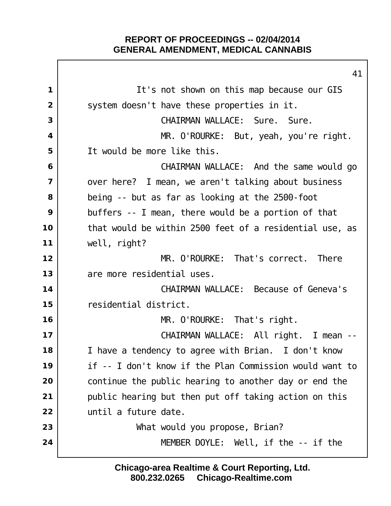It's not shown on this map because our GIS system doesn't have these properties in it. CHAIRMAN WALLACE: Sure. Sure. MR. O'ROURKE: But, yeah, you're right. It would be more like this. CHAIRMAN WALLACE: And the same would go over here? I mean, we aren't talking about business being -- but as far as looking at the 2500-foot buffers -- I mean, there would be a portion of that that would be within 2500 feet of a residential use, as well, right? I **MR. O'ROURKE:** That's correct. There 13 are more residential uses. CHAIRMAN WALLACE: Because of Geneva's residential district. MR. O'ROURKE: That's right. CHAIRMAN WALLACE: All right. I mean -- I have a tendency to agree with Brian. I don't know if -- I don't know if the Plan Commission would want to continue the public hearing to another day or end the public hearing but then put off taking action on this until a future date. What would you propose, Brian? MEMBER DOYLE: Well, if the -- if the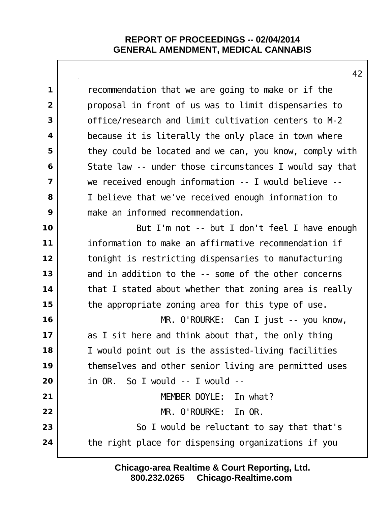recommendation that we are going to make or if the proposal in front of us was to limit dispensaries to office/research and limit cultivation centers to M-2 because it is literally the only place in town where they could be located and we can, you know, comply with State law -- under those circumstances I would say that we received enough information -- I would believe -- I believe that we've received enough information to make an informed recommendation. **but I'm not -- but I don't feel I have enough**  information to make an affirmative recommendation if tonight is restricting dispensaries to manufacturing and in addition to the -- some of the other concerns that I stated about whether that zoning area is really the appropriate zoning area for this type of use. MR. O'ROURKE: Can I just -- you know, as I sit here and think about that, the only thing I would point out is the assisted-living facilities themselves and other senior living are permitted uses in OR. So I would -- I would -- MEMBER DOYLE: In what? MR. O'ROURKE: In OR. So I would be reluctant to say that that's the right place for dispensing organizations if you

> **800.232.0265 Chicago-Realtime.com Chicago-area Realtime & Court Reporting, Ltd.**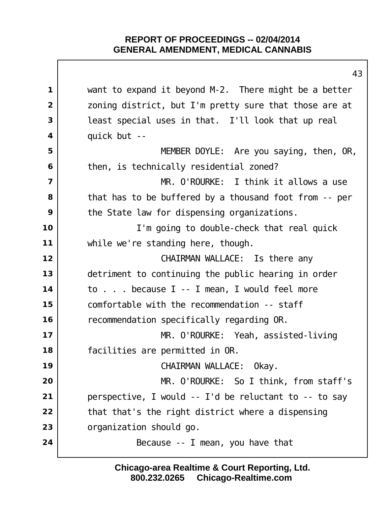|                         | 4                                                      |
|-------------------------|--------------------------------------------------------|
| $\mathbf 1$             | want to expand it beyond M-2. There might be a better  |
| $\overline{2}$          | zoning district, but I'm pretty sure that those are at |
| 3                       | least special uses in that. I'll look that up real     |
| $\overline{\mathbf{4}}$ | quick but --                                           |
| 5                       | MEMBER DOYLE: Are you saying, then, OR,                |
| 6                       | then, is technically residential zoned?                |
| $\overline{\mathbf{z}}$ | MR. O'ROURKE: I think it allows a use                  |
| 8                       | that has to be buffered by a thousand foot from -- per |
| 9                       | the State law for dispensing organizations.            |
| 10                      | I'm going to double-check that real quick              |
| 11                      | while we're standing here, though.                     |
| 12                      | CHAIRMAN WALLACE: Is there any                         |
| 13                      | detriment to continuing the public hearing in order    |
| 14                      | to because I -- I mean, I would feel more              |
| 15                      | comfortable with the recommendation -- staff           |
| 16                      | recommendation specifically regarding OR.              |
| 17                      | MR. O'ROURKE: Yeah, assisted-living                    |
| 18                      | facilities are permitted in OR.                        |
| 19                      | CHAIRMAN WALLACE: Okay.                                |
| 20                      | MR. O'ROURKE: So I think, from staff's                 |
| 21                      | perspective, I would -- I'd be reluctant to -- to say  |
| 22                      | that that's the right district where a dispensing      |
| 23                      | organization should go.                                |
| 24                      | Because -- I mean, you have that                       |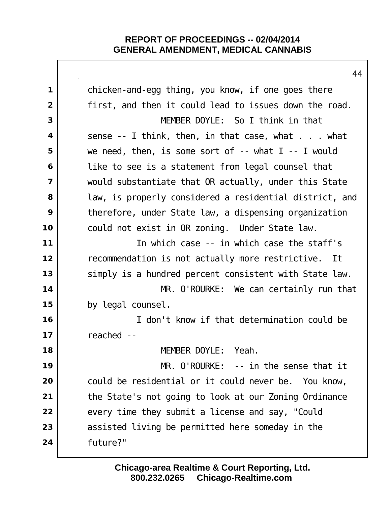|                | 44                                                          |
|----------------|-------------------------------------------------------------|
| $\mathbf 1$    | chicken-and-egg thing, you know, if one goes there          |
| $\overline{2}$ | first, and then it could lead to issues down the road.      |
| 3              | MEMBER DOYLE: So I think in that                            |
| 4              | sense $-$ 1 think, then, in that case, what $\ldots$ what   |
| 5              | we need, then, is some sort of $-$ - what $l$ $-$ - I would |
| 6              | like to see is a statement from legal counsel that          |
| $\overline{7}$ | would substantiate that OR actually, under this State       |
| 8              | law, is properly considered a residential district, and     |
| 9              | therefore, under State law, a dispensing organization       |
| 10             | could not exist in OR zoning. Under State law.              |
| 11             | In which case -- in which case the staff's                  |
| 12             | recommendation is not actually more restrictive. It         |
| 13             | simply is a hundred percent consistent with State law.      |
| 14             | MR. O'ROURKE: We can certainly run that                     |
| 15             | by legal counsel.                                           |
| 16             | I don't know if that determination could be                 |
| 17             | reached --                                                  |
| 18             | MEMBER DOYLE: Yeah.                                         |
| 19             | MR. O'ROURKE: -- in the sense that it                       |
| 20             | could be residential or it could never be. You know,        |
| 21             | the State's not going to look at our Zoning Ordinance       |
| 22             | every time they submit a license and say, "Could            |
| 23             | assisted living be permitted here someday in the            |
| 24             | future?"                                                    |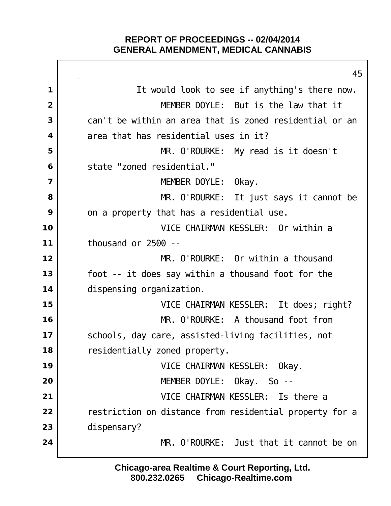$\mathsf{I}$ 

|                         | 45                                                      |
|-------------------------|---------------------------------------------------------|
| 1                       | It would look to see if anything's there now.           |
| $\overline{2}$          | MEMBER DOYLE: But is the law that it                    |
| 3                       | can't be within an area that is zoned residential or an |
| $\overline{\mathbf{4}}$ | area that has residential uses in it?                   |
| 5                       | MR. O'ROURKE: My read is it doesn't                     |
| 6                       | state "zoned residential."                              |
| $\overline{\mathbf{z}}$ | MEMBER DOYLE: Okay.                                     |
| 8                       | MR. O'ROURKE: It just says it cannot be                 |
| 9                       | on a property that has a residential use.               |
| 10                      | VICE CHAIRMAN KESSLER: Or within a                      |
| 11                      | thousand or $2500 - -$                                  |
| 12                      | MR. O'ROURKE: Or within a thousand                      |
| 13                      | foot -- it does say within a thousand foot for the      |
| 14                      | di spensing organi zation.                              |
| 15                      | VICE CHAIRMAN KESSLER: It does; right?                  |
| 16                      | MR. O'ROURKE: A thousand foot from                      |
| 17                      | schools, day care, assisted-living facilities, not      |
| 18                      | residentially zoned property.                           |
| 19                      | VICE CHAIRMAN KESSLER: Okay.                            |
| 20                      | MEMBER DOYLE: Okay. So --                               |
| 21                      | VICE CHAIRMAN KESSLER: Is there a                       |
| 22                      | restriction on distance from residential property for a |
| 23                      | di spensary?                                            |
| 24                      | MR. O'ROURKE: Just that it cannot be on                 |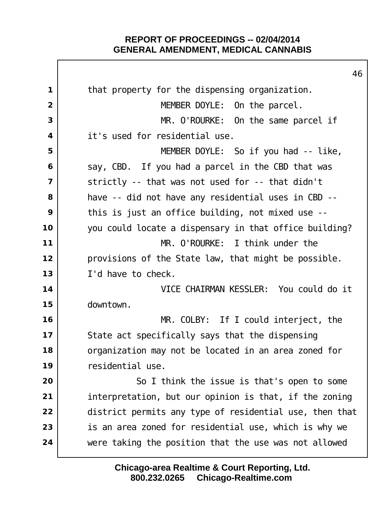|                | 46                                                      |
|----------------|---------------------------------------------------------|
| $\mathbf 1$    | that property for the dispensing organization.          |
| $\overline{2}$ | MEMBER DOYLE: On the parcel.                            |
| 3              | MR. O'ROURKE: On the same parcel if                     |
| 4              | it's used for residential use.                          |
| 5              | MEMBER DOYLE: So if you had -- like,                    |
| 6              | say, CBD. If you had a parcel in the CBD that was       |
| $\overline{7}$ | strictly -- that was not used for -- that didn't        |
| 8              | have -- did not have any residential uses in CBD --     |
| 9              | this is just an office building, not mixed use --       |
| 10             | you could locate a dispensary in that office building?  |
| 11             | MR. O'ROURKE: I think under the                         |
| 12             | provisions of the State law, that might be possible.    |
| 13             | I'd have to check.                                      |
| 14             | VICE CHAIRMAN KESSLER: You could do it                  |
| 15             | downtown.                                               |
| 16             | $MR.$ COLBY: If I could interject, the                  |
| 17             | State act specifically says that the dispensing         |
| 18             | organization may not be located in an area zoned for    |
| 19             | residential use.                                        |
| 20             | So I think the issue is that's open to some             |
| 21             | interpretation, but our opinion is that, if the zoning  |
| 22             | district permits any type of residential use, then that |
| 23             | is an area zoned for residential use, which is why we   |
| 24             | were taking the position that the use was not allowed   |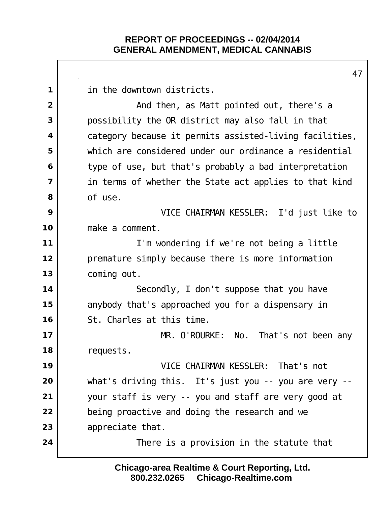in the downtown districts. And then, as Matt pointed out, there's a possibility the OR district may also fall in that category because it permits assisted-living facilities, which are considered under our ordinance a residential type of use, but that's probably a bad interpretation in terms of whether the State act applies to that kind of use. VICE CHAIRMAN KESSLER: I'd just like to make a comment. I'm wondering if we're not being a little premature simply because there is more information coming out. Secondly, I don't suppose that you have anybody that's approached you for a dispensary in St. Charles at this time. MR. O'ROURKE: No. That's not been any requests. VICE CHAIRMAN KESSLER: That's not what's driving this. It's just you -- you are very -- your staff is very -- you and staff are very good at being proactive and doing the research and we appreciate that.  $\vert$  **There is a provision in the statute that**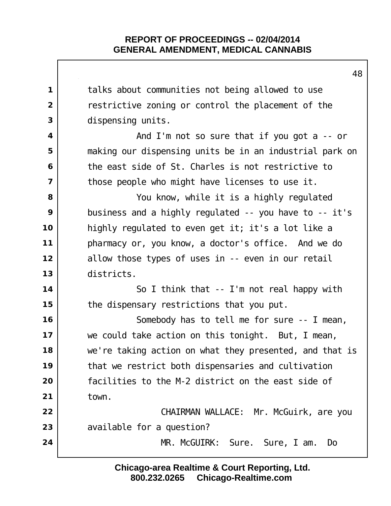|                         | 48                                                       |
|-------------------------|----------------------------------------------------------|
| $\mathbf 1$             | talks about communities not being allowed to use         |
| $\overline{2}$          | restrictive zoning or control the placement of the       |
| 3                       | di spensing units.                                       |
| $\overline{\mathbf{4}}$ | And I'm not so sure that if you got $a - c$ or           |
| 5                       | making our dispensing units be in an industrial park on  |
| 6                       | the east side of St. Charles is not restrictive to       |
| $\overline{7}$          | those people who might have licenses to use it.          |
| 8                       | You know, while it is a highly regulated                 |
| 9                       | business and a highly regulated $-$ you have to $-$ it's |
| 10                      | highly regulated to even get it; it's a lot like a       |
| 11                      | pharmacy or, you know, a doctor's office. And we do      |
| 12                      | allow those types of uses in -- even in our retail       |
| 13                      | districts.                                               |
| 14                      | So I think that -- I'm not real happy with               |
| 15                      | the dispensary restrictions that you put.                |
| 16                      | Somebody has to tell me for sure -- I mean,              |
| 17                      | we could take action on this tonight. But, I mean,       |
| 18                      | we're taking action on what they presented, and that is  |
| 19                      | that we restrict both dispensaries and cultivation       |
| 20                      | facilities to the M-2 district on the east side of       |
| 21                      | town.                                                    |
| 22                      | CHAIRMAN WALLACE: Mr. McGuirk, are you                   |
| 23                      | available for a question?                                |
| 24                      | MR. McGUIRK:<br>Sure, I am.<br>Sure.<br>Do               |
|                         |                                                          |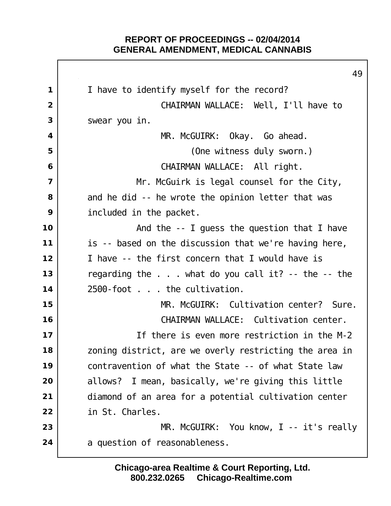|                | 49                                                           |
|----------------|--------------------------------------------------------------|
| $\mathbf{1}$   | I have to identify myself for the record?                    |
| $\overline{2}$ | CHAIRMAN WALLACE: Well, I'll have to                         |
| 3              | swear you in.                                                |
| 4              | MR. McGUIRK: Okay. Go ahead.                                 |
| 5              | (One witness duly sworn.)                                    |
| 6              | CHAIRMAN WALLACE: All right.                                 |
| $\overline{7}$ | Mr. McGuirk is legal counsel for the City,                   |
| 8              | and he did -- he wrote the opinion letter that was           |
| 9              | included in the packet.                                      |
| 10             | And the $-$ - I guess the question that I have               |
| 11             | is -- based on the discussion that we're having here,        |
| 12             | I have -- the first concern that I would have is             |
| 13             | regarding the $\ldots$ what do you call it? -- the $-$ - the |
| 14             | 2500-foot the cultivation.                                   |
| 15             | MR. McGUIRK: Cultivation center? Sure.                       |
| 16             | CHAIRMAN WALLACE: Cultivation center.                        |
| $17$           | If there is even more restriction in the M-2                 |
| 18             | zoning district, are we overly restricting the area in       |
| 19             | contravention of what the State -- of what State law         |
| 20             | allows? I mean, basically, we're giving this little          |
| 21             | diamond of an area for a potential cultivation center        |
| 22             | in St. Charles.                                              |
| 23             | MR. McGUIRK: You know, I -- it's really                      |
| 24             | a question of reasonableness.                                |
|                |                                                              |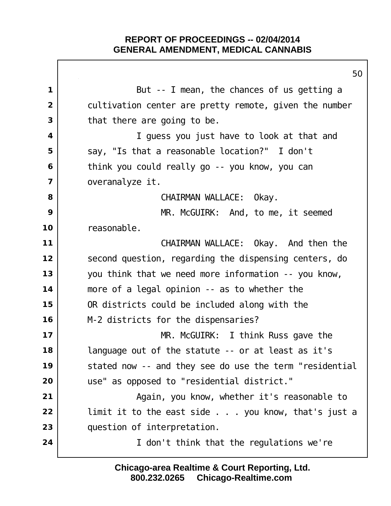Г

|                         | 50                                                      |
|-------------------------|---------------------------------------------------------|
| 1                       | But -- I mean, the chances of us getting a              |
| $\overline{2}$          | cultivation center are pretty remote, given the number  |
| 3                       | that there are going to be.                             |
| 4                       | I guess you just have to look at that and               |
| 5                       | say, "Is that a reasonable location?" I don't           |
| 6                       | think you could really go -- you know, you can          |
| $\overline{\mathbf{z}}$ | overanal yze it.                                        |
| 8                       | CHAIRMAN WALLACE: Okay.                                 |
| 9                       | MR. McGUIRK: And, to me, it seemed                      |
| 10                      | reasonable.                                             |
| 11                      | CHAIRMAN WALLACE: Okay. And then the                    |
| 12                      | second question, regarding the dispensing centers, do   |
| 13                      | you think that we need more information -- you know,    |
| 14                      | more of a legal opinion -- as to whether the            |
| 15                      | OR districts could be included along with the           |
| 16                      | M-2 districts for the dispensaries?                     |
| 17                      | $MR.$ McGUIRK: I think Russ gave the                    |
| 18                      | language out of the statute -- or at least as it's      |
| 19                      | stated now -- and they see do use the term "residential |
| 20                      | use" as opposed to "residential district."              |
| 21                      | Again, you know, whether it's reasonable to             |
| 22                      | limit it to the east side you know, that's just a       |
| 23                      | question of interpretation.                             |
| 24                      | I don't think that the regulations we're                |
|                         |                                                         |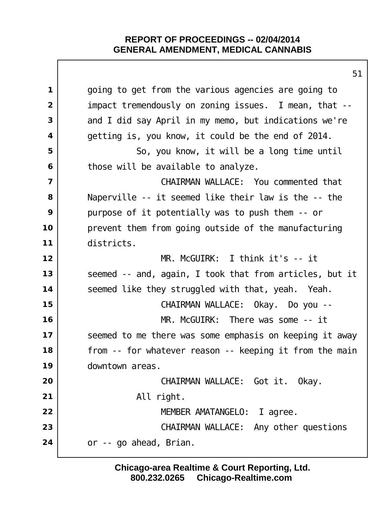|                         | 51                                                      |
|-------------------------|---------------------------------------------------------|
| $\mathbf 1$             | going to get from the various agencies are going to     |
| $\overline{2}$          | impact tremendously on zoning issues. I mean, that --   |
| 3                       | and I did say April in my memo, but indications we're   |
| 4                       | getting is, you know, it could be the end of 2014.      |
| 5                       | So, you know, it will be a long time until              |
| 6                       | those will be available to analyze.                     |
| $\overline{\mathbf{z}}$ | CHAIRMAN WALLACE: You commented that                    |
| 8                       | Naperville -- it seemed like their law is the -- the    |
| 9                       | purpose of it potentially was to push them -- or        |
| 10                      | prevent them from going outside of the manufacturing    |
| 11                      | districts.                                              |
| 12                      | $MR. McGUIRK: I think it's -- it$                       |
| 13                      | seemed -- and, again, I took that from articles, but it |
| 14                      | seemed like they struggled with that, yeah. Yeah.       |
| 15                      | CHAIRMAN WALLACE: Okay. Do you --                       |
| 16                      | $MR.$ McGUIRK: There was some $--$ it                   |
| 17                      | seemed to me there was some emphasis on keeping it away |
| 18                      | from -- for whatever reason -- keeping it from the main |
| 19                      | downtown areas.                                         |
| 20                      | CHAIRMAN WALLACE: Got it.<br>0kay.                      |
| 21                      | All right.                                              |
| 22                      | MEMBER AMATANGELO:<br>agree.<br>$\mathbf{L}$            |
| 23                      | CHAIRMAN WALLACE: Any other questions                   |
| 24                      | or -- go ahead, Brian.                                  |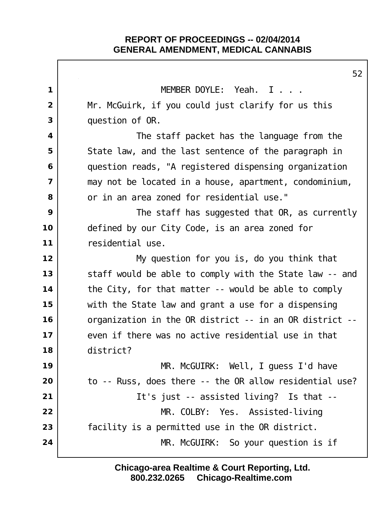$\mathsf{I}$ 

| MEMBER DOYLE: Yeah. I<br>$\mathbf 1$<br>Mr. McGuirk, if you could just clarify for us this<br>$\overline{2}$<br>3<br>question of OR.<br>The staff packet has the language from the<br>4<br>5<br>State law, and the last sentence of the paragraph in<br>question reads, "A registered dispensing organization<br>6<br>$\overline{7}$<br>may not be located in a house, apartment, condominium,<br>8<br>or in an area zoned for residential use." |  |
|--------------------------------------------------------------------------------------------------------------------------------------------------------------------------------------------------------------------------------------------------------------------------------------------------------------------------------------------------------------------------------------------------------------------------------------------------|--|
|                                                                                                                                                                                                                                                                                                                                                                                                                                                  |  |
|                                                                                                                                                                                                                                                                                                                                                                                                                                                  |  |
|                                                                                                                                                                                                                                                                                                                                                                                                                                                  |  |
|                                                                                                                                                                                                                                                                                                                                                                                                                                                  |  |
|                                                                                                                                                                                                                                                                                                                                                                                                                                                  |  |
|                                                                                                                                                                                                                                                                                                                                                                                                                                                  |  |
|                                                                                                                                                                                                                                                                                                                                                                                                                                                  |  |
|                                                                                                                                                                                                                                                                                                                                                                                                                                                  |  |
| 9<br>The staff has suggested that OR, as currently                                                                                                                                                                                                                                                                                                                                                                                               |  |
| 10<br>defined by our City Code, is an area zoned for                                                                                                                                                                                                                                                                                                                                                                                             |  |
| 11<br>residential use.                                                                                                                                                                                                                                                                                                                                                                                                                           |  |
| 12<br>My question for you is, do you think that                                                                                                                                                                                                                                                                                                                                                                                                  |  |
| 13<br>staff would be able to comply with the State law -- and                                                                                                                                                                                                                                                                                                                                                                                    |  |
| 14<br>the City, for that matter -- would be able to comply                                                                                                                                                                                                                                                                                                                                                                                       |  |
| 15<br>with the State law and grant a use for a dispensing                                                                                                                                                                                                                                                                                                                                                                                        |  |
| 16<br>organization in the OR district -- in an OR district --                                                                                                                                                                                                                                                                                                                                                                                    |  |
| 17<br>even if there was no active residential use in that                                                                                                                                                                                                                                                                                                                                                                                        |  |
| 18<br>district?                                                                                                                                                                                                                                                                                                                                                                                                                                  |  |
|                                                                                                                                                                                                                                                                                                                                                                                                                                                  |  |
| 19<br>MR. McGUIRK: Well, I guess I'd have                                                                                                                                                                                                                                                                                                                                                                                                        |  |
| to -- Russ, does there -- the OR allow residential use?<br>20                                                                                                                                                                                                                                                                                                                                                                                    |  |
| 21<br>It's just -- assisted living? Is that --                                                                                                                                                                                                                                                                                                                                                                                                   |  |
| 22<br>MR. COLBY: Yes. Assisted-living                                                                                                                                                                                                                                                                                                                                                                                                            |  |
| 23<br>facility is a permitted use in the OR district.                                                                                                                                                                                                                                                                                                                                                                                            |  |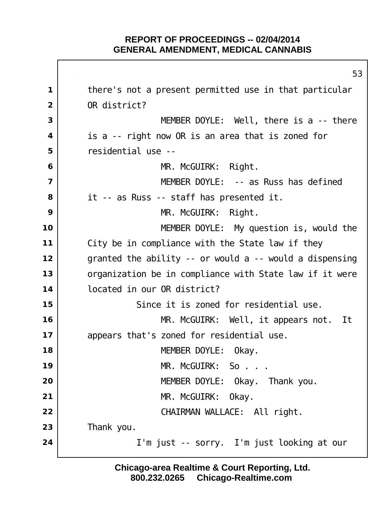there's not a present permitted use in that particular OR district? I MEMBER DOYLE: Well, there is a -- there is a -- right now OR is an area that is zoned for residential use -- MR. McGUIRK: Right. MEMBER DOYLE: -- as Russ has defined it -- as Russ -- staff has presented it. MR. McGUIRK: Right. MEMBER DOYLE: My question is, would the City be in compliance with the State law if they granted the ability -- or would a -- would a dispensing organization be in compliance with State law if it were located in our OR district? Since it is zoned for residential use. MR. McGUIRK: Well, it appears not. It 17 | appears that's zoned for residential use. MEMBER DOYLE: Okay. I MR. McGUIRK: So . . . MEMBER DOYLE: Okay. Thank you. MR. McGUIRK: Okay. CHAIRMAN WALLACE: All right. Thank you. I'm just -- sorry. I'm just looking at our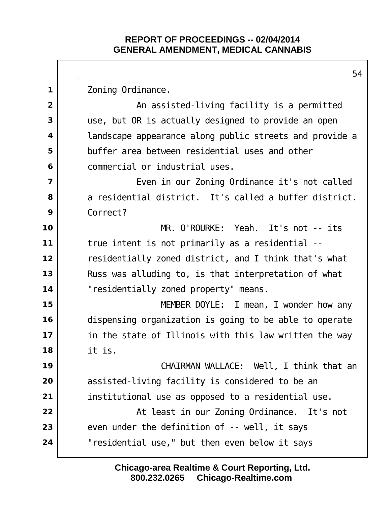Zoning Ordinance.  $\vert$  **An assisted-living facility is a permitted**  use, but OR is actually designed to provide an open landscape appearance along public streets and provide a buffer area between residential uses and other commercial or industrial uses. | Even in our Zoning Ordinance it's not called a residential district. It's called a buffer district. Correct? MR. O'ROURKE: Yeah. It's not -- its true intent is not primarily as a residential -- residentially zoned district, and I think that's what Russ was alluding to, is that interpretation of what "residentially zoned property" means. MEMBER DOYLE: I mean, I wonder how any dispensing organization is going to be able to operate in the state of Illinois with this law written the way it is. CHAIRMAN WALLACE: Well, I think that an assisted-living facility is considered to be an institutional use as opposed to a residential use. At least in our Zoning Ordinance. It's not even under the definition of -- well, it says "residential use," but then even below it says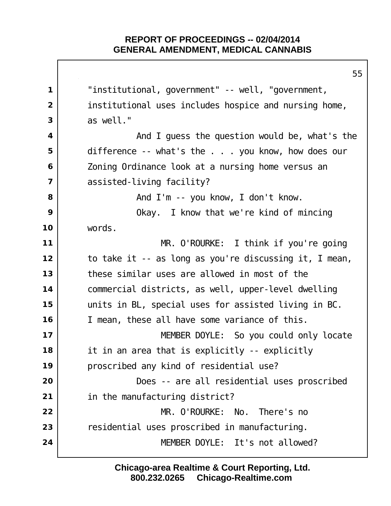"institutional, government" -- well, "government, institutional uses includes hospice and nursing home, as well." And I guess the question would be, what's the set all  $\theta$  difference -- what's the . . . you know, how does our Zoning Ordinance look at a nursing home versus an assisted-living facility? and I'm -- you know, I don't know. Okay. I know that we're kind of mincing words. MR. O'ROURKE: I think if you're going to take it -- as long as you're discussing it, I mean, these similar uses are allowed in most of the commercial districts, as well, upper-level dwelling units in BL, special uses for assisted living in BC. I mean, these all have some variance of this. MEMBER DOYLE: So you could only locate it in an area that is explicitly -- explicitly 19 | proscribed any kind of residential use?  $\vert$  **Does** -- are all residential uses proscribed in the manufacturing district? MR. O'ROURKE: No. There's no residential uses proscribed in manufacturing. MEMBER DOYLE: It's not allowed?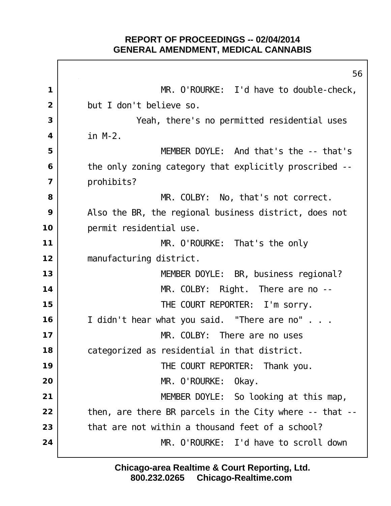$\Gamma$ 

|                         | 56                                                            |
|-------------------------|---------------------------------------------------------------|
| 1                       | MR. O'ROURKE: I'd have to double-check,                       |
| 2                       | but I don't believe so.                                       |
| 3                       | Yeah, there's no permitted residential uses                   |
| $\overline{\mathbf{4}}$ | $in M-2.$                                                     |
| 5                       | MEMBER DOYLE: And that's the -- that's                        |
| 6                       | the only zoning category that explicitly proscribed --        |
| $\overline{7}$          | prohi bi ts?                                                  |
| 8                       | MR. COLBY: No, that's not correct.                            |
| 9                       | Also the BR, the regional business district, does not         |
| 10                      | permit residential use.                                       |
| $11$                    | MR. O'ROURKE: That's the only                                 |
| 12                      | manufacturing district.                                       |
| 13                      | MEMBER DOYLE: BR, business regional?                          |
| 14                      | $MR.$ COLBY: Right. There are no $-$                          |
| 15                      | THE COURT REPORTER: I'm sorry.                                |
| 16                      | I didn't hear what you said. "There are no"                   |
| 17                      | MR. COLBY:<br>There are no uses                               |
| 18                      | categorized as residential in that district.                  |
| 19                      | THE COURT REPORTER: Thank you.                                |
| 20                      | MR. O'ROURKE: Okay.                                           |
| 21                      | MEMBER DOYLE: So looking at this map,                         |
| 22                      | then, are there BR parcels in the City where $-$ - that $-$ - |
| 23                      | that are not within a thousand feet of a school?              |
| 24                      | MR. O'ROURKE: I'd have to scroll down                         |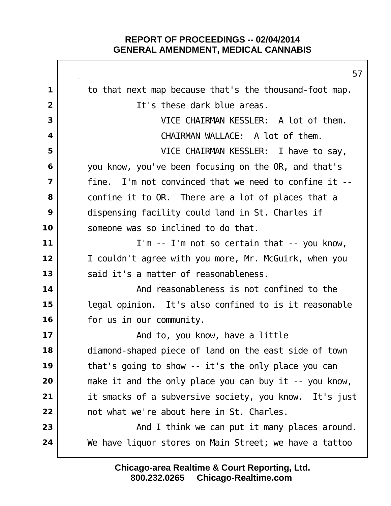|                | 57                                                      |
|----------------|---------------------------------------------------------|
| 1              | to that next map because that's the thousand-foot map.  |
| $\overline{2}$ | It's these dark blue areas.                             |
| 3              | VICE CHAIRMAN KESSLER: A lot of them.                   |
| 4              | CHAIRMAN WALLACE: A lot of them.                        |
| 5              | VICE CHAIRMAN KESSLER: I have to say,                   |
| 6              | you know, you've been focusing on the OR, and that's    |
| $\overline{7}$ | fine. I'm not convinced that we need to confine it --   |
| 8              | confine it to OR. There are a lot of places that a      |
| 9              | dispensing facility could land in St. Charles if        |
| 10             | someone was so inclined to do that.                     |
| 11             | I'm -- I'm not so certain that -- you know,             |
| 12             | I couldn't agree with you more, Mr. McGuirk, when you   |
| 13             | said it's a matter of reasonableness.                   |
| 14             | And reasonableness is not confined to the               |
| 15             | legal opinion. It's also confined to is it reasonable   |
| 16             | for us in our community.                                |
| 17             | And to, you know, have a little                         |
| 18             | diamond-shaped piece of land on the east side of town   |
| 19             | that's going to show -- it's the only place you can     |
| 20             | make it and the only place you can buy it $-$ you know, |
| 21             | it smacks of a subversive society, you know. It's just  |
| 22             | not what we're about here in St. Charles.               |
| 23             | And I think we can put it many places around.           |
| 24             | We have liquor stores on Main Street; we have a tattoo  |
|                |                                                         |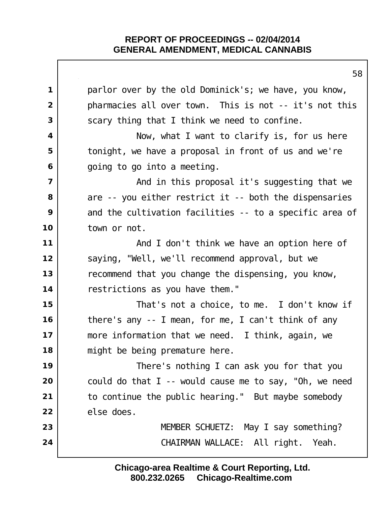|                         | 58                                                      |
|-------------------------|---------------------------------------------------------|
| $\mathbf 1$             | parl or over by the old Dominick's; we have, you know,  |
| $\overline{2}$          | pharmacies all over town. This is not -- it's not this  |
| 3                       | scary thing that I think we need to confine.            |
| $\overline{\mathbf{4}}$ | Now, what I want to clarify is, for us here             |
| 5                       | tonight, we have a proposal in front of us and we're    |
| 6                       | going to go into a meeting.                             |
| $\overline{\mathbf{z}}$ | And in this proposal it's suggesting that we            |
| 8                       | are -- you either restrict it -- both the dispensaries  |
| 9                       | and the cultivation facilities -- to a specific area of |
| 10                      | town or not.                                            |
| 11                      | And I don't think we have an option here of             |
| 12                      | saying, "Well, we'll recommend approval, but we         |
| 13                      | recommend that you change the dispensing, you know,     |
| 14                      | restrictions as you have them."                         |
| 15                      | That's not a choice, to me. I don't know if             |
| 16                      | there's any -- I mean, for me, I can't think of any     |
| 17                      | more information that we need. I think, again, we       |
| 18                      | might be being premature here.                          |
| 19                      | There's nothing I can ask you for that you              |
| 20                      | could do that I -- would cause me to say, "Oh, we need  |
| 21                      | to continue the public hearing." But maybe somebody     |
| 22                      | el se does.                                             |
| 23                      | MEMBER SCHUETZ: May I say something?                    |
| 24                      | CHAIRMAN WALLACE: All right. Yeah.                      |
|                         |                                                         |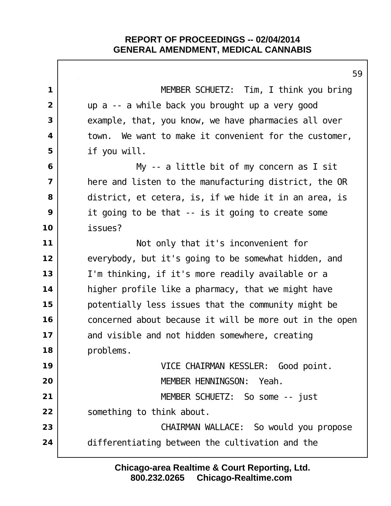|                | 59                                                      |
|----------------|---------------------------------------------------------|
| $\mathbf 1$    | MEMBER SCHUETZ: Tim, I think you bring                  |
| $\overline{2}$ | up a -- a while back you brought up a very good         |
| 3              | example, that, you know, we have pharmacies all over    |
| 4              | town. We want to make it convenient for the customer,   |
| 5              | if you will.                                            |
| 6              | My -- a little bit of my concern as I sit               |
| $\overline{7}$ | here and listen to the manufacturing district, the OR   |
| 8              | district, et cetera, is, if we hide it in an area, is   |
| 9              | it going to be that -- is it going to create some       |
| 10             | i ssues?                                                |
| 11             | Not only that it's inconvenient for                     |
| 12             | everybody, but it's going to be somewhat hidden, and    |
| 13             | I'm thinking, if it's more readily available or a       |
| 14             | higher profile like a pharmacy, that we might have      |
| 15             | potentially less issues that the community might be     |
| 16             | concerned about because it will be more out in the open |
| 17             | and visible and not hidden somewhere, creating          |
| 18             | problems.                                               |
| 19             | VICE CHAIRMAN KESSLER: Good point.                      |
| 20             | MEMBER HENNINGSON: Yeah.                                |
| 21             | MEMBER SCHUETZ: So some -- just                         |
| 22             | something to think about.                               |
| 23             | CHAIRMAN WALLACE: So would you propose                  |
| 24             | differentiating between the cultivation and the         |
|                |                                                         |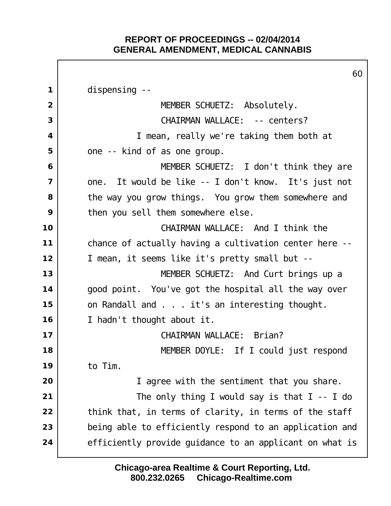$\Gamma$ 

|                         | 60                                                      |
|-------------------------|---------------------------------------------------------|
| $\mathbf 1$             | di spensing --                                          |
| $\overline{2}$          | MEMBER SCHUETZ: Absolutely.                             |
| 3                       | CHAIRMAN WALLACE: -- centers?                           |
| 4                       | I mean, really we're taking them both at                |
| 5                       | one -- kind of as one group.                            |
| 6                       | MEMBER SCHUETZ: I don't think they are                  |
| $\overline{\mathbf{z}}$ | one. It would be like -- I don't know. It's just not    |
| 8                       | the way you grow things. You grow them somewhere and    |
| 9                       | then you sell them somewhere else.                      |
| 10                      | CHAIRMAN WALLACE: And I think the                       |
| 11                      | chance of actually having a cultivation center here --  |
| 12                      | I mean, it seems like it's pretty small but --          |
| 13                      | MEMBER SCHUETZ: And Curt brings up a                    |
| 14                      | good point. You've got the hospital all the way over    |
| 15                      | on Randall and it's an interesting thought.             |
| 16                      | I hadn't thought about it.                              |
| 17                      | CHAIRMAN WALLACE: Brian?                                |
| 18                      | MEMBER DOYLE: If I could just respond                   |
| 19                      | to Tim.                                                 |
| 20                      | I agree with the sentiment that you share.              |
| 21                      | The only thing I would say is that $I - I$ do           |
| 22                      | think that, in terms of clarity, in terms of the staff  |
| 23                      | being able to efficiently respond to an application and |
| 24                      | efficiently provide guidance to an applicant on what is |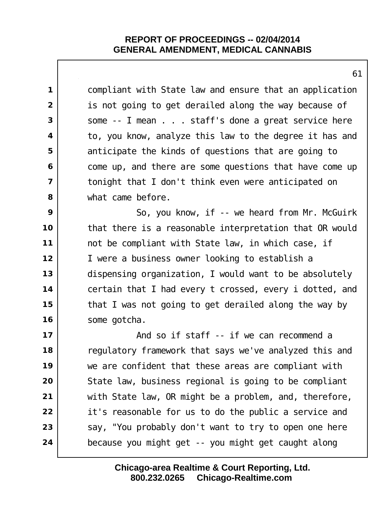compliant with State law and ensure that an application is not going to get derailed along the way because of Some -- I mean . . . staff's done a great service here to, you know, analyze this law to the degree it has and anticipate the kinds of questions that are going to come up, and there are some questions that have come up tonight that I don't think even were anticipated on what came before. So, you know, if -- we heard from Mr. McGuirk that there is a reasonable interpretation that OR would not be compliant with State law, in which case, if I were a business owner looking to establish a dispensing organization, I would want to be absolutely certain that I had every t crossed, every i dotted, and that I was not going to get derailed along the way by 16 Some gotcha. And so if staff -- if we can recommend a regulatory framework that says we've analyzed this and we are confident that these areas are compliant with State law, business regional is going to be compliant with State law, OR might be a problem, and, therefore, it's reasonable for us to do the public a service and say, "You probably don't want to try to open one here because you might get -- you might get caught along

> **800.232.0265 Chicago-Realtime.com Chicago-area Realtime & Court Reporting, Ltd.**

####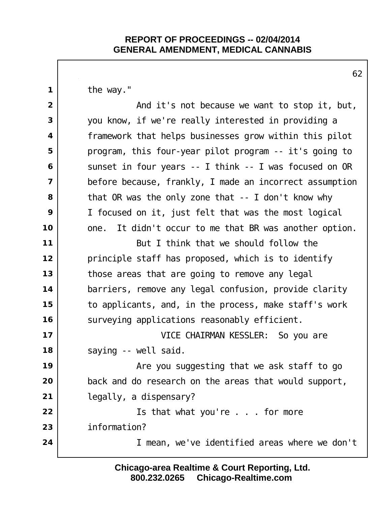the way."

 and it's not because we want to stop it, but, you know, if we're really interested in providing a framework that helps businesses grow within this pilot program, this four-year pilot program -- it's going to Sunset in four years -- I think -- I was focused on OR before because, frankly, I made an incorrect assumption that OR was the only zone that -- I don't know why I focused on it, just felt that was the most logical one. It didn't occur to me that BR was another option. But I think that we should follow the principle staff has proposed, which is to identify those areas that are going to remove any legal barriers, remove any legal confusion, provide clarity to applicants, and, in the process, make staff's work surveying applications reasonably efficient. VICE CHAIRMAN KESSLER: So you are 18 | saying -- well said.  $\vert$  **Are you suggesting that we ask staff to go**  back and do research on the areas that would support, legally, a dispensary? Is that what you're . . . for more information? I mean, we've identified areas where we don't

> **800.232.0265 Chicago-Realtime.com Chicago-area Realtime & Court Reporting, Ltd.**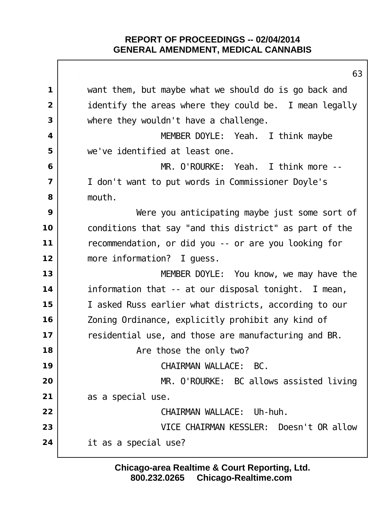|                         | 63                                                     |
|-------------------------|--------------------------------------------------------|
| $\mathbf 1$             | want them, but maybe what we should do is go back and  |
| $\overline{2}$          | identify the areas where they could be. I mean legally |
| 3                       | where they wouldn't have a challenge.                  |
| $\overline{\mathbf{4}}$ | MEMBER DOYLE: Yeah. I think maybe                      |
| 5                       | we've identified at least one.                         |
| 6                       | MR. O'ROURKE: Yeah. I think more --                    |
| $\overline{\mathbf{z}}$ | I don't want to put words in Commissioner Doyle's      |
| 8                       | mouth.                                                 |
| 9                       | Were you anticipating maybe just some sort of          |
| 10                      | conditions that say "and this district" as part of the |
| 11                      | recommendation, or did you -- or are you looking for   |
| 12                      | more information? I guess.                             |
| 13                      | MEMBER DOYLE: You know, we may have the                |
| 14                      | information that -- at our disposal tonight. I mean,   |
| 15                      | I asked Russ earlier what districts, according to our  |
| 16                      | Zoning Ordinance, explicitly prohibit any kind of      |
| 17                      | residential use, and those are manufacturing and BR.   |
| 18                      | Are those the only two?                                |
| 19                      | CHAIRMAN WALLACE: BC.                                  |
| 20                      | MR. O'ROURKE: BC allows assisted living                |
| 21                      | as a special use.                                      |
| 22                      | CHAIRMAN WALLACE: Uh-huh.                              |
| 23                      | VICE CHAIRMAN KESSLER: Doesn't OR allow                |
| 24                      | it as a special use?                                   |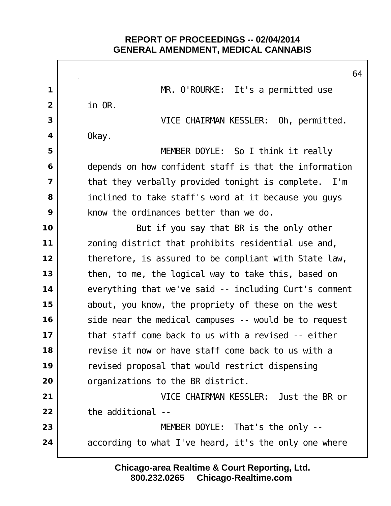$\Gamma$ 

|                | 6                                                      |
|----------------|--------------------------------------------------------|
| $\mathbf 1$    | MR. O'ROURKE: It's a permitted use                     |
| $\overline{2}$ | in OR.                                                 |
| 3              | VICE CHAIRMAN KESSLER: Oh, permitted.                  |
| 4              | 0kay.                                                  |
| 5              | MEMBER DOYLE: So I think it really                     |
| 6              | depends on how confident staff is that the information |
| $\overline{ }$ | that they verbally provided tonight is complete. I'm   |
| 8              | inclined to take staff's word at it because you guys   |
| 9              | know the ordinances better than we do.                 |
| 10             | But if you say that BR is the only other               |
| 11             | zoning district that prohibits residential use and,    |
| 12             | therefore, is assured to be compliant with State law,  |
| 13             | then, to me, the logical way to take this, based on    |
| 14             | everything that we've said -- including Curt's comment |
| 15             | about, you know, the propriety of these on the west    |
| 16             | side near the medical campuses -- would be to request  |
| 17             | that staff come back to us with a revised -- either    |
| 18             | revise it now or have staff come back to us with a     |
| 19             | revised proposal that would restrict dispensing        |
| 20             | organizations to the BR district.                      |
| 21             | VICE CHAIRMAN KESSLER: Just the BR or                  |
| 22             | the additional                                         |
| 23             | MEMBER DOYLE: That's the only --                       |
| 24             | according to what I've heard, it's the only one where  |
|                |                                                        |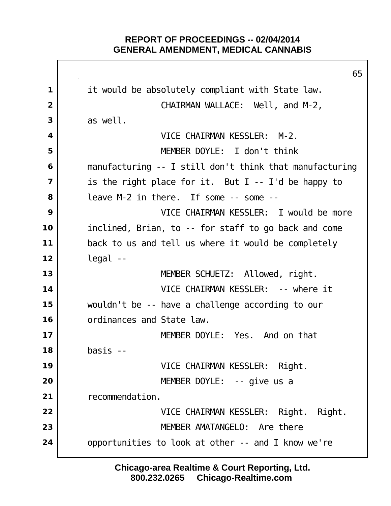it would be absolutely compliant with State law. CHAIRMAN WALLACE: Well, and M-2, as well. VICE CHAIRMAN KESSLER: M-2. MEMBER DOYLE: I don't think manufacturing -- I still don't think that manufacturing is the right place for it. But I -- I'd be happy to leave M-2 in there. If some -- some -- VICE CHAIRMAN KESSLER: I would be more inclined, Brian, to -- for staff to go back and come back to us and tell us where it would be completely legal -- MEMBER SCHUETZ: Allowed, right. VICE CHAIRMAN KESSLER: -- where it wouldn't be -- have a challenge according to our ordinances and State law. MEMBER DOYLE: Yes. And on that basis -- VICE CHAIRMAN KESSLER: Right. | **MEMBER DOYLE:** -- give us a recommendation. VICE CHAIRMAN KESSLER: Right. Right. MEMBER AMATANGELO: Are there opportunities to look at other -- and I know we're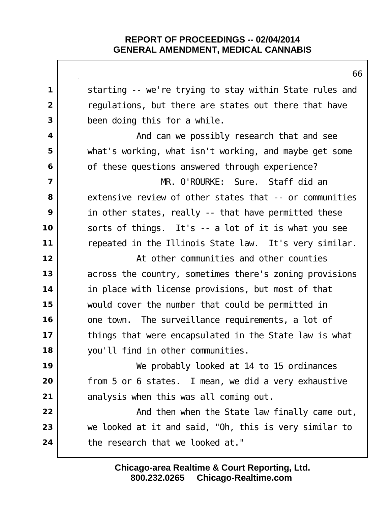|                | Ο                                                       |
|----------------|---------------------------------------------------------|
| 1              | starting -- we're trying to stay within State rules and |
| $\overline{2}$ | regulations, but there are states out there that have   |
| 3              | been doing this for a while.                            |
| 4              | And can we possibly research that and see               |
| 5              | what's working, what isn't working, and maybe get some  |
| 6              | of these questions answered through experience?         |
| $\overline{7}$ | MR. O'ROURKE: Sure. Staff did an                        |
| 8              | extensive review of other states that -- or communities |
| 9              | in other states, really -- that have permitted these    |
| 10             | sorts of things. It's -- a lot of it is what you see    |
| 11             | repeated in the Illinois State law. It's very similar.  |
| 12             | At other communities and other counties                 |
| 13             | across the country, sometimes there's zoning provisions |
| 14             | in place with license provisions, but most of that      |
| 15             | would cover the number that could be permitted in       |
| 16             | one town. The surveillance requirements, a lot of       |
| 17             | things that were encapsulated in the State law is what  |
| 18             | you'll find in other communities.                       |
| 19             | We probably looked at 14 to 15 ordinances               |
| 20             | from 5 or 6 states. I mean, we did a very exhaustive    |
| 21             | analysis when this was all coming out.                  |
| 22             | And then when the State law finally came out,           |
| 23             | we looked at it and said, "Oh, this is very similar to  |
| 24             | the research that we looked at."                        |
|                |                                                         |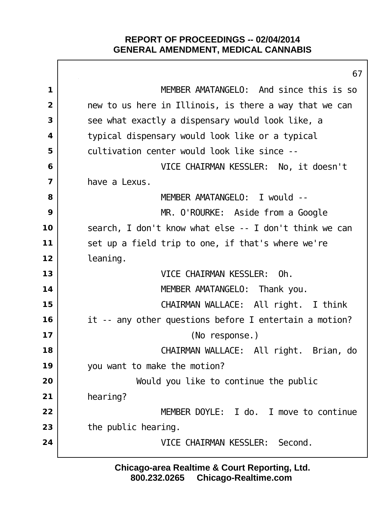$\mathbf{I}$ 

|                         | 67                                                     |
|-------------------------|--------------------------------------------------------|
| $\mathbf 1$             | MEMBER AMATANGELO: And since this is so                |
| $\overline{2}$          | new to us here in Illinois, is there a way that we can |
| 3                       | see what exactly a dispensary would look like, a       |
| 4                       | typical dispensary would look like or a typical        |
| 5                       | cultivation center would look like since --            |
| 6                       | VICE CHAIRMAN KESSLER: No, it doesn't                  |
| $\overline{\mathbf{z}}$ | have a Lexus.                                          |
| 8                       | MEMBER AMATANGELO: I would --                          |
| 9                       | MR. O'ROURKE: Aside from a Google                      |
| 10                      | search, I don't know what else -- I don't think we can |
| 11                      | set up a field trip to one, if that's where we're      |
| 12                      | I eani ng.                                             |
| 13                      | VICE CHAIRMAN KESSLER:<br>0h.                          |
| 14                      | MEMBER AMATANGELO: Thank you.                          |
| 15                      | CHAIRMAN WALLACE: All right. I think                   |
| 16                      | it -- any other questions before I entertain a motion? |
| 17                      | (No response.)                                         |
| 18                      | CHAIRMAN WALLACE: All right. Brian, do                 |
| 19                      | you want to make the motion?                           |
| 20                      | Would you like to continue the public                  |
| 21                      | hearing?                                               |
| 22                      | MEMBER DOYLE: I do. I move to continue                 |
| 23                      | the public hearing.                                    |
| 24                      | Second.<br>VICE CHAIRMAN KESSLER:                      |
|                         |                                                        |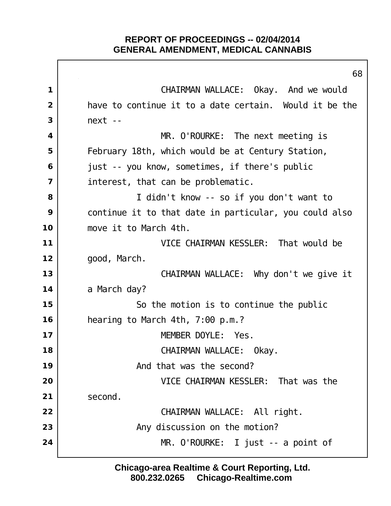CHAIRMAN WALLACE: Okay. And we would have to continue it to a date certain. Would it be the next -- MR. O'ROURKE: The next meeting is February 18th, which would be at Century Station, just -- you know, sometimes, if there's public interest, that can be problematic. I didn't know -- so if you don't want to continue it to that date in particular, you could also move it to March 4th. VICE CHAIRMAN KESSLER: That would be good, March. CHAIRMAN WALLACE: Why don't we give it a March day? So the motion is to continue the public hearing to March 4th, 7:00 p.m.? MEMBER DOYLE: Yes. CHAIRMAN WALLACE: Okay. and that was the second? VICE CHAIRMAN KESSLER: That was the second. CHAIRMAN WALLACE: All right. Any discussion on the motion? MR. O'ROURKE: I just -- a point of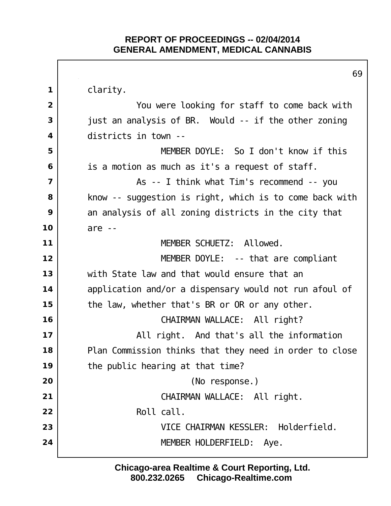clarity. You were looking for staff to come back with just an analysis of BR. Would -- if the other zoning districts in town -- MEMBER DOYLE: So I don't know if this is a motion as much as it's a request of staff. and  $\overline{a}$  and  $\overline{a}$  and  $\overline{a}$  and  $\overline{a}$  as  $\overline{a}$  - I think what Tim's recommend  $\overline{a}$  - you | know -- suggestion is right, which is to come back with an analysis of all zoning districts in the city that are -- MEMBER SCHUETZ: Allowed. MEMBER DOYLE: -- that are compliant with State law and that would ensure that an 14 application and/or a dispensary would not run afoul of the law, whether that's BR or OR or any other. CHAIRMAN WALLACE: All right?  $\vert$  **All right.** And that's all the information Plan Commission thinks that they need in order to close the public hearing at that time? (No response.) CHAIRMAN WALLACE: All right. Roll call. VICE CHAIRMAN KESSLER: Holderfield. MEMBER HOLDERFIELD: Aye.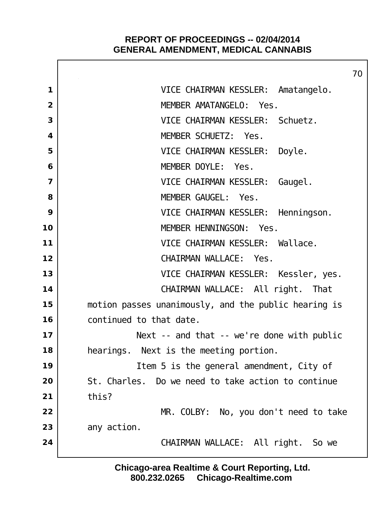Г

|                | 70                                                   |
|----------------|------------------------------------------------------|
| 1              | VICE CHAIRMAN KESSLER: Amatangelo.                   |
| $\overline{2}$ | MEMBER AMATANGELO: Yes.                              |
| 3              | VICE CHAIRMAN KESSLER: Schuetz.                      |
| 4              | MEMBER SCHUETZ: Yes.                                 |
| 5              | VICE CHAIRMAN KESSLER: Doyle.                        |
| 6              | MEMBER DOYLE: Yes.                                   |
| $\overline{7}$ | VICE CHAIRMAN KESSLER: Gaugel.                       |
| 8              | MEMBER GAUGEL: Yes.                                  |
| 9              | VICE CHAIRMAN KESSLER: Henningson.                   |
| 10             | MEMBER HENNINGSON:<br>Yes.                           |
| 11             | VICE CHAIRMAN KESSLER: Wallace.                      |
| 12             | CHAIRMAN WALLACE: Yes.                               |
| 13             | VICE CHAIRMAN KESSLER: Kessler, yes.                 |
| 14             | CHAIRMAN WALLACE: All right. That                    |
| 15             | motion passes unanimously, and the public hearing is |
| 16             | continued to that date.                              |
| 17             | Next $-$ and that $-$ we're done with public         |
| 18             | hearings. Next is the meeting portion.               |
| 19             | I tem 5 is the general amendment, City of            |
| 20             | St. Charles. Do we need to take action to continue   |
| 21             | thi s?                                               |
| 22             | MR. COLBY: No, you don't need to take                |
| 23             | any action.                                          |
| 24             | CHAIRMAN WALLACE: All right. So we                   |
|                |                                                      |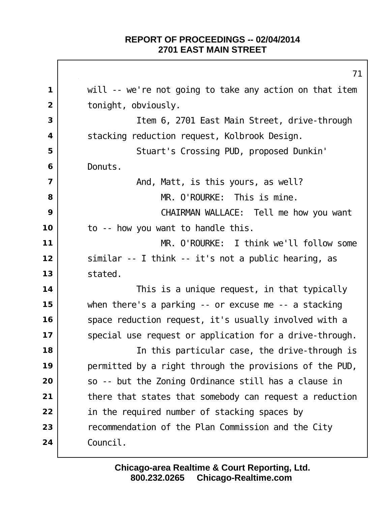will -- we're not going to take any action on that item | tonight, obviously. Item 6, 2701 East Main Street, drive-through Stacking reduction request, Kolbrook Design. Stuart's Crossing PUD, proposed Dunkin' Donuts. And, Matt, is this yours, as well? MR. O'ROURKE: This is mine. CHAIRMAN WALLACE: Tell me how you want to -- how you want to handle this. MR. O'ROURKE: I think we'll follow some similar -- I think -- it's not a public hearing, as stated. This is a unique request, in that typically when there's a parking -- or excuse me -- a stacking Space reduction request, it's usually involved with a Special use request or application for a drive-through. In this particular case, the drive-through is permitted by a right through the provisions of the PUD, so -- but the Zoning Ordinance still has a clause in there that states that somebody can request a reduction 22 in the required number of stacking spaces by **Performal and Studies** 23 **recommendation of the Plan Commission and the City** Council.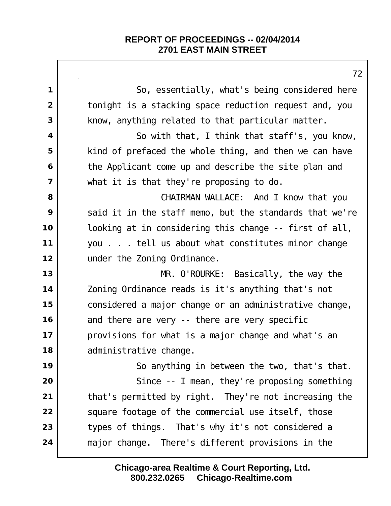|                         | 7 <sup>2</sup>                                          |
|-------------------------|---------------------------------------------------------|
| $\mathbf 1$             | So, essentially, what's being considered here           |
| $\overline{2}$          | tonight is a stacking space reduction request and, you  |
| 3                       | know, anything related to that particular matter.       |
| $\overline{\mathbf{4}}$ | So with that, I think that staff's, you know,           |
| 5                       | kind of prefaced the whole thing, and then we can have  |
| 6                       | the Applicant come up and describe the site plan and    |
| $\overline{7}$          | what it is that they're proposing to do.                |
| 8                       | CHAIRMAN WALLACE: And I know that you                   |
| 9                       | said it in the staff memo, but the standards that we're |
| 10                      | looking at in considering this change -- first of all,  |
| 11                      | you tell us about what constitutes minor change         |
| 12                      | under the Zoning Ordinance.                             |
| 13                      | $MR.$ O'ROURKE: Basically, the way the                  |
| 14                      | Zoning Ordinance reads is it's anything that's not      |
| 15                      | considered a major change or an administrative change,  |
| 16                      | and there are very -- there are very specific           |
| 17                      | provisions for what is a major change and what's an     |
| 18                      | administrative change.                                  |
| 19                      | So anything in between the two, that's that.            |
| 20                      | Since $-$ I mean, they're proposing something           |
| 21                      | that's permitted by right. They're not increasing the   |
| 22                      | square footage of the commercial use itself, those      |
| 23                      | types of things. That's why it's not considered a       |
| 24                      | major change. There's different provisions in the       |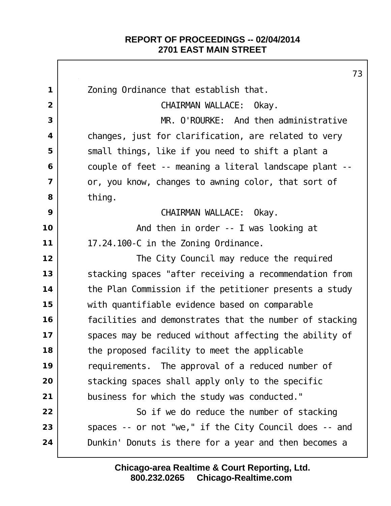$\mathbf{I}$ 

|                | 73                                                      |
|----------------|---------------------------------------------------------|
| $\mathbf 1$    | Zoning Ordinance that establish that.                   |
| $\overline{2}$ | CHAIRMAN WALLACE: Okay.                                 |
| 3              | MR. O'ROURKE: And then administrative                   |
| 4              | changes, just for clarification, are related to very    |
| 5              | small things, like if you need to shift a plant a       |
| 6              | couple of feet -- meaning a literal landscape plant --  |
| $\overline{7}$ | or, you know, changes to awning color, that sort of     |
| 8              | thi ng.                                                 |
| 9              | CHAIRMAN WALLACE: Okay.                                 |
| 10             | And then in order -- I was looking at                   |
| 11             | 17.24.100-C in the Zoning Ordinance.                    |
| 12             | The City Council may reduce the required                |
| 13             | stacking spaces "after receiving a recommendation from  |
| 14             | the Plan Commission if the petitioner presents a study  |
| 15             | with quantifiable evidence based on comparable          |
| 16             | facilities and demonstrates that the number of stacking |
| 17             | spaces may be reduced without affecting the ability of  |
| 18             | the proposed facility to meet the applicable            |
| 19             | requirements. The approval of a reduced number of       |
| 20             | stacking spaces shall apply only to the specific        |
| 21             | business for which the study was conducted."            |
| 22             | So if we do reduce the number of stacking               |
| 23             | spaces -- or not "we," if the City Council does -- and  |
| 24             | Dunkin' Donuts is there for a year and then becomes a   |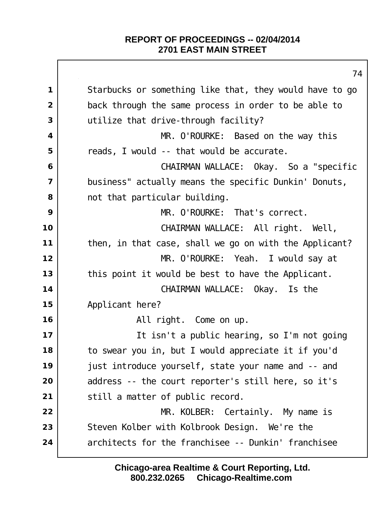| 74                                                      |
|---------------------------------------------------------|
| Starbucks or something like that, they would have to go |
| back through the same process in order to be able to    |
| utilize that drive-through facility?                    |
| MR. O'ROURKE: Based on the way this                     |
| reads, I would -- that would be accurate.               |
| CHAIRMAN WALLACE: Okay. So a "specific                  |
| business" actually means the specific Dunkin' Donuts,   |
| not that particular building.                           |
| MR. O'ROURKE: That's correct.                           |
| CHAIRMAN WALLACE: All right. Well,                      |
| then, in that case, shall we go on with the Applicant?  |
| MR. O'ROURKE: Yeah. I would say at                      |
| this point it would be best to have the Applicant.      |
| CHAIRMAN WALLACE: Okay. Is the                          |
| Applicant here?                                         |
| All right. Come on up.                                  |
| It isn't a public hearing, so I'm not going             |
| to swear you in, but I would appreciate it if you'd     |
| just introduce yourself, state your name and -- and     |
| address -- the court reporter's still here, so it's     |
| still a matter of public record.                        |
| MR. KOLBER: Certainly. My name is                       |
| Steven Kolber with Kolbrook Design. We're the           |
| architects for the franchisee -- Dunkin' franchisee     |
|                                                         |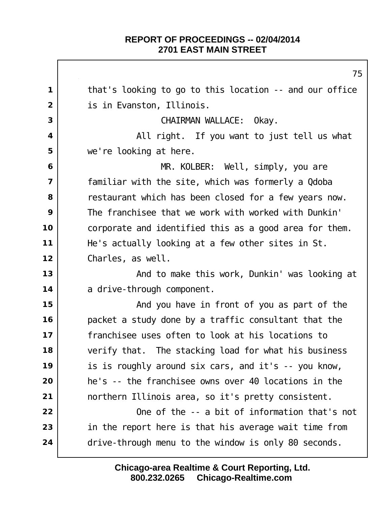that's looking to go to this location -- and our office is in Evanston, Illinois. CHAIRMAN WALLACE: Okay. All right. If you want to just tell us what we're looking at here. MR. KOLBER: Well, simply, you are familiar with the site, which was formerly a Qdoba erestaurant which has been closed for a few years now. The franchisee that we work with worked with Dunkin' corporate and identified this as a good area for them. He's actually looking at a few other sites in St. Charles, as well.  $\vert$  **And to make this work, Dunkin' was looking at**  a drive-through component. and you have in front of you as part of the packet a study done by a traffic consultant that the franchisee uses often to look at his locations to verify that. The stacking load for what his business is is roughly around six cars, and it's -- you know, he's -- the franchisee owns over 40 locations in the northern Illinois area, so it's pretty consistent. One of the -- a bit of information that's not in the report here is that his average wait time from 24 drive-through menu to the window is only 80 seconds.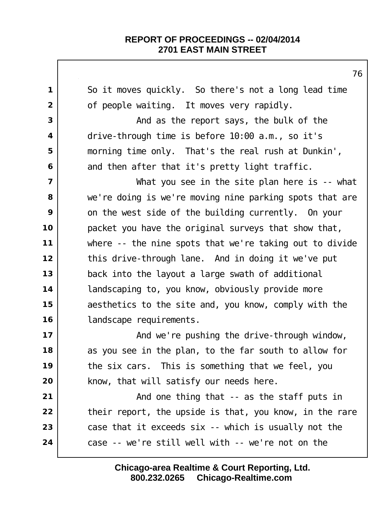So it moves quickly. So there's not a long lead time of people waiting. It moves very rapidly. And as the report says, the bulk of the drive-through time is before 10:00 a.m., so it's morning time only. That's the real rush at Dunkin', and then after that it's pretty light traffic. Nhat you see in the site plan here is -- what we're doing is we're moving nine parking spots that are on the west side of the building currently. On your packet you have the original surveys that show that, where -- the nine spots that we're taking out to divide this drive-through lane. And in doing it we've put back into the layout a large swath of additional **landscaping to, you know, obviously provide more**  aesthetics to the site and, you know, comply with the | landscape requirements.  $\vert$  **And we're pushing the drive-through window,**  as you see in the plan, to the far south to allow for the six cars. This is something that we feel, you | know, that will satisfy our needs here. And one thing that -- as the staff puts in their report, the upside is that, you know, in the rare case that it exceeds six -- which is usually not the case -- we're still well with -- we're not on the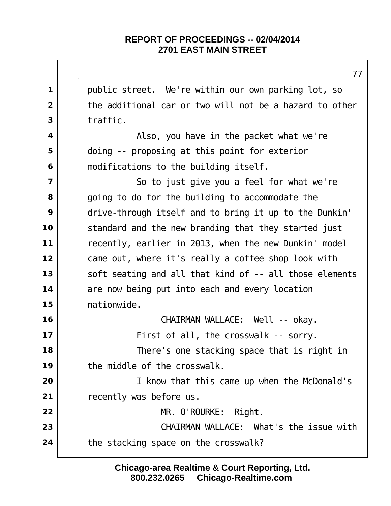public street. We're within our own parking lot, so the additional car or two will not be a hazard to other traffic. Also, you have in the packet what we're doing -- proposing at this point for exterior modifications to the building itself. So to just give you a feel for what we're going to do for the building to accommodate the drive-through itself and to bring it up to the Dunkin' standard and the new branding that they started just recently, earlier in 2013, when the new Dunkin' model came out, where it's really a coffee shop look with soft seating and all that kind of -- all those elements are now being put into each and every location nationwide. CHAIRMAN WALLACE: Well -- okay. First of all, the crosswalk -- sorry. There's one stacking space that is right in the middle of the crosswalk. I know that this came up when the McDonald's recently was before us. MR. O'ROURKE: Right. CHAIRMAN WALLACE: What's the issue with the stacking space on the crosswalk?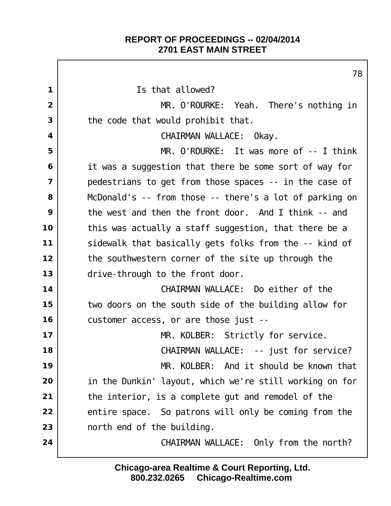Г

|             | 78                                                      |
|-------------|---------------------------------------------------------|
| $\mathbf 1$ | Is that allowed?                                        |
| 2           | MR. O'ROURKE: Yeah. There's nothing in                  |
| 3           | the code that would prohibit that.                      |
| 4           | CHAIRMAN WALLACE: Okay.                                 |
| 5           | MR. O'ROURKE: It was more of $-$ - I think              |
| 6           | it was a suggestion that there be some sort of way for  |
| 7           | pedestrians to get from those spaces -- in the case of  |
| 8           | McDonald's -- from those -- there's a lot of parking on |
| 9           | the west and then the front door. And I think -- and    |
| 10          | this was actually a staff suggestion, that there be a   |
| 11          | sidewalk that basically gets folks from the -- kind of  |
| 12          | the southwestern corner of the site up through the      |
| 13          | drive-through to the front door.                        |
| 14          | CHAIRMAN WALLACE: Do either of the                      |
| 15          | two doors on the south side of the building allow for   |
| 16          | customer access, or are those just --                   |
| 17          | MR. KOLBER: Strictly for service.                       |
| 18          | CHAIRMAN WALLACE: -- just for service?                  |
| 19          | MR. KOLBER: And it should be known that                 |
| 20          | in the Dunkin' layout, which we're still working on for |
| 21          | the interior, is a complete gut and remodel of the      |
| 22          | entire space. So patrons will only be coming from the   |
| 23          | north end of the building.                              |
| 24          | CHAIRMAN WALLACE: Only from the north?                  |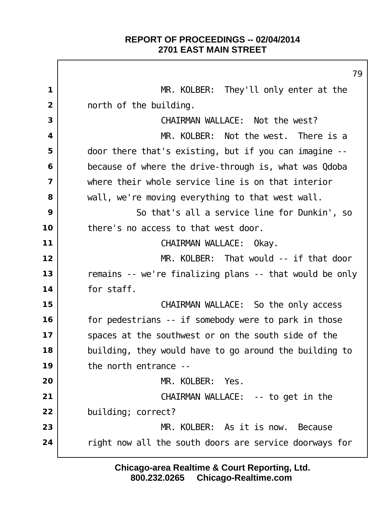MR. KOLBER: They'll only enter at the north of the building. CHAIRMAN WALLACE: Not the west? MR. KOLBER: Not the west. There is a door there that's existing, but if you can imagine -- because of where the drive-through is, what was Qdoba where their whole service line is on that interior wall, we're moving everything to that west wall. So that's all a service line for Dunkin', so there's no access to that west door. CHAIRMAN WALLACE: Okay. MR. KOLBER: That would -- if that door remains -- we're finalizing plans -- that would be only for staff. CHAIRMAN WALLACE: So the only access for pedestrians -- if somebody were to park in those spaces at the southwest or on the south side of the building, they would have to go around the building to the north entrance -- MR. KOLBER: Yes. | CHAIRMAN WALLACE: -- to get in the building; correct? MR. KOLBER: As it is now. Because right now all the south doors are service doorways for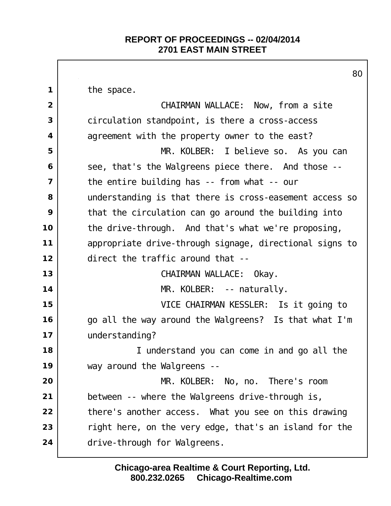the space. CHAIRMAN WALLACE: Now, from a site circulation standpoint, is there a cross-access agreement with the property owner to the east? MR. KOLBER: I believe so. As you can see, that's the Walgreens piece there. And those -- the entire building has -- from what -- our understanding is that there is cross-easement access so that the circulation can go around the building into the drive-through. And that's what we're proposing, appropriate drive-through signage, directional signs to direct the traffic around that -- CHAIRMAN WALLACE: Okay. MR. KOLBER: -- naturally. VICE CHAIRMAN KESSLER: Is it going to go all the way around the Walgreens? Is that what I'm understanding? I understand you can come in and go all the way around the Walgreens -- MR. KOLBER: No, no. There's room between -- where the Walgreens drive-through is, there's another access. What you see on this drawing right here, on the very edge, that's an island for the drive-through for Walgreens.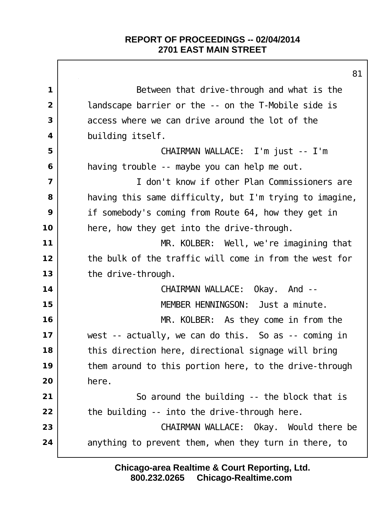|                         | 8 <sup>1</sup>                                          |
|-------------------------|---------------------------------------------------------|
| $\mathbf 1$             | Between that drive-through and what is the              |
| $\overline{2}$          | landscape barrier or the -- on the T-Mobile side is     |
| 3                       | access where we can drive around the lot of the         |
| $\overline{\mathbf{4}}$ | building itself.                                        |
| 5                       | CHAIRMAN WALLACE: I'm just -- I'm                       |
| 6                       | having trouble -- maybe you can help me out.            |
| $\overline{7}$          | I don't know if other Plan Commissioners are            |
| 8                       | having this same difficulty, but I'm trying to imagine, |
| 9                       | if somebody's coming from Route 64, how they get in     |
| 10                      | here, how they get into the drive-through.              |
| 11                      | MR. KOLBER: Well, we're imagining that                  |
| 12                      | the bulk of the traffic will come in from the west for  |
| 13                      | the drive-through.                                      |
| 14                      | CHAIRMAN WALLACE: Okay. And --                          |
| 15                      | MEMBER HENNINGSON: Just a minute.                       |
| 16                      | MR. KOLBER: As they come in from the                    |
| 17                      | west -- actually, we can do this. So as -- coming in    |
| 18                      | this direction here, directional signage will bring     |
| 19                      | them around to this portion here, to the drive-through  |
| 20                      | here.                                                   |
| 21                      | So around the building -- the block that is             |
| 22                      | the building -- into the drive-through here.            |
| 23                      | CHAIRMAN WALLACE: Okay. Would there be                  |
| 24                      | anything to prevent them, when they turn in there, to   |
|                         |                                                         |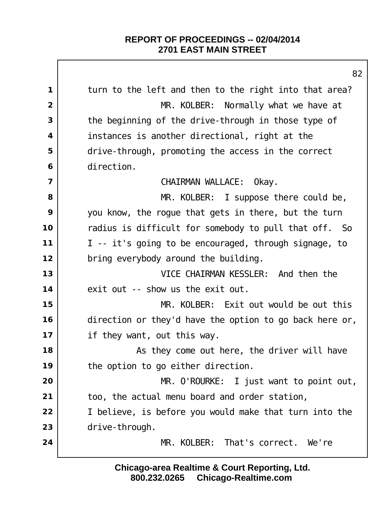$\Box$ 

|                         | 82                                                      |
|-------------------------|---------------------------------------------------------|
| 1                       | turn to the left and then to the right into that area?  |
| $\overline{2}$          | MR. KOLBER: Normally what we have at                    |
| 3                       | the beginning of the drive-through in those type of     |
| 4                       | instances is another directional, right at the          |
| 5                       | drive-through, promoting the access in the correct      |
| 6                       | di rection.                                             |
| $\overline{\mathbf{z}}$ | CHAIRMAN WALLACE:<br>Okay.                              |
| 8                       | MR. KOLBER: I suppose there could be,                   |
| 9                       | you know, the rogue that gets in there, but the turn    |
| 10                      | radius is difficult for somebody to pull that off. So   |
| 11                      | I -- it's going to be encouraged, through signage, to   |
| 12                      | bring everybody around the building.                    |
| 13                      | VICE CHAIRMAN KESSLER: And then the                     |
| 14                      | exit out -- show us the exit out.                       |
| 15                      | MR. KOLBER: Exit out would be out this                  |
| 16                      | direction or they'd have the option to go back here or, |
| 17                      | if they want, out this way.                             |
| 18                      | As they come out here, the driver will have             |
| 19                      | the option to go either direction.                      |
| 20                      | MR. O'ROURKE: I just want to point out,                 |
| 21                      | too, the actual menu board and order station,           |
| 22                      | I believe, is before you would make that turn into the  |
| 23                      | drive-through.                                          |
| 24                      | MR. KOLBER: That's correct. We're                       |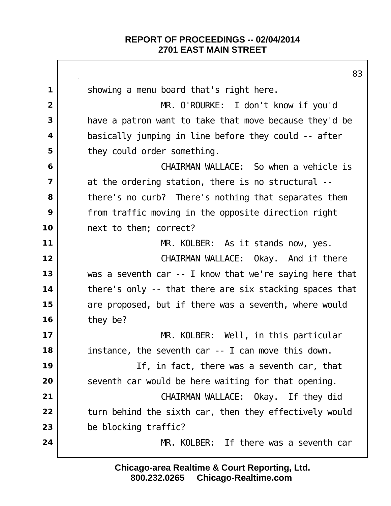|                         | 83                                                      |
|-------------------------|---------------------------------------------------------|
| 1                       | showing a menu board that's right here.                 |
| $\overline{2}$          | MR. O'ROURKE: I don't know if you'd                     |
| 3                       | have a patron want to take that move because they'd be  |
| $\overline{\mathbf{4}}$ | basically jumping in line before they could -- after    |
| 5                       | they could order something.                             |
| 6                       | CHAIRMAN WALLACE: So when a vehicle is                  |
| $\overline{7}$          | at the ordering station, there is no structural --      |
| 8                       | there's no curb? There's nothing that separates them    |
| 9                       | from traffic moving in the opposite direction right     |
| 10                      | next to them; correct?                                  |
| 11                      | MR. KOLBER: As it stands now, yes.                      |
| 12                      | CHAIRMAN WALLACE: Okay. And if there                    |
| 13                      | was a seventh car -- I know that we're saying here that |
| 14                      | there's only -- that there are six stacking spaces that |
| 15                      | are proposed, but if there was a seventh, where would   |
| 16                      | they be?                                                |
| 17                      | MR. KOLBER: Well, in this particular                    |
| 18                      | instance, the seventh car -- I can move this down.      |
| 19                      | If, in fact, there was a seventh car, that              |
| 20                      | seventh car would be here waiting for that opening.     |
| 21                      | CHAIRMAN WALLACE: Okay. If they did                     |
| 22                      | turn behind the sixth car, then they effectively would  |
| 23                      | be blocking traffic?                                    |
| 24                      | MR. KOLBER: If there was a seventh car                  |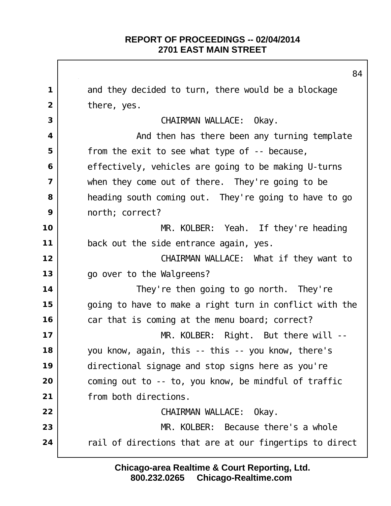and they decided to turn, there would be a blockage there, yes. | CHAIRMAN WALLACE: Okay. And then has there been any turning template from the exit to see what type of -- because, effectively, vehicles are going to be making U-turns when they come out of there. They're going to be heading south coming out. They're going to have to go north; correct? MR. KOLBER: Yeah. If they're heading back out the side entrance again, yes. CHAIRMAN WALLACE: What if they want to go over to the Walgreens? They're then going to go north. They're going to have to make a right turn in conflict with the car that is coming at the menu board; correct? MR. KOLBER: Right. But there will -- you know, again, this -- this -- you know, there's directional signage and stop signs here as you're coming out to -- to, you know, be mindful of traffic from both directions. CHAIRMAN WALLACE: Okay. MR. KOLBER: Because there's a whole rail of directions that are at our fingertips to direct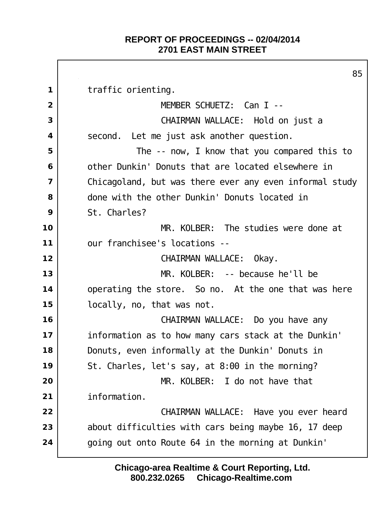$\Gamma$ 

|                         | 85                                                      |
|-------------------------|---------------------------------------------------------|
| 1                       | traffic orienting.                                      |
| $\overline{2}$          | MEMBER SCHUETZ: Can I --                                |
| 3                       | CHAIRMAN WALLACE: Hold on just a                        |
| 4                       | second. Let me just ask another question.               |
| 5                       | The -- now, I know that you compared this to            |
| 6                       | other Dunkin' Donuts that are located elsewhere in      |
| $\overline{\mathbf{z}}$ | Chicagoland, but was there ever any even informal study |
| 8                       | done with the other Dunkin' Donuts located in           |
| 9                       | St. Charles?                                            |
| 10                      | MR. KOLBER: The studies were done at                    |
| 11                      | our franchisee's locations --                           |
| 12                      | CHAIRMAN WALLACE: Okay.                                 |
| 13                      | MR. KOLBER: -- because he'll be                         |
| 14                      | operating the store. So no. At the one that was here    |
| 15                      | locally, no, that was not.                              |
| 16                      | CHAIRMAN WALLACE: Do you have any                       |
| 17                      | information as to how many cars stack at the Dunkin'    |
| 18                      | Donuts, even informally at the Dunkin' Donuts in        |
| 19                      | St. Charles, let's say, at 8:00 in the morning?         |
| 20                      | MR. KOLBER: I do not have that                          |
| 21                      | information.                                            |
| 22                      | CHAIRMAN WALLACE: Have you ever heard                   |
| 23                      | about difficulties with cars being maybe 16, 17 deep    |
| 24                      | going out onto Route 64 in the morning at Dunkin'       |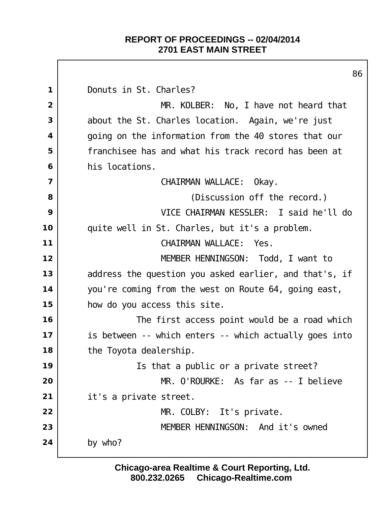$\Gamma$ 

|                         | 86                                                     |
|-------------------------|--------------------------------------------------------|
| 1                       | Donuts in St. Charles?                                 |
| $\overline{2}$          | MR. KOLBER: No, I have not heard that                  |
| 3                       | about the St. Charles location. Again, we're just      |
| 4                       | going on the information from the 40 stores that our   |
| 5                       | franchisee has and what his track record has been at   |
| 6                       | his locations.                                         |
| $\overline{\mathbf{z}}$ | CHAIRMAN WALLACE:<br>0kay.                             |
| 8                       | (Discussion off the record.)                           |
| 9                       | VICE CHAIRMAN KESSLER: I said he'll do                 |
| 10                      | quite well in St. Charles, but it's a problem.         |
| 11                      | CHAIRMAN WALLACE:<br>Yes.                              |
| 12                      | MEMBER HENNINGSON: Todd, I want to                     |
| 13                      | address the question you asked earlier, and that's, if |
| 14                      | you're coming from the west on Route 64, going east,   |
| 15                      | how do you access this site.                           |
| 16                      | The first access point would be a road which           |
| 17                      | is between -- which enters -- which actually goes into |
| 18                      | the Toyota deal ership.                                |
| 19                      | Is that a public or a private street?                  |
| 20                      | MR. O'ROURKE: As far as -- I believe                   |
| 21                      | it's a private street.                                 |
| 22                      | MR. COLBY: It's private.                               |
| 23                      | MEMBER HENNINGSON: And it's owned                      |
| 24                      | by who?                                                |
|                         |                                                        |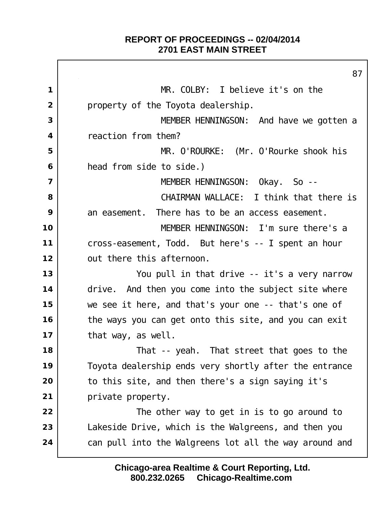$\Gamma$ 

|                | 87                                                     |
|----------------|--------------------------------------------------------|
| 1              | MR. COLBY: I believe it's on the                       |
| $\overline{2}$ | property of the Toyota dealership.                     |
| 3              | MEMBER HENNINGSON: And have we gotten a                |
| 4              | reaction from them?                                    |
| 5              | MR. O'ROURKE: (Mr. O'Rourke shook his                  |
| 6              | head from side to side.)                               |
| $\overline{7}$ | MEMBER HENNINGSON: Okay. So --                         |
| 8              | CHAIRMAN WALLACE: I think that there is                |
| 9              | an easement. There has to be an access easement.       |
| 10             | MEMBER HENNINGSON: I'm sure there's a                  |
| 11             | cross-easement, Todd. But here's -- I spent an hour    |
| 12             | out there this afternoon.                              |
| 13             | You pull in that drive -- it's a very narrow           |
| 14             | drive. And then you come into the subject site where   |
| 15             | we see it here, and that's your one -- that's one of   |
| 16             | the ways you can get onto this site, and you can exit  |
| 17             | that way, as well.                                     |
| 18             | That -- yeah. That street that goes to the             |
| 19             | Toyota dealership ends very shortly after the entrance |
| 20             | to this site, and then there's a sign saying it's      |
| 21             | private property.                                      |
| 22             | The other way to get in is to go around to             |
| 23             | Lakeside Drive, which is the Walgreens, and then you   |
| 24             | can pull into the Walgreens lot all the way around and |
|                |                                                        |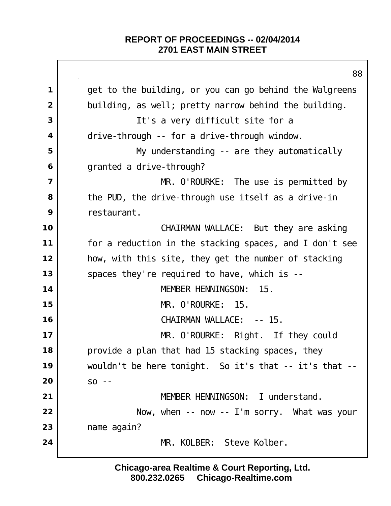get to the building, or you can go behind the Walgreens building, as well; pretty narrow behind the building. It's a very difficult site for a drive-through -- for a drive-through window. My understanding -- are they automatically granted a drive-through? MR. O'ROURKE: The use is permitted by the PUD, the drive-through use itself as a drive-in restaurant. CHAIRMAN WALLACE: But they are asking for a reduction in the stacking spaces, and I don't see how, with this site, they get the number of stacking 13 spaces they're required to have, which is -- MEMBER HENNINGSON: 15. MR. O'ROURKE: 15. | CHAIRMAN WALLACE: -- 15. MR. O'ROURKE: Right. If they could provide a plan that had 15 stacking spaces, they wouldn't be here tonight. So it's that -- it's that -- so -- MEMBER HENNINGSON: I understand. Now, when -- now -- I'm sorry. What was your name again? 24 MR. KOLBER: Steve Kolber.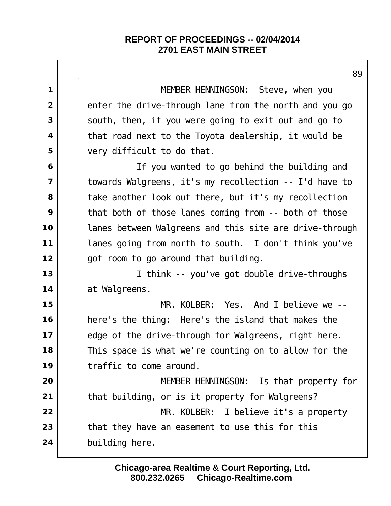|                         | 89                                                       |
|-------------------------|----------------------------------------------------------|
| $\mathbf 1$             | MEMBER HENNINGSON: Steve, when you                       |
| $\overline{2}$          | enter the drive-through lane from the north and you go   |
| 3                       | south, then, if you were going to exit out and go to     |
| $\overline{\mathbf{4}}$ | that road next to the Toyota dealership, it would be     |
| 5                       | very difficult to do that.                               |
| 6                       | If you wanted to go behind the building and              |
| $\overline{7}$          | towards Walgreens, it's my recollection -- I'd have to   |
| 8                       | take another look out there, but it's my recollection    |
| 9                       | that both of those lanes coming from -- both of those    |
| 10                      | I anes between Walgreens and this site are drive-through |
| 11                      | lanes going from north to south. I don't think you've    |
| 12                      | got room to go around that building.                     |
| 13                      | I think -- you've got double drive-throughs              |
| 14                      | at Walgreens.                                            |
| 15                      | KOLBER: Yes. And I believe we --<br>MR.                  |
| 16                      | here's the thing: Here's the island that makes the       |
| 17                      | edge of the drive-through for Walgreens, right here.     |
| 18                      | This space is what we're counting on to allow for the    |
| 19                      | traffic to come around.                                  |
| 20                      | MEMBER HENNINGSON: Is that property for                  |
| 21                      | that building, or is it property for Walgreens?          |
| 22                      | MR. KOLBER: I believe it's a property                    |
| 23                      | that they have an easement to use this for this          |
| 24                      | building here.                                           |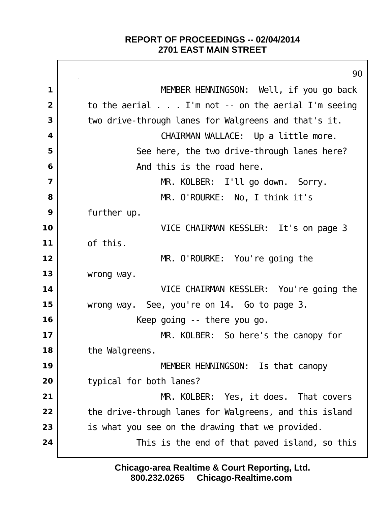Г

|                         | 90                                                         |
|-------------------------|------------------------------------------------------------|
| 1                       | MEMBER HENNINGSON: Well, if you go back                    |
| $\overline{2}$          | to the aerial $\ldots$ I'm not -- on the aerial I'm seeing |
| 3                       | two drive-through lanes for Walgreens and that's it.       |
| $\overline{\mathbf{4}}$ | CHAIRMAN WALLACE: Up a little more.                        |
| 5                       | See here, the two drive-through lanes here?                |
| 6                       | And this is the road here.                                 |
| $\overline{7}$          | MR. KOLBER: I'll go down. Sorry.                           |
| 8                       | MR. O'ROURKE: No, I think it's                             |
| 9                       | further up.                                                |
| 10                      | VICE CHAIRMAN KESSLER: It's on page 3                      |
| 11                      | of this.                                                   |
| 12                      | MR. O'ROURKE: You're going the                             |
| 13                      | wrong way.                                                 |
| 14                      | VICE CHAIRMAN KESSLER: You're going the                    |
| 15                      | wrong way. See, you're on 14. Go to page 3.                |
| 16                      | Keep going -- there you go.                                |
| 17                      | MR. KOLBER: So here's the canopy for                       |
| 18                      | the Walgreens.                                             |
| 19                      | MEMBER HENNINGSON: Is that canopy                          |
| 20                      | typical for both lanes?                                    |
| 21                      | MR. KOLBER: Yes, it does. That covers                      |
| 22                      | the drive-through lanes for Walgreens, and this island     |
| 23                      | is what you see on the drawing that we provided.           |
| 24                      | This is the end of that paved island, so this              |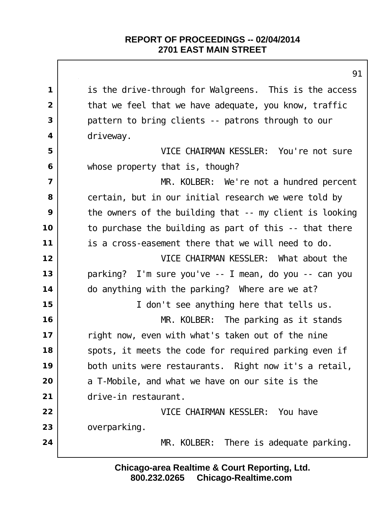is the drive-through for Walgreens. This is the access that we feel that we have adequate, you know, traffic pattern to bring clients -- patrons through to our driveway. VICE CHAIRMAN KESSLER: You're not sure whose property that is, though? MR. KOLBER: We're not a hundred percent certain, but in our initial research we were told by the owners of the building that -- my client is looking to purchase the building as part of this -- that there is a cross-easement there that we will need to do. VICE CHAIRMAN KESSLER: What about the parking? I'm sure you've -- I mean, do you -- can you do anything with the parking? Where are we at? I don't see anything here that tells us. MR. KOLBER: The parking as it stands right now, even with what's taken out of the nine spots, it meets the code for required parking even if both units were restaurants. Right now it's a retail, a T-Mobile, and what we have on our site is the drive-in restaurant. VICE CHAIRMAN KESSLER: You have 23 overparking. MR. KOLBER: There is adequate parking.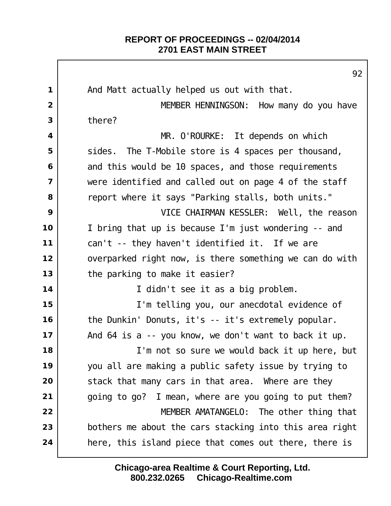Г

|                         | 92                                                      |
|-------------------------|---------------------------------------------------------|
| $\mathbf 1$             | And Matt actually helped us out with that.              |
| 2                       | MEMBER HENNINGSON: How many do you have                 |
| 3                       | there?                                                  |
| 4                       | MR. O'ROURKE: It depends on which                       |
| 5                       | The T-Mobile store is 4 spaces per thousand,<br>si des. |
| 6                       | and this would be 10 spaces, and those requirements     |
| $\overline{\mathbf{z}}$ | were identified and called out on page 4 of the staff   |
| 8                       | report where it says "Parking stalls, both units."      |
| 9                       | VICE CHAIRMAN KESSLER: Well, the reason                 |
| 10                      | I bring that up is because I'm just wondering -- and    |
| 11                      | can't -- they haven't identified it. If we are          |
| 12                      | overparked right now, is there something we can do with |
| 13                      | the parking to make it easier?                          |
| 14                      | I didn't see it as a big problem.                       |
| 15                      | I'm telling you, our anecdotal evidence of              |
| 16                      | the Dunkin' Donuts, it's -- it's extremely popular.     |
| 17                      | And 64 is a -- you know, we don't want to back it up.   |
| 18                      | I'm not so sure we would back it up here, but           |
| 19                      | you all are making a public safety issue by trying to   |
| 20                      | stack that many cars in that area. Where are they       |
| 21                      | going to go? I mean, where are you going to put them?   |
| 22                      | MEMBER AMATANGELO: The other thing that                 |
| 23                      | bothers me about the cars stacking into this area right |
| 24                      | here, this island piece that comes out there, there is  |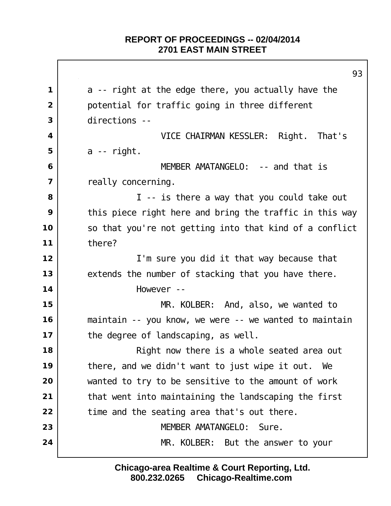|                          | 93                                                      |
|--------------------------|---------------------------------------------------------|
| 1                        | a -- right at the edge there, you actually have the     |
| $\overline{2}$           | potential for traffic going in three different          |
| 3                        | directions --                                           |
| 4                        | VICE CHAIRMAN KESSLER: Right. That's                    |
| 5                        | $a$ -- right.                                           |
| 6                        | MEMBER AMATANGELO: -- and that is                       |
| $\overline{\phantom{a}}$ | really concerning.                                      |
| 8                        | I -- is there a way that you could take out             |
| 9                        | this piece right here and bring the traffic in this way |
| 10                       | so that you're not getting into that kind of a conflict |
| 11                       | there?                                                  |
| 12                       | I'm sure you did it that way because that               |
| 13                       | extends the number of stacking that you have there.     |
| 14                       | However --                                              |
| 15                       | MR. KOLBER: And, also, we wanted to                     |
| 16                       | maintain -- you know, we were -- we wanted to maintain  |
| 17                       | the degree of landscaping, as well.                     |
| 18                       | Right now there is a whole seated area out              |
| 19                       | there, and we didn't want to just wipe it out.<br>We    |
| 20                       | wanted to try to be sensitive to the amount of work     |
| 21                       | that went into maintaining the landscaping the first    |
| 22                       | time and the seating area that's out there.             |
| 23                       | MEMBER AMATANGELO:<br>Sure.                             |
| 24                       | MR. KOLBER: But the answer to your                      |
|                          |                                                         |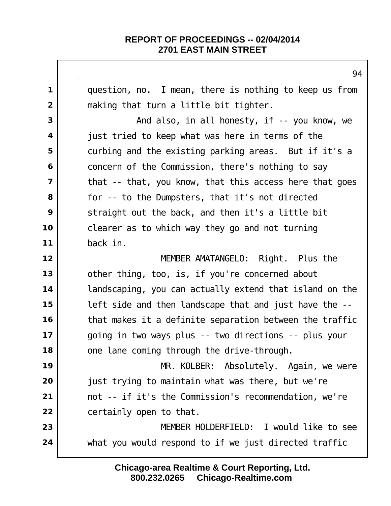question, no. I mean, there is nothing to keep us from making that turn a little bit tighter. | **And also, in all honesty, if -- you know**, we just tried to keep what was here in terms of the curbing and the existing parking areas. But if it's a concern of the Commission, there's nothing to say | that -- that, you know, that this access here that goes **for** -- to the Dumpsters, that it's not directed Straight out the back, and then it's a little bit clearer as to which way they go and not turning back in. MEMBER AMATANGELO: Right. Plus the other thing, too, is, if you're concerned about landscaping, you can actually extend that island on the left side and then landscape that and just have the -- that makes it a definite separation between the traffic going in two ways plus -- two directions -- plus your one lane coming through the drive-through. MR. KOLBER: Absolutely. Again, we were just trying to maintain what was there, but we're not -- if it's the Commission's recommendation, we're certainly open to that. MEMBER HOLDERFIELD: I would like to see what you would respond to if we just directed traffic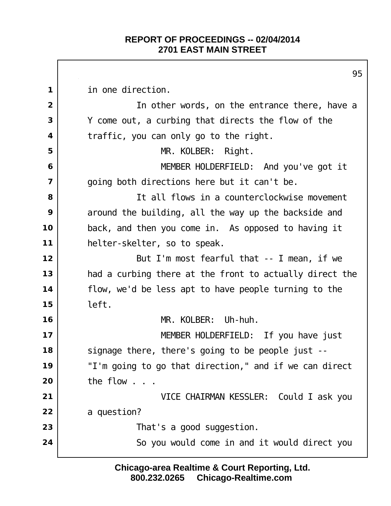in one direction. In other words, on the entrance there, have a Y come out, a curbing that directs the flow of the traffic, you can only go to the right. MR. KOLBER: Right. MEMBER HOLDERFIELD: And you've got it going both directions here but it can't be. It all flows in a counterclockwise movement around the building, all the way up the backside and back, and then you come in. As opposed to having it helter-skelter, so to speak. | But I'm most fearful that -- I mean, if we had a curbing there at the front to actually direct the flow, we'd be less apt to have people turning to the left. MR. KOLBER: Uh-huh. MEMBER HOLDERFIELD: If you have just signage there, there's going to be people just -- "I'm going to go that direction," and if we can direct the flow . . . VICE CHAIRMAN KESSLER: Could I ask you a question?  $\vert$  That's a good suggestion. So you would come in and it would direct you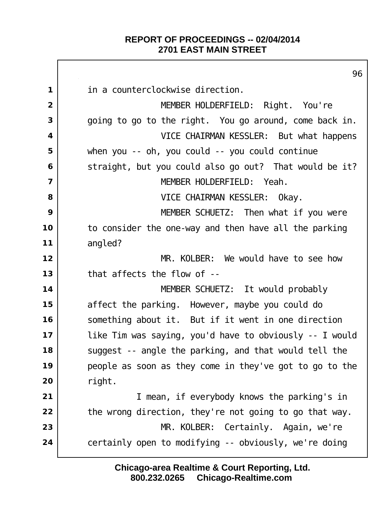|                         | 96                                                      |
|-------------------------|---------------------------------------------------------|
| $\mathbf{1}$            | in a counterclockwise direction.                        |
| $\overline{2}$          | MEMBER HOLDERFIELD: Right. You're                       |
| 3                       | going to go to the right. You go around, come back in.  |
| $\overline{\mathbf{4}}$ | VICE CHAIRMAN KESSLER: But what happens                 |
| 5                       | when you -- oh, you could -- you could continue         |
| 6                       | straight, but you could also go out? That would be it?  |
| $\overline{7}$          | MEMBER HOLDERFIELD: Yeah.                               |
| 8                       | VICE CHAIRMAN KESSLER: Okay.                            |
| 9                       | MEMBER SCHUETZ: Then what if you were                   |
| 10                      | to consider the one-way and then have all the parking   |
| 11                      | angled?                                                 |
| 12                      | MR. KOLBER: We would have to see how                    |
| 13                      | that affects the flow of --                             |
| 14                      | MEMBER SCHUETZ: It would probably                       |
| 15                      | affect the parking. However, maybe you could do         |
| 16                      | something about it. But if it went in one direction     |
| 17                      | like Tim was saying, you'd have to obviously -- I would |
| 18                      | suggest -- angle the parking, and that would tell the   |
| 19                      | people as soon as they come in they've got to go to the |
| 20                      | right.                                                  |
| 21                      | I mean, if everybody knows the parking's in             |
| 22                      | the wrong direction, they're not going to go that way.  |
| 23                      | MR. KOLBER: Certainly. Again, we're                     |
| 24                      | certainly open to modifying -- obviously, we're doing   |
|                         |                                                         |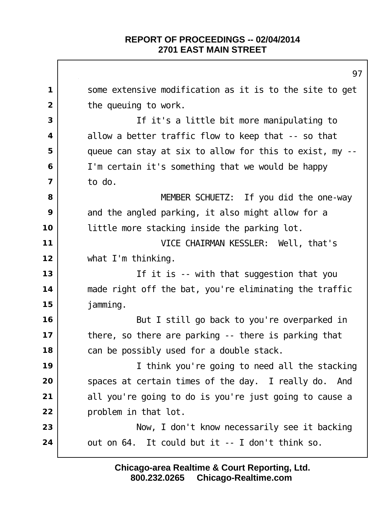|                         | 97                                                      |
|-------------------------|---------------------------------------------------------|
| $\mathbf 1$             | some extensive modification as it is to the site to get |
| $\overline{2}$          | the queul ng to work.                                   |
| 3                       | If it's a little bit more manipulating to               |
| $\overline{\mathbf{4}}$ | allow a better traffic flow to keep that -- so that     |
| 5                       | queue can stay at six to allow for this to exist, my -- |
| 6                       | I'm certain it's something that we would be happy       |
| $\overline{7}$          | to do.                                                  |
| 8                       | MEMBER SCHUETZ: If you did the one-way                  |
| 9                       | and the angled parking, it also might allow for a       |
| 10                      | little more stacking inside the parking lot.            |
| 11                      | VICE CHAIRMAN KESSLER: Well, that's                     |
| 12                      | what I'm thinking.                                      |
| 13                      | If it is -- with that suggestion that you               |
| 14                      | made right off the bat, you're eliminating the traffic  |
| 15                      | jamming.                                                |
| 16                      | But I still go back to you're overparked in             |
| 17                      | there, so there are parking -- there is parking that    |
| 18                      | can be possibly used for a double stack.                |
| 19                      | I think you're going to need all the stacking           |
| 20                      | spaces at certain times of the day. I really do. And    |
| 21                      | all you're going to do is you're just going to cause a  |
| 22                      | problem in that lot.                                    |
| 23                      | Now, I don't know necessarily see it backing            |
| 24                      | out on 64. It could but it -- I don't think so.         |
|                         |                                                         |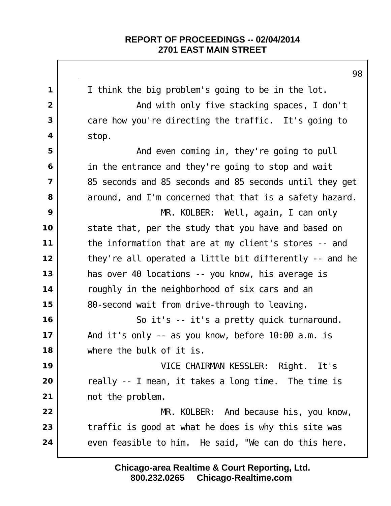|                | 98                                                      |
|----------------|---------------------------------------------------------|
| 1              | I think the big problem's going to be in the lot.       |
| $\overline{2}$ | And with only five stacking spaces, I don't             |
| 3              | care how you're directing the traffic. It's going to    |
| 4              | stop.                                                   |
| 5              | And even coming in, they're going to pull               |
| 6              | in the entrance and they're going to stop and wait      |
| 7              | 85 seconds and 85 seconds and 85 seconds until they get |
| 8              | around, and I'm concerned that that is a safety hazard. |
| 9              | MR. KOLBER: Well, again, I can only                     |
| 10             | state that, per the study that you have and based on    |
| 11             | the information that are at my client's stores -- and   |
| 12             | they're all operated a little bit differently -- and he |
| 13             | has over 40 locations -- you know, his average is       |
| 14             | roughly in the neighborhood of six cars and an          |
| 15             | 80-second wait from drive-through to leaving.           |
| 16             | So it's -- it's a pretty quick turnaround.              |
| 17             | And it's only -- as you know, before 10:00 a.m. is      |
| 18             | where the bulk of it is.                                |
| 19             | VICE CHAIRMAN KESSLER: Right. It's                      |
| 20             | really -- I mean, it takes a long time. The time is     |
| 21             | not the problem.                                        |
| 22             | MR. KOLBER: And because his, you know,                  |
| 23             | traffic is good at what he does is why this site was    |
| 24             | even feasible to him. He said, "We can do this here.    |
|                |                                                         |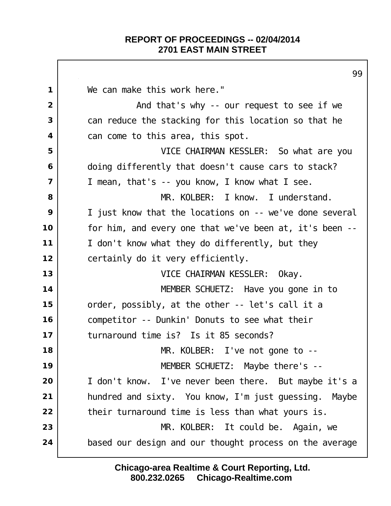$\Gamma$ 

|                         | 99                                                      |
|-------------------------|---------------------------------------------------------|
| $\mathbf 1$             | We can make this work here."                            |
| $\overline{2}$          | And that's why -- our request to see if we              |
| 3                       | can reduce the stacking for this location so that he    |
| 4                       | can come to this area, this spot.                       |
| 5                       | VICE CHAIRMAN KESSLER: So what are you                  |
| 6                       | doing differently that doesn't cause cars to stack?     |
| $\overline{\mathbf{z}}$ | I mean, that's -- you know, I know what I see.          |
| 8                       | MR. KOLBER: I know. I understand.                       |
| 9                       | I just know that the locations on -- we've done several |
| 10                      | for him, and every one that we've been at, it's been -- |
| 11                      | I don't know what they do differently, but they         |
| 12                      | certainly do it very efficiently.                       |
| 13                      | VICE CHAIRMAN KESSLER: Okay.                            |
| 14                      | MEMBER SCHUETZ: Have you gone in to                     |
| 15                      | order, possibly, at the other -- let's call it a        |
| 16                      | competitor -- Dunkin' Donuts to see what their          |
| 17                      | turnaround time is? Is it 85 seconds?                   |
| 18                      | MR. KOLBER: I've not gone to $-$ -                      |
| 19                      | MEMBER SCHUETZ: Maybe there's --                        |
| 20                      | I don't know. I've never been there. But maybe it's a   |
| 21                      | hundred and sixty. You know, I'm just guessing. Maybe   |
| 22                      | their turnaround time is less than what yours is.       |
| 23                      | MR. KOLBER: It could be. Again, we                      |
| 24                      | based our design and our thought process on the average |
|                         |                                                         |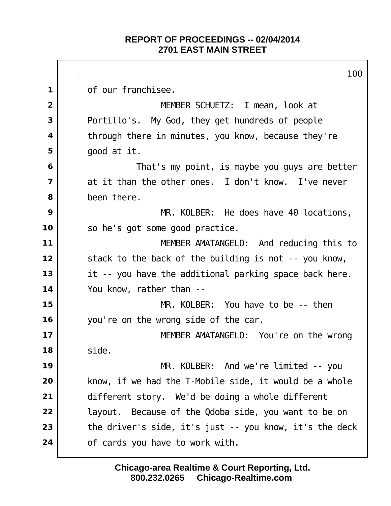of our franchisee. I mean, look at MEMBER SCHUETZ: I mean, look at Portillo's. My God, they get hundreds of people through there in minutes, you know, because they're good at it. That's my point, is maybe you guys are better at it than the other ones. I don't know. I've never been there. MR. KOLBER: He does have 40 locations, so he's got some good practice. MEMBER AMATANGELO: And reducing this to stack to the back of the building is not -- you know, it -- you have the additional parking space back here. You know, rather than -- MR. KOLBER: You have to be -- then you're on the wrong side of the car. 17 | MEMBER AMATANGELO: You're on the wrong side. MR. KOLBER: And we're limited -- you know, if we had the T-Mobile side, it would be a whole different story. We'd be doing a whole different | layout. Because of the Qdoba side, you want to be on the driver's side, it's just -- you know, it's the deck 24 | of cards you have to work with.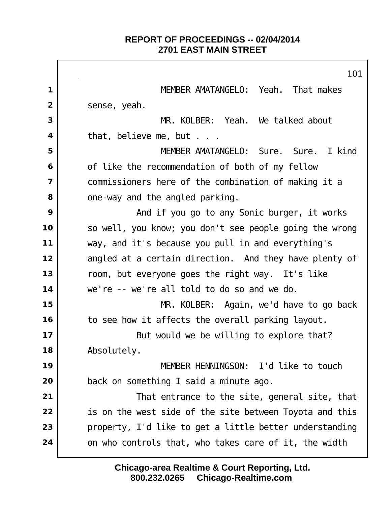$\Gamma$ 

|                | 101                                                     |
|----------------|---------------------------------------------------------|
| 1              | MEMBER AMATANGELO: Yeah. That makes                     |
| $\overline{2}$ | sense, yeah.                                            |
| 3              | MR. KOLBER: Yeah. We talked about                       |
| 4              | that, believe me, but                                   |
| 5              | MEMBER AMATANGELO: Sure. Sure. I kind                   |
| 6              | of like the recommendation of both of my fellow         |
| $\overline{7}$ | commissioners here of the combination of making it a    |
| 8              | one-way and the angled parking.                         |
| 9              | And if you go to any Sonic burger, it works             |
| 10             | so well, you know; you don't see people going the wrong |
| 11             | way, and it's because you pull in and everything's      |
| 12             | angled at a certain direction. And they have plenty of  |
| 13             | room, but everyone goes the right way. It's like        |
| 14             | we're -- we're all told to do so and we do.             |
| 15             | MR. KOLBER: Again, we'd have to go back                 |
| 16             | to see how it affects the overall parking layout.       |
| 17             | But would we be willing to explore that?                |
| 18             | Absolutely.                                             |
| 19             | MEMBER HENNINGSON: I'd like to touch                    |
| 20             | back on something I said a minute ago.                  |
| 21             | That entrance to the site, general site, that           |
| 22             | is on the west side of the site between Toyota and this |
| 23             | property, I'd like to get a little better understanding |
| 24             | on who controls that, who takes care of it, the width   |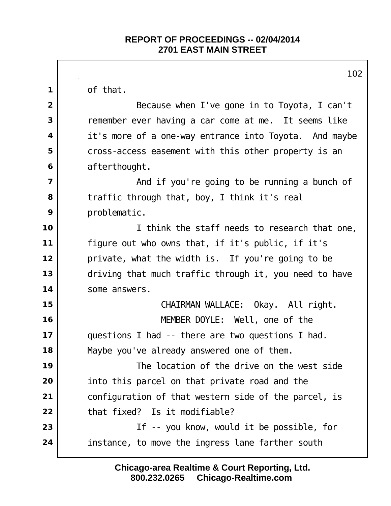of that. Because when I've gone in to Toyota, I can't remember ever having a car come at me. It seems like it's more of a one-way entrance into Toyota. And maybe cross-access easement with this other property is an afterthought. And if you're going to be running a bunch of traffic through that, boy, I think it's real problematic. I think the staff needs to research that one, figure out who owns that, if it's public, if it's private, what the width is. If you're going to be driving that much traffic through it, you need to have some answers. CHAIRMAN WALLACE: Okay. All right. MEMBER DOYLE: Well, one of the questions I had -- there are two questions I had. Maybe you've already answered one of them. The location of the drive on the west side into this parcel on that private road and the configuration of that western side of the parcel, is that fixed? Is it modifiable? If -- you know, would it be possible, for instance, to move the ingress lane farther south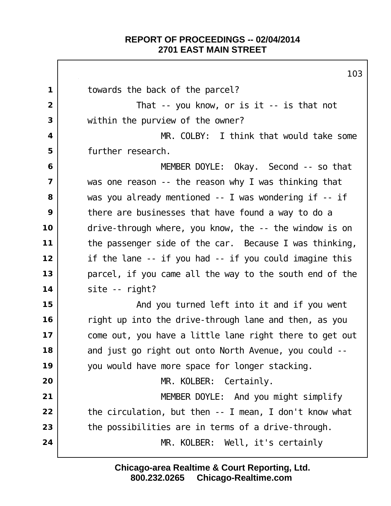Г

|                         | 103                                                     |
|-------------------------|---------------------------------------------------------|
| $\mathbf 1$             | towards the back of the parcel?                         |
| $\overline{2}$          | That -- you know, or is $it$ -- is that not             |
| 3                       | within the purview of the owner?                        |
| 4                       | MR. COLBY: I think that would take some                 |
| 5                       | further research.                                       |
| 6                       | MEMBER DOYLE: Okay. Second -- so that                   |
| $\overline{\mathbf{z}}$ | was one reason -- the reason why I was thinking that    |
| 8                       | was you already mentioned -- I was wondering if -- if   |
| 9                       | there are businesses that have found a way to do a      |
| 10                      | drive-through where, you know, the -- the window is on  |
| 11                      | the passenger side of the car. Because I was thinking,  |
| 12                      | if the lane -- if you had -- if you could imagine this  |
| 13                      | parcel, if you came all the way to the south end of the |
| 14                      | site -- right?                                          |
| 15                      | And you turned left into it and if you went             |
| 16                      | right up into the drive-through lane and then, as you   |
| 17                      | come out, you have a little lane right there to get out |
| 18                      | and just go right out onto North Avenue, you could --   |
| 19                      | you would have more space for longer stacking.          |
| 20                      | MR. KOLBER: Certainly.                                  |
| 21                      | MEMBER DOYLE: And you might simplify                    |
| 22                      | the circulation, but then -- I mean, I don't know what  |
| 23                      | the possibilities are in terms of a drive-through.      |
| 24                      | MR. KOLBER: Well, it's certainly                        |
|                         |                                                         |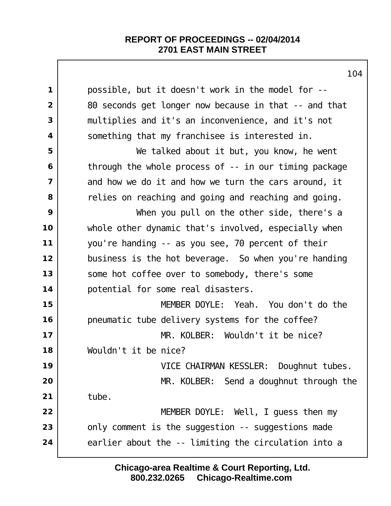| 1 <sup>U</sup>                                        |
|-------------------------------------------------------|
| possible, but it doesn't work in the model for --     |
| 80 seconds get longer now because in that -- and that |
| multiplies and it's an inconvenience, and it's not    |
| something that my franchisee is interested in.        |
| We talked about it but, you know, he went             |
| through the whole process of -- in our timing package |
| and how we do it and how we turn the cars around, it  |
| relies on reaching and going and reaching and going.  |
| When you pull on the other side, there's a            |
| whole other dynamic that's involved, especially when  |
| you're handing -- as you see, 70 percent of their     |
| business is the hot beverage. So when you're handing  |
| some hot coffee over to somebody, there's some        |
| potential for some real disasters.                    |
| MEMBER DOYLE: Yeah. You don't do the                  |
| pneumatic tube delivery systems for the coffee?       |
| MR. KOLBER: Wouldn't it be nice?                      |
| Wouldn't it be nice?                                  |
| VICE CHAIRMAN KESSLER: Doughnut tubes.                |
| MR. KOLBER: Send a doughnut through the               |
| tube.                                                 |
| MEMBER DOYLE: Well, I guess then my                   |
| only comment is the suggestion -- suggestions made    |
| earlier about the -- limiting the circulation into a  |
|                                                       |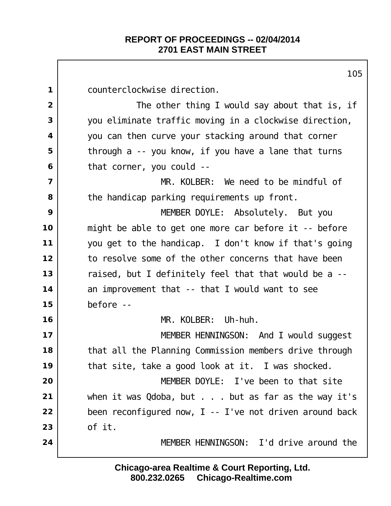counterclockwise direction. The other thing I would say about that is, if you eliminate traffic moving in a clockwise direction, you can then curve your stacking around that corner through a -- you know, if you have a lane that turns that corner, you could -- MR. KOLBER: We need to be mindful of the handicap parking requirements up front. MEMBER DOYLE: Absolutely. But you might be able to get one more car before it -- before you get to the handicap. I don't know if that's going to resolve some of the other concerns that have been raised, but I definitely feel that that would be a -- an improvement that -- that I would want to see before -- MR. KOLBER: Uh-huh. 17 | MEMBER HENNINGSON: And I would suggest that all the Planning Commission members drive through that site, take a good look at it. I was shocked. MEMBER DOYLE: I've been to that site when it was Qdoba, but . . . but as far as the way it's been reconfigured now, I -- I've not driven around back of it. MEMBER HENNINGSON: I'd drive around the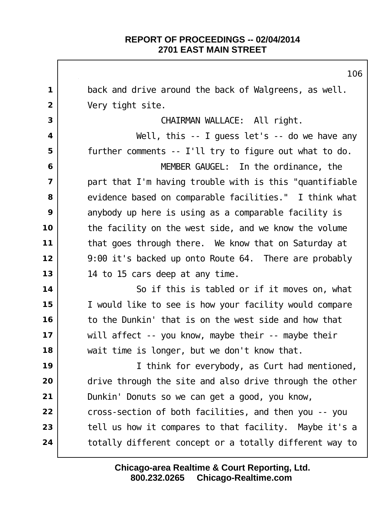back and drive around the back of Walgreens, as well. Very tight site. CHAIRMAN WALLACE: All right.  $\vert$  **Well**, this -- I guess let's -- do we have any further comments -- I'll try to figure out what to do. MEMBER GAUGEL: In the ordinance, the part that I'm having trouble with is this "quantifiable evidence based on comparable facilities." I think what anybody up here is using as a comparable facility is the facility on the west side, and we know the volume that goes through there. We know that on Saturday at 9:00 it's backed up onto Route 64. There are probably 14 to 15 cars deep at any time. So if this is tabled or if it moves on, what I would like to see is how your facility would compare to the Dunkin' that is on the west side and how that will affect -- you know, maybe their -- maybe their wait time is longer, but we don't know that. I think for everybody, as Curt had mentioned, drive through the site and also drive through the other Dunkin' Donuts so we can get a good, you know, cross-section of both facilities, and then you -- you tell us how it compares to that facility. Maybe it's a totally different concept or a totally different way to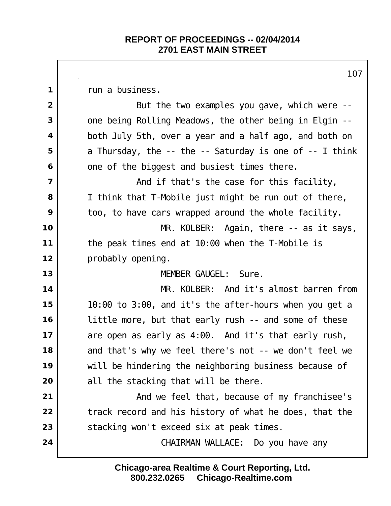run a business. But the two examples you gave, which were -- one being Rolling Meadows, the other being in Elgin -- both July 5th, over a year and a half ago, and both on a Thursday, the -- the -- Saturday is one of -- I think one of the biggest and busiest times there. And if that's the case for this facility, I think that T-Mobile just might be run out of there, too, to have cars wrapped around the whole facility. MR. KOLBER: Again, there -- as it says, the peak times end at 10:00 when the T-Mobile is probably opening. MEMBER GAUGEL: Sure. MR. KOLBER: And it's almost barren from 10:00 to 3:00, and it's the after-hours when you get a little more, but that early rush -- and some of these are open as early as 4:00. And it's that early rush, and that's why we feel there's not -- we don't feel we will be hindering the neighboring business because of all the stacking that will be there. and we feel that, because of my franchisee's track record and his history of what he does, that the stacking won't exceed six at peak times. CHAIRMAN WALLACE: Do you have any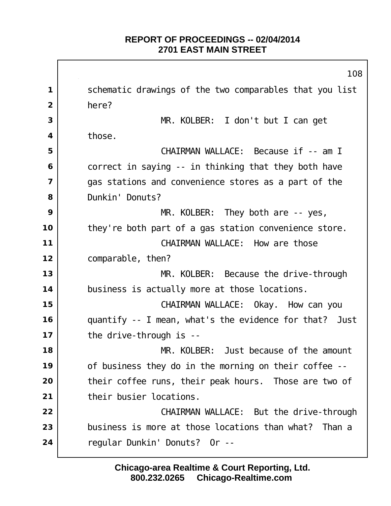schematic drawings of the two comparables that you list here? MR. KOLBER: I don't but I can get those. CHAIRMAN WALLACE: Because if -- am I correct in saying -- in thinking that they both have gas stations and convenience stores as a part of the Dunkin' Donuts? MR. KOLBER: They both are -- yes, they're both part of a gas station convenience store. I CHAIRMAN WALLACE: How are those comparable, then? MR. KOLBER: Because the drive-through business is actually more at those locations. CHAIRMAN WALLACE: Okay. How can you quantify -- I mean, what's the evidence for that? Just the drive-through is -- MR. KOLBER: Just because of the amount of business they do in the morning on their coffee -- their coffee runs, their peak hours. Those are two of their busier locations. **CHAIRMAN WALLACE:** But the drive-through business is more at those locations than what? Than a regular Dunkin' Donuts? Or --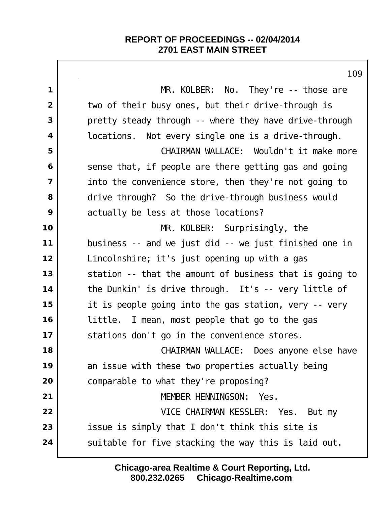MR. KOLBER: No. They're -- those are two of their busy ones, but their drive-through is pretty steady through -- where they have drive-through locations. Not every single one is a drive-through. CHAIRMAN WALLACE: Wouldn't it make more sense that, if people are there getting gas and going into the convenience store, then they're not going to drive through? So the drive-through business would actually be less at those locations? MR. KOLBER: Surprisingly, the business -- and we just did -- we just finished one in Lincolnshire; it's just opening up with a gas station -- that the amount of business that is going to the Dunkin' is drive through. It's -- very little of it is people going into the gas station, very -- very little. I mean, most people that go to the gas 17 | stations don't go in the convenience stores. CHAIRMAN WALLACE: Does anyone else have an issue with these two properties actually being comparable to what they're proposing? MEMBER HENNINGSON: Yes. VICE CHAIRMAN KESSLER: Yes. But my issue is simply that I don't think this site is Suitable for five stacking the way this is laid out.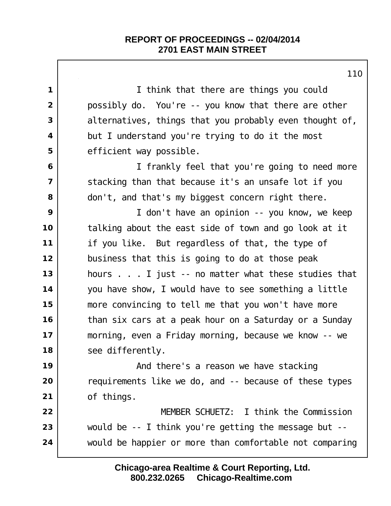|                         | 1 I G                                                    |
|-------------------------|----------------------------------------------------------|
| $\mathbf{1}$            | I think that there are things you could                  |
| $\overline{2}$          | possibly do. You're -- you know that there are other     |
| 3                       | al ternatives, things that you probably even thought of, |
| $\overline{\mathbf{4}}$ | but I understand you're trying to do it the most         |
| 5                       | efficient way possible.                                  |
| 6                       | I frankly feel that you're going to need more            |
| $\overline{\mathbf{z}}$ | stacking than that because it's an unsafe lot if you     |
| 8                       | don't, and that's my biggest concern right there.        |
| 9                       | I don't have an opinion -- you know, we keep             |
| 10                      | talking about the east side of town and go look at it    |
| $11$                    | if you like. But regardless of that, the type of         |
| 12                      | business that this is going to do at those peak          |
| 13                      | hours I just -- no matter what these studies that        |
| 14                      | you have show, I would have to see something a little    |
| 15                      | more convincing to tell me that you won't have more      |
| 16                      | than six cars at a peak hour on a Saturday or a Sunday   |
| 17                      | morning, even a Friday morning, because we know -- we    |
| 18                      | see differently.                                         |
| 19                      | And there's a reason we have stacking                    |
| 20                      | requirements like we do, and -- because of these types   |
| 21                      | of things.                                               |
| 22                      | MEMBER SCHUETZ: I think the Commission                   |
| 23                      | would be -- I think you're getting the message but --    |
| 24                      | would be happier or more than comfortable not comparing  |
|                         |                                                          |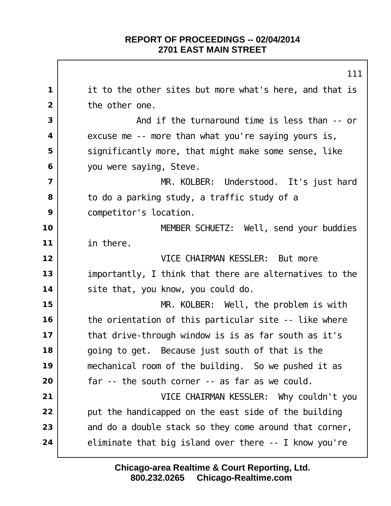it to the other sites but more what's here, and that is the other one. And if the turnaround time is less than -- or excuse me -- more than what you're saying yours is, significantly more, that might make some sense, like you were saying, Steve. MR. KOLBER: Understood. It's just hard to do a parking study, a traffic study of a | competitor's location. MEMBER SCHUETZ: Well, send your buddies in there. VICE CHAIRMAN KESSLER: But more importantly, I think that there are alternatives to the site that, you know, you could do. MR. KOLBER: Well, the problem is with the orientation of this particular site -- like where that drive-through window is is as far south as it's | going to get. Because just south of that is the mechanical room of the building. So we pushed it as far -- the south corner -- as far as we could. VICE CHAIRMAN KESSLER: Why couldn't you put the handicapped on the east side of the building and do a double stack so they come around that corner, eliminate that big island over there -- I know you're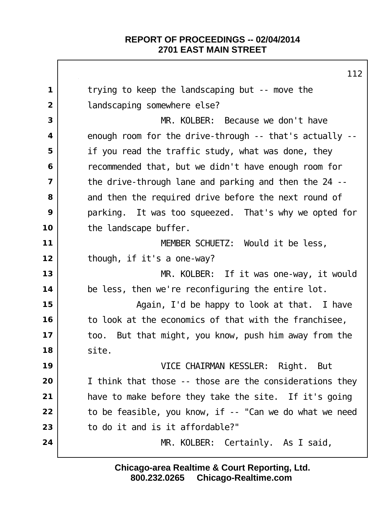trying to keep the landscaping but -- move the landscaping somewhere else? MR. KOLBER: Because we don't have enough room for the drive-through -- that's actually -- if you read the traffic study, what was done, they recommended that, but we didn't have enough room for the drive-through lane and parking and then the 24 -- and then the required drive before the next round of parking. It was too squeezed. That's why we opted for the landscape buffer. MEMBER SCHUETZ: Would it be less, though, if it's a one-way? MR. KOLBER: If it was one-way, it would be less, then we're reconfiguring the entire lot. and **15** Again, I'd be happy to look at that. I have to look at the economics of that with the franchisee, too. But that might, you know, push him away from the site. VICE CHAIRMAN KESSLER: Right. But I think that those -- those are the considerations they have to make before they take the site. If it's going to be feasible, you know, if -- "Can we do what we need to do it and is it affordable?" MR. KOLBER: Certainly. As I said,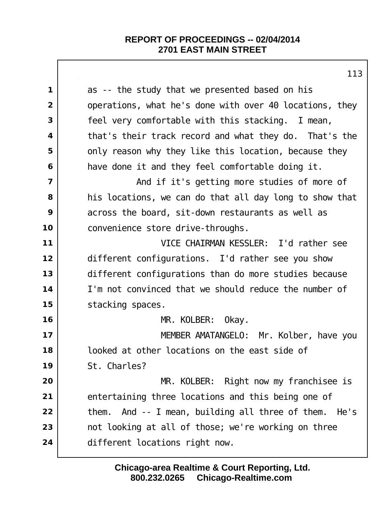|                | 113                                                      |
|----------------|----------------------------------------------------------|
| $\mathbf 1$    | as -- the study that we presented based on his           |
| $\overline{2}$ | operations, what he's done with over 40 locations, they  |
| 3              | feel very comfortable with this stacking. I mean,        |
| 4              | that's their track record and what they do. That's the   |
| 5              | only reason why they like this location, because they    |
| 6              | have done it and they feel comfortable doing it.         |
| $\overline{7}$ | And if it's getting more studies of more of              |
| 8              | his locations, we can do that all day long to show that  |
| 9              | across the board, sit-down restaurants as well as        |
| 10             | convenience store drive-throughs.                        |
| 11             | VICE CHAIRMAN KESSLER: I'd rather see                    |
| 12             | different configurations. I'd rather see you show        |
| 13             | different configurations than do more studies because    |
| 14             | I'm not convinced that we should reduce the number of    |
| 15             | stacking spaces.                                         |
| 16             | MR. KOLBER: Okay.                                        |
| 17             | MEMBER AMATANGELO: Mr. Kolber, have you                  |
| 18             | looked at other locations on the east side of            |
| 19             | St. Charles?                                             |
| 20             | MR. KOLBER: Right now my franchisee is                   |
| 21             | entertaining three locations and this being one of       |
| 22             | And -- I mean, building all three of them. He's<br>them. |
| 23             | not looking at all of those; we're working on three      |
| 24             | different locations right now.                           |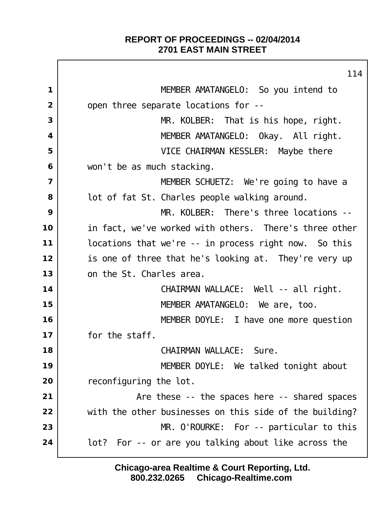$\Gamma$ 

|                         | 114                                                     |
|-------------------------|---------------------------------------------------------|
| 1                       | MEMBER AMATANGELO: So you intend to                     |
| $\overline{2}$          | open three separate locations for --                    |
| 3                       | MR. KOLBER: That is his hope, right.                    |
| $\overline{\mathbf{4}}$ | MEMBER AMATANGELO: Okay. All right.                     |
| 5                       | VICE CHAIRMAN KESSLER: Maybe there                      |
| 6                       | won't be as much stacking.                              |
| $\overline{7}$          | MEMBER SCHUETZ: We're going to have a                   |
| 8                       | lot of fat St. Charles people walking around.           |
| 9                       | MR. KOLBER: There's three locations --                  |
| 10                      | in fact, we've worked with others. There's three other  |
| 11                      | locations that we're -- in process right now. So this   |
| 12                      | is one of three that he's looking at. They're very up   |
| 13                      | on the St. Charles area.                                |
| 14                      | CHAIRMAN WALLACE: Well -- all right.                    |
| 15                      | MEMBER AMATANGELO: We are, too.                         |
| 16                      | MEMBER DOYLE: I have one more question                  |
| 17                      | for the staff.                                          |
| 18                      | CHAIRMAN WALLACE: Sure                                  |
| 19                      | MEMBER DOYLE: We talked tonight about                   |
| 20                      | reconfiguring the lot.                                  |
| 21                      | Are these -- the spaces here -- shared spaces           |
| 22                      | with the other businesses on this side of the building? |
| 23                      | $MR.$ O'ROURKE: For -- particular to this               |
| 24                      | lot? For -- or are you talking about like across the    |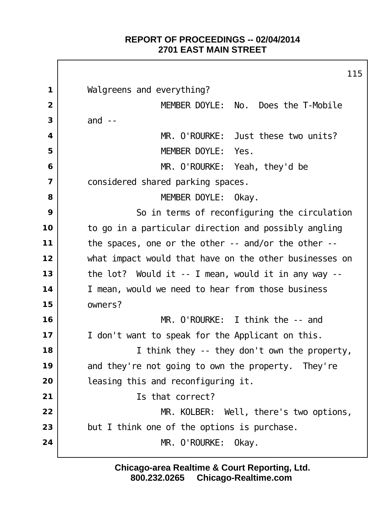$\Gamma$ 

|                         | 115                                                            |
|-------------------------|----------------------------------------------------------------|
| $\mathbf{1}$            | Walgreens and everything?                                      |
| $\overline{2}$          | MEMBER DOYLE: No.<br>Does the T-Mobile                         |
| 3                       | and $--$                                                       |
| $\overline{\mathbf{4}}$ | MR. O'ROURKE: Just these two units?                            |
| 5                       | MEMBER DOYLE: Yes.                                             |
| 6                       | MR. O'ROURKE: Yeah, they'd be                                  |
| $\overline{\mathbf{z}}$ | considered shared parking spaces.                              |
| 8                       | MEMBER DOYLE: Okay.                                            |
| 9                       | So in terms of reconfiguring the circulation                   |
| 10                      | to go in a particular direction and possibly angling           |
| 11                      | the spaces, one or the other -- and/or the other --            |
| 12                      | what impact would that have on the other businesses on         |
| 13                      | the $lot?$ Would it -- I mean, would it in any way --          |
| 14                      | I mean, would we need to hear from those business              |
| 15                      | owners?                                                        |
| 16                      | MR. O'ROURKE: I think the -- and                               |
| 17                      | don't want to speak for the Applicant on this.<br>$\mathbf{L}$ |
| 18                      | I think they -- they don't own the property,                   |
| 19                      | and they're not going to own the property. They're             |
| 20                      | leasing this and reconfiguring it.                             |
| 21                      | Is that correct?                                               |
| 22                      | MR. KOLBER: Well, there's two options,                         |
| 23                      | but I think one of the options is purchase.                    |
| 24                      | MR. O'ROURKE: Okay.                                            |
|                         |                                                                |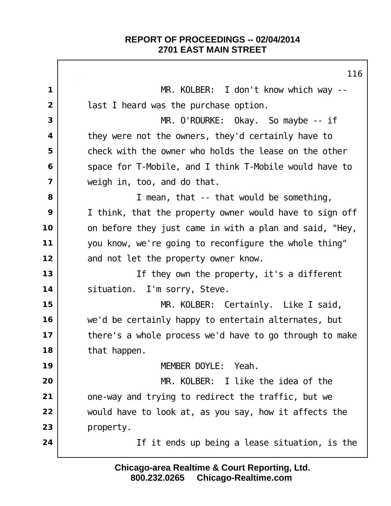MR. KOLBER: I don't know which way -- last I heard was the purchase option. MR. O'ROURKE: Okay. So maybe -- if they were not the owners, they'd certainly have to check with the owner who holds the lease on the other Space for T-Mobile, and I think T-Mobile would have to weigh in, too, and do that. I mean, that -- that would be something, I think, that the property owner would have to sign off on before they just came in with a plan and said, "Hey, you know, we're going to reconfigure the whole thing" and not let the property owner know. If they own the property, it's a different 14 | situation. I'm sorry, Steve. MR. KOLBER: Certainly. Like I said, we'd be certainly happy to entertain alternates, but there's a whole process we'd have to go through to make that happen. MEMBER DOYLE: Yeah. MR. KOLBER: I like the idea of the one-way and trying to redirect the traffic, but we would have to look at, as you say, how it affects the property. If it ends up being a lease situation, is the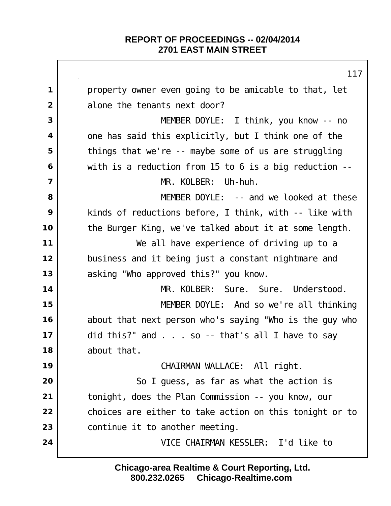|                         | 117                                                     |
|-------------------------|---------------------------------------------------------|
| $\mathbf 1$             | property owner even going to be amicable to that, let   |
| 2                       | alone the tenants next door?                            |
| 3                       | MEMBER DOYLE: I think, you know -- no                   |
| $\overline{\mathbf{4}}$ | one has said this explicitly, but I think one of the    |
| 5                       | things that we're -- maybe some of us are struggling    |
| 6                       | with is a reduction from 15 to 6 is a big reduction $-$ |
| $\overline{7}$          | MR. KOLBER:<br>Uh-huh.                                  |
| 8                       | MEMBER DOYLE: -- and we looked at these                 |
| 9                       | kinds of reductions before, I think, with -- like with  |
| 10                      | the Burger King, we've talked about it at some length.  |
| 11                      | We all have experience of driving up to a               |
| 12                      | business and it being just a constant nightmare and     |
| 13                      | asking "Who approved this?" you know.                   |
| 14                      | MR. KOLBER:<br>Sure. Sure. Understood.                  |
| 15                      | MEMBER DOYLE: And so we're all thinking                 |
| 16                      | about that next person who's saying "Who is the guy who |
| 17                      | did this?" and $\ldots$ so -- that's all I have to say  |
| 18                      | about that.                                             |
| 19                      | CHAIRMAN WALLACE: All right.                            |
| 20                      | So I guess, as far as what the action is                |
| 21                      | tonight, does the Plan Commission -- you know, our      |
| 22                      | choices are either to take action on this tonight or to |
| 23                      | continue it to another meeting.                         |
| 24                      | VICE CHAIRMAN KESSLER: I'd like to                      |
|                         |                                                         |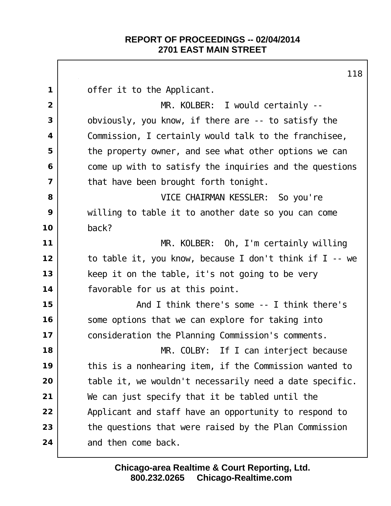offer it to the Applicant. MR. KOLBER: I would certainly -- obviously, you know, if there are -- to satisfy the Commission, I certainly would talk to the franchisee, the property owner, and see what other options we can come up with to satisfy the inquiries and the questions | that have been brought forth tonight. VICE CHAIRMAN KESSLER: So you're willing to table it to another date so you can come back? MR. KOLBER: Oh, I'm certainly willing to table it, you know, because I don't think if I -- we keep it on the table, it's not going to be very favorable for us at this point. And I think there's some -- I think there's Some options that we can explore for taking into consideration the Planning Commission's comments. MR. COLBY: If I can interject because this is a nonhearing item, if the Commission wanted to table it, we wouldn't necessarily need a date specific. We can just specify that it be tabled until the Applicant and staff have an opportunity to respond to the questions that were raised by the Plan Commission and then come back.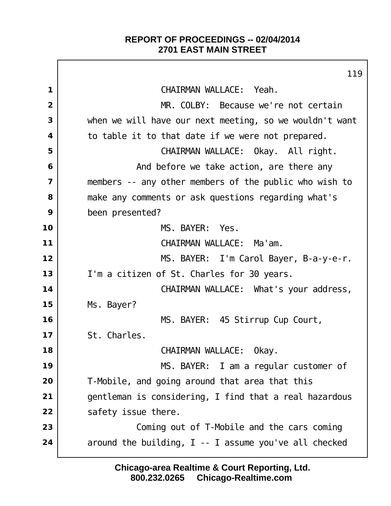$\Gamma$ 

|                         | 119                                                     |
|-------------------------|---------------------------------------------------------|
| 1                       | CHAIRMAN WALLACE: Yeah.                                 |
| $\overline{2}$          | MR. COLBY: Because we're not certain                    |
| 3                       | when we will have our next meeting, so we wouldn't want |
| 4                       | to table it to that date if we were not prepared.       |
| 5                       | CHAIRMAN WALLACE: Okay. All right.                      |
| 6                       | And before we take action, are there any                |
| $\overline{\mathbf{z}}$ | members -- any other members of the public who wish to  |
| 8                       | make any comments or ask questions regarding what's     |
| 9                       | been presented?                                         |
| 10                      | MS. BAYER: Yes.                                         |
| 11                      | CHAIRMAN WALLACE: Ma'am.                                |
| 12                      | MS. BAYER: I'm Carol Bayer, B-a-y-e-r.                  |
| 13                      | I'm a citizen of St. Charles for 30 years.              |
| 14                      | CHAIRMAN WALLACE: What's your address,                  |
| 15                      | Ms. Bayer?                                              |
| 16                      | MS. BAYER: 45 Stirrup Cup Court,                        |
| 17                      | St. Charles.                                            |
| 18                      | CHAIRMAN WALLACE: Okay.                                 |
| 19                      | MS. BAYER: I am a regular customer of                   |
| 20                      | T-Mobile, and going around that area that this          |
| 21                      | gentleman is considering, I find that a real hazardous  |
| 22                      | safety issue there.                                     |
| 23                      | Coming out of T-Mobile and the cars coming              |
| 24                      | around the building, I -- I assume you've all checked   |
|                         |                                                         |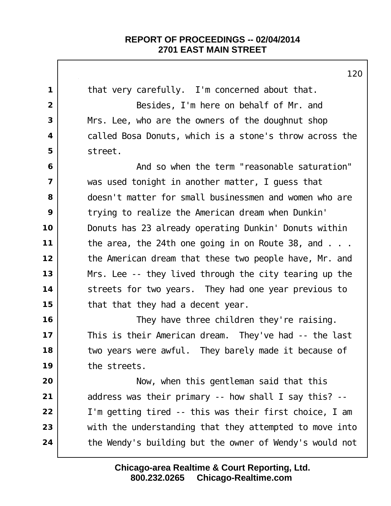|                         | 120                                                       |
|-------------------------|-----------------------------------------------------------|
| 1                       | that very carefully. I'm concerned about that.            |
| $\overline{2}$          | Besides, I'm here on behalf of Mr. and                    |
| 3                       | Mrs. Lee, who are the owners of the doughnut shop         |
| $\overline{\mathbf{4}}$ | called Bosa Donuts, which is a stone's throw across the   |
| 5                       | street.                                                   |
| 6                       | And so when the term "reasonable saturation"              |
| $\overline{7}$          | was used tonight in another matter, I guess that          |
| 8                       | doesn't matter for small businessmen and women who are    |
| 9                       | trying to realize the American dream when Dunkin'         |
| 10                      | Donuts has 23 already operating Dunkin' Donuts within     |
| $11$                    | the area, the 24th one going in on Route 38, and $\ldots$ |
| 12                      | the American dream that these two people have, Mr. and    |
| 13                      | Mrs. Lee -- they lived through the city tearing up the    |
| 14                      | streets for two years. They had one year previous to      |
| 15                      | that that they had a decent year.                         |
| 16                      | They have three children they're raising.                 |
| 17                      | This is their American dream. They've had -- the last     |
| 18                      | two years were awful. They barely made it because of      |
| 19                      | the streets.                                              |
| 20                      | Now, when this gentleman said that this                   |
| 21                      | address was their primary -- how shall I say this? --     |
| 22                      | I'm getting tired -- this was their first choice, I am    |
| 23                      | with the understanding that they attempted to move into   |
| 24                      | the Wendy's building but the owner of Wendy's would not   |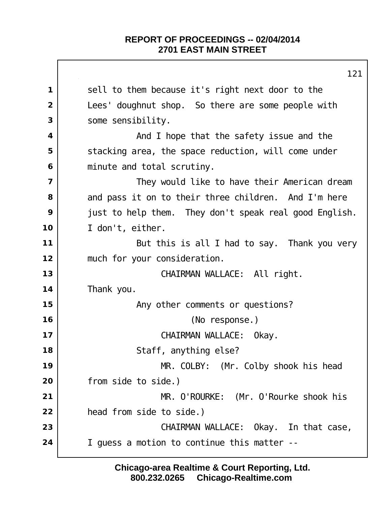|                         | 121                                                    |
|-------------------------|--------------------------------------------------------|
| $\mathbf 1$             | sell to them because it's right next door to the       |
| $\overline{2}$          | Lees' doughnut shop. So there are some people with     |
| 3                       | some sensibility.                                      |
| 4                       | And I hope that the safety issue and the               |
| 5                       | stacking area, the space reduction, will come under    |
| 6                       | minute and total scrutiny.                             |
| $\overline{\mathbf{z}}$ | They would like to have their American dream           |
| 8                       | and pass it on to their three children. And I'm here   |
| 9                       | just to help them. They don't speak real good English. |
| 10                      | I don't, either.                                       |
| 11                      | But this is all I had to say. Thank you very           |
| 12                      | much for your consideration.                           |
| 13                      | CHAIRMAN WALLACE: All right.                           |
| 14                      | Thank you.                                             |
| 15                      | Any other comments or questions?                       |
| 16                      | (No response.)                                         |
| 17                      | CHAIRMAN WALLACE: Okay.                                |
| 18                      | Staff, anything else?                                  |
| 19                      | MR. COLBY: (Mr. Colby shook his head                   |
| 20                      | from side to side.)                                    |
| 21                      | MR. O'ROURKE: (Mr. O'Rourke shook his                  |
| 22                      | head from side to side.)                               |
| 23                      | CHAIRMAN WALLACE: Okay. In that case,                  |
| 24                      | I guess a motion to continue this matter --            |
|                         |                                                        |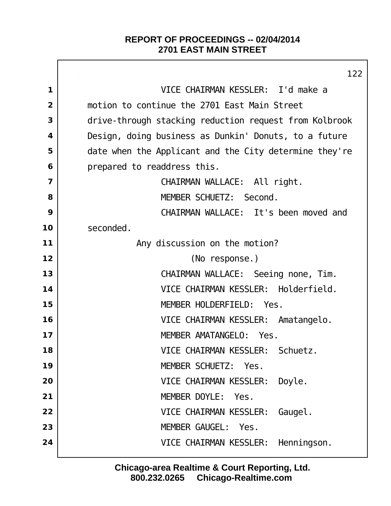$\Gamma$ 

|                | 122                                                    |
|----------------|--------------------------------------------------------|
| $\mathbf 1$    | VICE CHAIRMAN KESSLER: I'd make a                      |
| $\overline{2}$ | motion to continue the 2701 East Main Street           |
| 3              | drive-through stacking reduction request from Kolbrook |
| 4              | Design, doing business as Dunkin' Donuts, to a future  |
| 5              | date when the Applicant and the City determine they're |
| 6              | prepared to readdress this.                            |
| $\overline{7}$ | CHAIRMAN WALLACE: All right.                           |
| 8              | MEMBER SCHUETZ: Second.                                |
| 9              | CHAIRMAN WALLACE: It's been moved and                  |
| 10             | seconded.                                              |
| 11             | Any discussion on the motion?                          |
| 12             | (No response.)                                         |
| 13             | CHAIRMAN WALLACE: Seeing none, Tim.                    |
| 14             | VICE CHAIRMAN KESSLER: Holderfield.                    |
| 15             | MEMBER HOLDERFIELD: Yes.                               |
| 16             | VICE CHAIRMAN KESSLER: Amatangelo.                     |
| 17             | MEMBER AMATANGELO:<br>Yes.                             |
| 18             | VICE CHAIRMAN KESSLER: Schuetz.                        |
| 19             | MEMBER SCHUETZ: Yes.                                   |
| 20             | VICE CHAIRMAN KESSLER:<br>Doyle.                       |
| 21             | MEMBER DOYLE:<br>Yes.                                  |
| 22             | VICE CHAIRMAN KESSLER:<br>Gaugel.                      |
| 23             | MEMBER GAUGEL: Yes.                                    |
| 24             | VICE CHAIRMAN KESSLER:<br>Henni ngson.                 |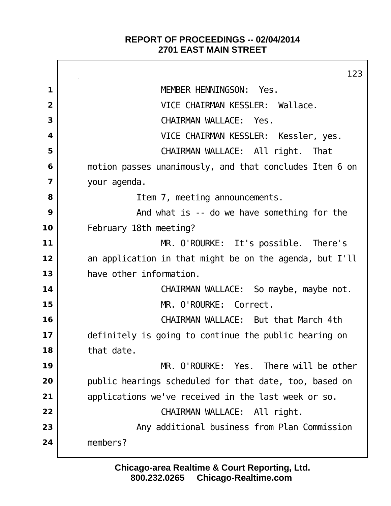Г

|                         | 123                                                      |
|-------------------------|----------------------------------------------------------|
| 1                       | MEMBER HENNINGSON: Yes.                                  |
| $\overline{2}$          | VICE CHAIRMAN KESSLER: Wallace.                          |
| 3                       | CHAIRMAN WALLACE: Yes.                                   |
| $\overline{\mathbf{4}}$ | VICE CHAIRMAN KESSLER: Kessler, yes.                     |
| 5                       | CHAIRMAN WALLACE: All right. That                        |
| 6                       | motion passes unanimously, and that concludes I tem 6 on |
| $\overline{\mathbf{z}}$ | your agenda.                                             |
| 8                       | I tem 7, meeting announcements.                          |
| 9                       | And what is -- do we have something for the              |
| 10                      | February 18th meeting?                                   |
| 11                      | MR. O'ROURKE: It's possible. There's                     |
| 12                      | an application in that might be on the agenda, but I'll  |
| 13                      | have other information.                                  |
| 14                      | CHAIRMAN WALLACE: So maybe, maybe not.                   |
| 15                      | MR. O'ROURKE: Correct.                                   |
| 16                      | CHAIRMAN WALLACE: But that March 4th                     |
| 17                      | definitely is going to continue the public hearing on    |
| 18                      | that date.                                               |
| 19                      | MR. O'ROURKE: Yes. There will be other                   |
| 20                      | public hearings scheduled for that date, too, based on   |
| 21                      | applications we've received in the last week or so.      |
| 22                      | CHAIRMAN WALLACE: All right.                             |
| 23                      | Any additional business from Plan Commission             |
| 24                      | members?                                                 |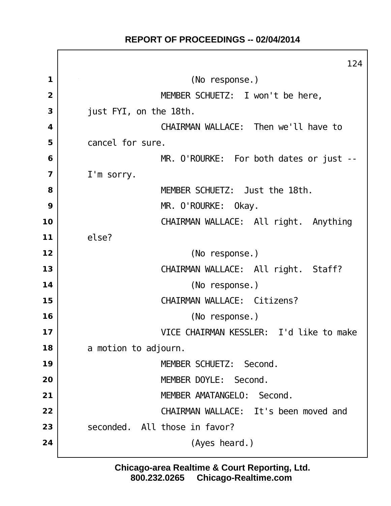## **REPORT OF PROCEEDINGS -- 02/04/2014**

 $\Gamma$ 

|                         | 124                                     |
|-------------------------|-----------------------------------------|
| 1                       | (No response.)                          |
| $\overline{2}$          | MEMBER SCHUETZ: I won't be here,        |
| 3                       | just FYI, on the 18th.                  |
| $\overline{\mathbf{4}}$ | CHAIRMAN WALLACE: Then we'll have to    |
| 5                       | cancel for sure.                        |
| 6                       | MR. O'ROURKE: For both dates or just -- |
| $\overline{7}$          | I'm sorry.                              |
| 8                       | MEMBER SCHUETZ: Just the 18th.          |
| 9                       | MR. O'ROURKE: Okay.                     |
| 10                      | CHAIRMAN WALLACE: All right. Anything   |
| 11                      | el se?                                  |
| 12                      | (No response.)                          |
| 13                      | CHAIRMAN WALLACE: All right. Staff?     |
| 14                      | (No response.)                          |
| 15                      | CHAIRMAN WALLACE: Citizens?             |
| 16                      | (No response.)                          |
| 17                      | VICE CHAIRMAN KESSLER: I'd like to make |
| 18                      | a motion to adjourn.                    |
| 19                      | MEMBER SCHUETZ: Second.                 |
| 20                      | MEMBER DOYLE: Second.                   |
| 21                      | MEMBER AMATANGELO: Second.              |
| 22                      | CHAIRMAN WALLACE: It's been moved and   |
| 23                      | seconded. All those in favor?           |
| 24                      | (Ayes heard.)                           |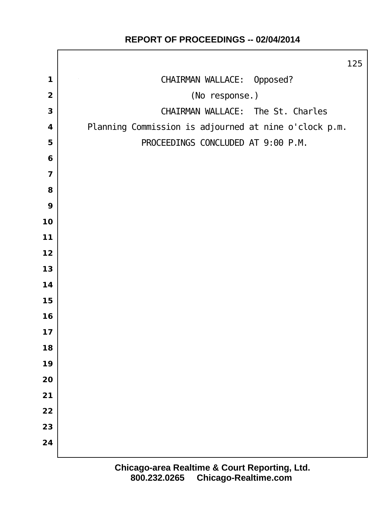# CHAIRMAN WALLACE: Opposed? (No response.) CHAIRMAN WALLACE: The St. Charles Planning Commission is adjourned at nine o'clock p.m. PROCEEDINGS CONCLUDED AT 9:00 P.M.

## **REPORT OF PROCEEDINGS -- 02/04/2014**